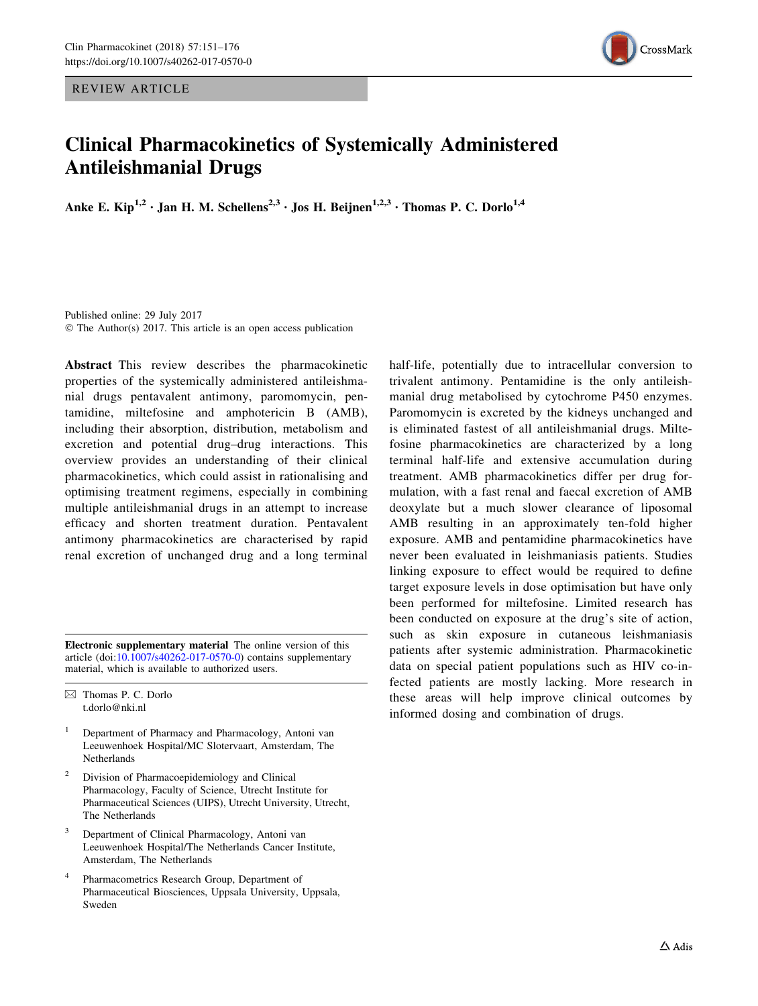REVIEW ARTICLE



# Clinical Pharmacokinetics of Systemically Administered Antileishmanial Drugs

Anke E. Kip<sup>1,2</sup> • Jan H. M. Schellens<sup>2,3</sup> • Jos H. Beijnen<sup>1,2,3</sup> • Thomas P. C. Dorlo<sup>1,4</sup>

Published online: 29 July 2017 © The Author(s) 2017. This article is an open access publication

Abstract This review describes the pharmacokinetic properties of the systemically administered antileishmanial drugs pentavalent antimony, paromomycin, pentamidine, miltefosine and amphotericin B (AMB), including their absorption, distribution, metabolism and excretion and potential drug–drug interactions. This overview provides an understanding of their clinical pharmacokinetics, which could assist in rationalising and optimising treatment regimens, especially in combining multiple antileishmanial drugs in an attempt to increase efficacy and shorten treatment duration. Pentavalent antimony pharmacokinetics are characterised by rapid renal excretion of unchanged drug and a long terminal

Electronic supplementary material The online version of this article (doi: $10.1007$ /s $40262-017-0570-0$ ) contains supplementary material, which is available to authorized users.

 $\boxtimes$  Thomas P. C. Dorlo t.dorlo@nki.nl

- <sup>1</sup> Department of Pharmacy and Pharmacology, Antoni van Leeuwenhoek Hospital/MC Slotervaart, Amsterdam, The Netherlands
- <sup>2</sup> Division of Pharmacoepidemiology and Clinical Pharmacology, Faculty of Science, Utrecht Institute for Pharmaceutical Sciences (UIPS), Utrecht University, Utrecht, The Netherlands
- <sup>3</sup> Department of Clinical Pharmacology, Antoni van Leeuwenhoek Hospital/The Netherlands Cancer Institute, Amsterdam, The Netherlands
- <sup>4</sup> Pharmacometrics Research Group, Department of Pharmaceutical Biosciences, Uppsala University, Uppsala, Sweden

half-life, potentially due to intracellular conversion to trivalent antimony. Pentamidine is the only antileishmanial drug metabolised by cytochrome P450 enzymes. Paromomycin is excreted by the kidneys unchanged and is eliminated fastest of all antileishmanial drugs. Miltefosine pharmacokinetics are characterized by a long terminal half-life and extensive accumulation during treatment. AMB pharmacokinetics differ per drug formulation, with a fast renal and faecal excretion of AMB deoxylate but a much slower clearance of liposomal AMB resulting in an approximately ten-fold higher exposure. AMB and pentamidine pharmacokinetics have never been evaluated in leishmaniasis patients. Studies linking exposure to effect would be required to define target exposure levels in dose optimisation but have only been performed for miltefosine. Limited research has been conducted on exposure at the drug's site of action, such as skin exposure in cutaneous leishmaniasis patients after systemic administration. Pharmacokinetic data on special patient populations such as HIV co-infected patients are mostly lacking. More research in these areas will help improve clinical outcomes by informed dosing and combination of drugs.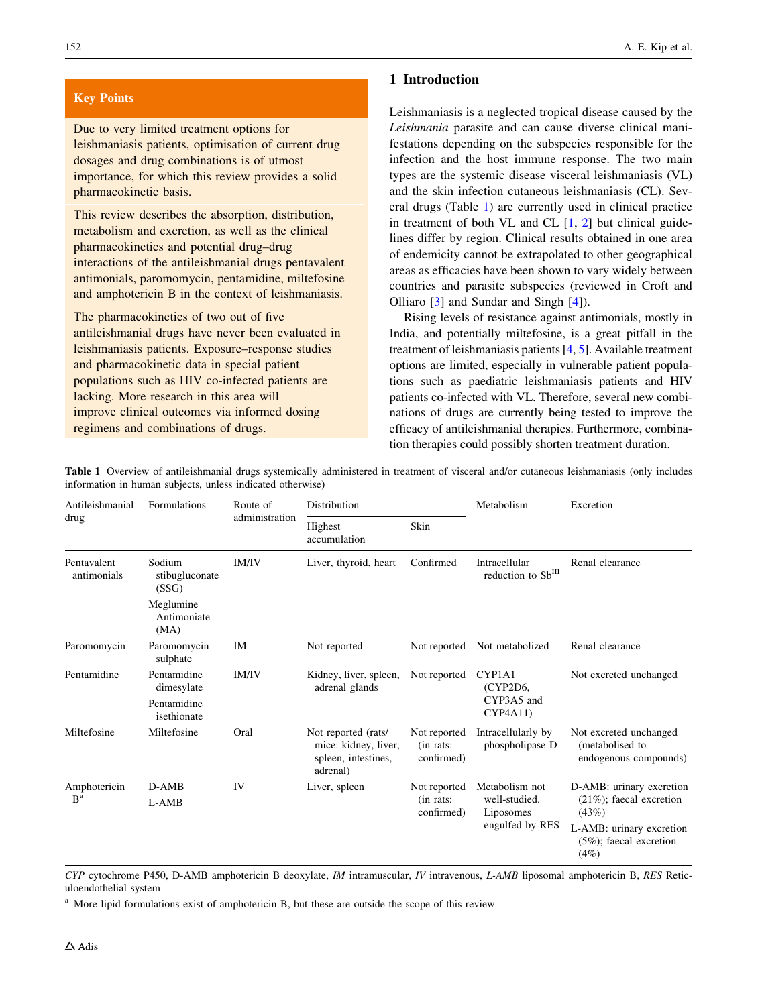## <span id="page-1-0"></span>Key Points

Due to very limited treatment options for leishmaniasis patients, optimisation of current drug dosages and drug combinations is of utmost importance, for which this review provides a solid pharmacokinetic basis.

This review describes the absorption, distribution, metabolism and excretion, as well as the clinical pharmacokinetics and potential drug–drug interactions of the antileishmanial drugs pentavalent antimonials, paromomycin, pentamidine, miltefosine and amphotericin B in the context of leishmaniasis.

The pharmacokinetics of two out of five antileishmanial drugs have never been evaluated in leishmaniasis patients. Exposure–response studies and pharmacokinetic data in special patient populations such as HIV co-infected patients are lacking. More research in this area will improve clinical outcomes via informed dosing regimens and combinations of drugs.

## 1 Introduction

Leishmaniasis is a neglected tropical disease caused by the Leishmania parasite and can cause diverse clinical manifestations depending on the subspecies responsible for the infection and the host immune response. The two main types are the systemic disease visceral leishmaniasis (VL) and the skin infection cutaneous leishmaniasis (CL). Several drugs (Table 1) are currently used in clinical practice in treatment of both VL and CL  $[1, 2]$  $[1, 2]$  $[1, 2]$  $[1, 2]$  but clinical guidelines differ by region. Clinical results obtained in one area of endemicity cannot be extrapolated to other geographical areas as efficacies have been shown to vary widely between countries and parasite subspecies (reviewed in Croft and Olliaro [\[3](#page-21-0)] and Sundar and Singh [[4\]](#page-21-0)).

Rising levels of resistance against antimonials, mostly in India, and potentially miltefosine, is a great pitfall in the treatment of leishmaniasis patients [\[4](#page-21-0), [5](#page-21-0)]. Available treatment options are limited, especially in vulnerable patient populations such as paediatric leishmaniasis patients and HIV patients co-infected with VL. Therefore, several new combinations of drugs are currently being tested to improve the efficacy of antileishmanial therapies. Furthermore, combination therapies could possibly shorten treatment duration.

| Antileishmanial            | Formulations                      | Route of       | Distribution                                                                   |                                         | Metabolism                            | Excretion                                                          |
|----------------------------|-----------------------------------|----------------|--------------------------------------------------------------------------------|-----------------------------------------|---------------------------------------|--------------------------------------------------------------------|
| drug                       |                                   | administration | Highest<br>accumulation                                                        | Skin                                    |                                       |                                                                    |
| Pentavalent<br>antimonials | Sodium<br>stibugluconate<br>(SSG) | <b>IM/IV</b>   | Liver, thyroid, heart                                                          | Confirmed                               | Intracellular<br>reduction to SbIII   | Renal clearance                                                    |
|                            | Meglumine<br>Antimoniate<br>(MA)  |                |                                                                                |                                         |                                       |                                                                    |
| Paromomycin                | Paromomycin<br>sulphate           | IM             | Not reported                                                                   | Not reported                            | Not metabolized                       | Renal clearance                                                    |
| Pentamidine                | Pentamidine<br>dimesylate         | <b>IM/IV</b>   | Kidney, liver, spleen,<br>adrenal glands                                       | Not reported                            | CYP1A1<br>(CYP2D6,                    | Not excreted unchanged                                             |
|                            | Pentamidine<br>isethionate        | Oral<br>IV     |                                                                                |                                         | CYP3A5 and<br>CYP4A11)                |                                                                    |
| Miltefosine                | Miltefosine                       |                | Not reported (rats/<br>mice: kidney, liver,<br>spleen, intestines,<br>adrenal) | Not reported<br>(in rats:<br>confirmed) | Intracellularly by<br>phospholipase D | Not excreted unchanged<br>(metabolised to<br>endogenous compounds) |
| Amphotericin               | $D-AMB$                           |                | Liver, spleen                                                                  | Not reported                            | Metabolism not                        | D-AMB: urinary excretion                                           |
| R <sup>a</sup>             | L-AMB                             |                |                                                                                | (in rats:<br>confirmed)                 | well-studied.<br>Liposomes            | $(21\%)$ ; faecal excretion<br>(43%)                               |
|                            |                                   |                |                                                                                |                                         | engulfed by RES                       | L-AMB: urinary excretion<br>$(5\%)$ ; faecal excretion<br>(4%)     |

Table 1 Overview of antileishmanial drugs systemically administered in treatment of visceral and/or cutaneous leishmaniasis (only includes information in human subjects, unless indicated otherwise)

CYP cytochrome P450, D-AMB amphotericin B deoxylate, IM intramuscular, IV intravenous, L-AMB liposomal amphotericin B, RES Reticuloendothelial system

<sup>a</sup> More lipid formulations exist of amphotericin B, but these are outside the scope of this review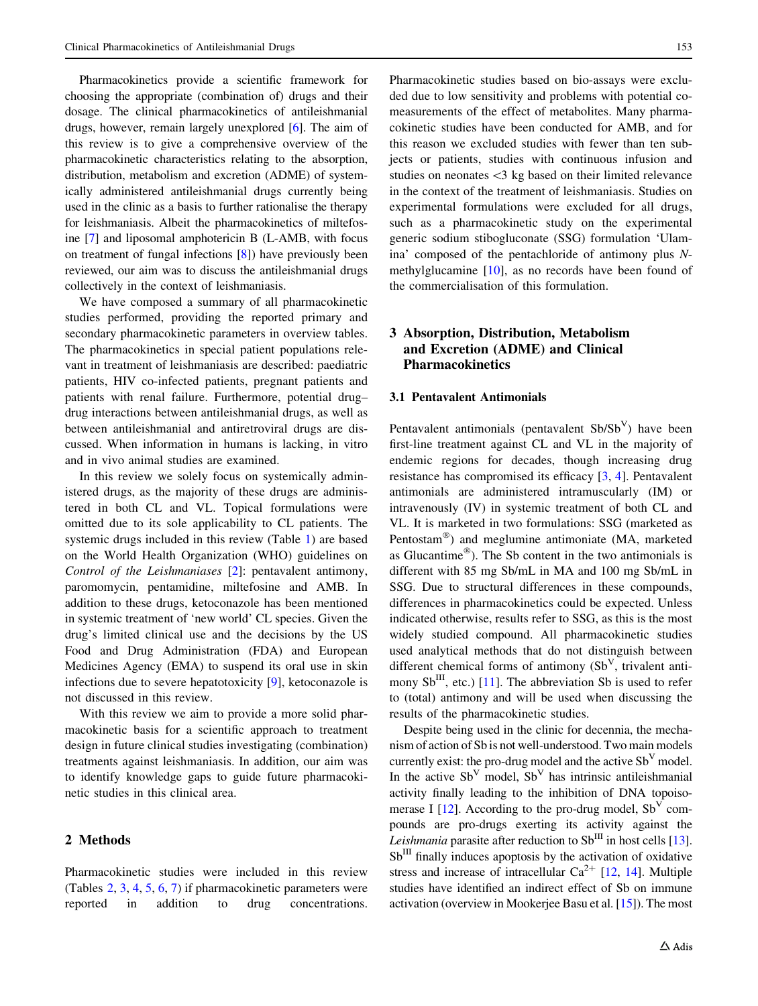Pharmacokinetics provide a scientific framework for choosing the appropriate (combination of) drugs and their dosage. The clinical pharmacokinetics of antileishmanial drugs, however, remain largely unexplored [\[6\]](#page-21-0). The aim of this review is to give a comprehensive overview of the pharmacokinetic characteristics relating to the absorption, distribution, metabolism and excretion (ADME) of systemically administered antileishmanial drugs currently being used in the clinic as a basis to further rationalise the therapy for leishmaniasis. Albeit the pharmacokinetics of miltefosine [[7\]](#page-21-0) and liposomal amphotericin B (L-AMB, with focus on treatment of fungal infections [\[8](#page-21-0)]) have previously been reviewed, our aim was to discuss the antileishmanial drugs collectively in the context of leishmaniasis.

We have composed a summary of all pharmacokinetic studies performed, providing the reported primary and secondary pharmacokinetic parameters in overview tables. The pharmacokinetics in special patient populations relevant in treatment of leishmaniasis are described: paediatric patients, HIV co-infected patients, pregnant patients and patients with renal failure. Furthermore, potential drug– drug interactions between antileishmanial drugs, as well as between antileishmanial and antiretroviral drugs are discussed. When information in humans is lacking, in vitro and in vivo animal studies are examined.

In this review we solely focus on systemically administered drugs, as the majority of these drugs are administered in both CL and VL. Topical formulations were omitted due to its sole applicability to CL patients. The systemic drugs included in this review (Table [1\)](#page-1-0) are based on the World Health Organization (WHO) guidelines on Control of the Leishmaniases [\[2](#page-21-0)]: pentavalent antimony, paromomycin, pentamidine, miltefosine and AMB. In addition to these drugs, ketoconazole has been mentioned in systemic treatment of 'new world' CL species. Given the drug's limited clinical use and the decisions by the US Food and Drug Administration (FDA) and European Medicines Agency (EMA) to suspend its oral use in skin infections due to severe hepatotoxicity [\[9](#page-21-0)], ketoconazole is not discussed in this review.

With this review we aim to provide a more solid pharmacokinetic basis for a scientific approach to treatment design in future clinical studies investigating (combination) treatments against leishmaniasis. In addition, our aim was to identify knowledge gaps to guide future pharmacokinetic studies in this clinical area.

# 2 Methods

Pharmacokinetic studies were included in this review (Tables [2](#page-3-0), [3](#page-5-0), [4](#page-6-0), [5](#page-8-0), [6](#page-10-0), [7](#page-12-0)) if pharmacokinetic parameters were reported in addition to drug concentrations.

Pharmacokinetic studies based on bio-assays were excluded due to low sensitivity and problems with potential comeasurements of the effect of metabolites. Many pharmacokinetic studies have been conducted for AMB, and for this reason we excluded studies with fewer than ten subjects or patients, studies with continuous infusion and studies on neonates  $\leq$  kg based on their limited relevance in the context of the treatment of leishmaniasis. Studies on experimental formulations were excluded for all drugs, such as a pharmacokinetic study on the experimental generic sodium stibogluconate (SSG) formulation 'Ulamina' composed of the pentachloride of antimony plus Nmethylglucamine [\[10](#page-21-0)], as no records have been found of the commercialisation of this formulation.

# 3 Absorption, Distribution, Metabolism and Excretion (ADME) and Clinical Pharmacokinetics

#### 3.1 Pentavalent Antimonials

Pentavalent antimonials (pentavalent  $Sb/Sb<sup>V</sup>$ ) have been first-line treatment against CL and VL in the majority of endemic regions for decades, though increasing drug resistance has compromised its efficacy [\[3](#page-21-0), [4\]](#page-21-0). Pentavalent antimonials are administered intramuscularly (IM) or intravenously (IV) in systemic treatment of both CL and VL. It is marketed in two formulations: SSG (marketed as Pentostam<sup>®</sup>) and meglumine antimoniate (MA, marketed as Glucantime<sup>®</sup>). The Sb content in the two antimonials is different with 85 mg Sb/mL in MA and 100 mg Sb/mL in SSG. Due to structural differences in these compounds, differences in pharmacokinetics could be expected. Unless indicated otherwise, results refer to SSG, as this is the most widely studied compound. All pharmacokinetic studies used analytical methods that do not distinguish between different chemical forms of antimony  $(Sb<sup>V</sup>)$ , trivalent antimony  $Sb^{III}$ , etc.) [[11\]](#page-21-0). The abbreviation Sb is used to refer to (total) antimony and will be used when discussing the results of the pharmacokinetic studies.

Despite being used in the clinic for decennia, the mechanism of action of Sb is not well-understood. Two main models currently exist: the pro-drug model and the active  $Sb<sup>V</sup>$  model. In the active  $Sb<sup>V</sup>$  model,  $Sb<sup>V</sup>$  has intrinsic antileishmanial activity finally leading to the inhibition of DNA topoisomerase I  $[12]$ . According to the pro-drug model,  $Sb<sup>V</sup>$  compounds are pro-drugs exerting its activity against the Leishmania parasite after reduction to  $Sb^{III}$  in host cells [[13\]](#page-21-0).  $Sb<sup>III</sup>$  finally induces apoptosis by the activation of oxidative stress and increase of intracellular  $Ca^{2+}$  [\[12](#page-21-0), [14](#page-21-0)]. Multiple studies have identified an indirect effect of Sb on immune activation (overview in Mookerjee Basu et al. [\[15](#page-21-0)]). The most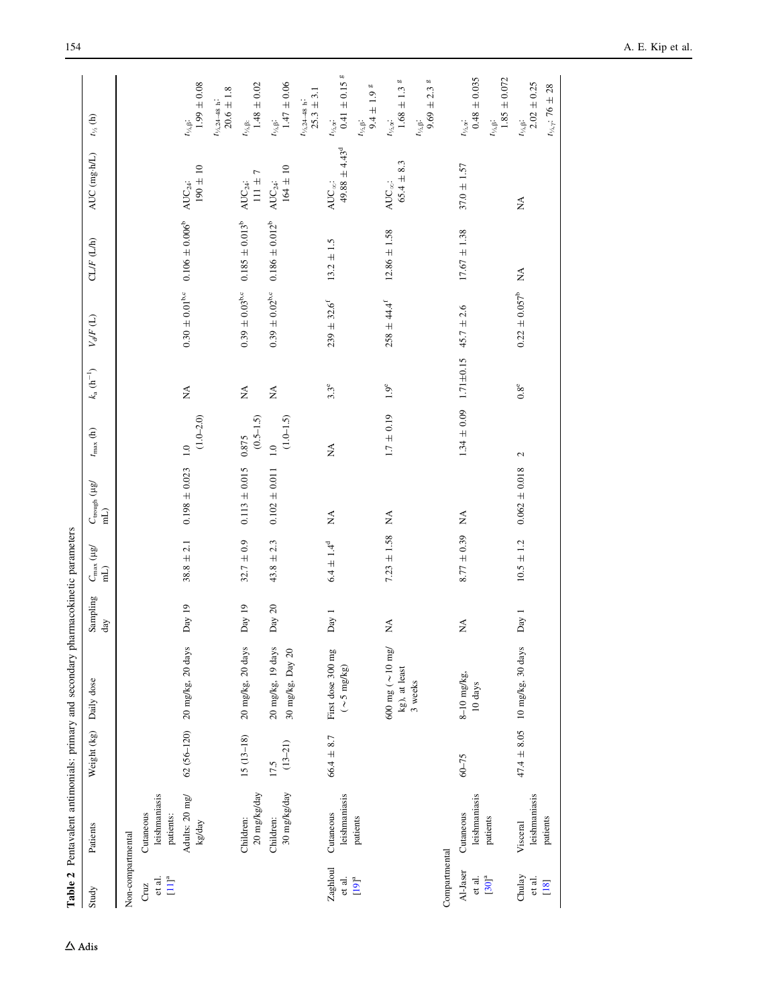<span id="page-3-0"></span>

| Study                          | Patients                                | Weight (kg)         | Daily dose                                        | Sampling<br>$_{\rm day}$ | $C_{\rm max}$ (µg/ ${\rm mL}$ | $C_{\rm trough}$ ( $\mu$ g/<br>$\widehat{H}$ | $t_{\rm max}$ (h)               | $k_{\rm a}\,(\rm h^{-1})$      | $V_{\rm d}F\left(\rm L\right)$ | CLF(L/h)                                                    | AUC (mg-h/L)                            | $t_{\nu_2}$ (h)                                                                |
|--------------------------------|-----------------------------------------|---------------------|---------------------------------------------------|--------------------------|-------------------------------|----------------------------------------------|---------------------------------|--------------------------------|--------------------------------|-------------------------------------------------------------|-----------------------------------------|--------------------------------------------------------------------------------|
| Non-compartmental              |                                         |                     |                                                   |                          |                               |                                              |                                 |                                |                                |                                                             |                                         |                                                                                |
| $[11]^{a}$<br>et al.<br>Cruz   | leishmaniasis<br>Cutaneous<br>patients: |                     |                                                   |                          |                               |                                              |                                 |                                |                                |                                                             |                                         |                                                                                |
|                                | Adults: 20 mg/<br>kg/day                |                     | 62 (56-120) 20 mg/kg, 20 days                     | Day 19                   | $38.8 \pm 2.1$                | $0.198 \pm 0.023$                            | $(1.0 - 2.0)$<br>1.0            | $\lessapprox$                  |                                | $0.30 \pm 0.01^{\text{b,c}}$ 0.106 $\pm$ 0.006 <sup>b</sup> | $190 \pm 10$<br>$\mathrm{AUC}_{24}$ :   | $1.99\pm0.08$<br>$t_{\gamma_2,\beta}.$                                         |
|                                |                                         |                     |                                                   |                          |                               |                                              |                                 |                                |                                |                                                             |                                         | $20.6 \pm 1.8$<br>$t_{\rm V_2,24-48~h}.$                                       |
|                                | 20 mg/kg/day<br>Children:               | $15(13-18)$         | 20 mg/kg, 20 days                                 | Day 19                   | $32.7 \pm 0.9$                | $0.113 \pm 0.015$                            | $(0.5 - 1.5)$<br>0.875          | $\stackrel{\triangle}{\geq}$   | $0.39\,\pm\,0.03^{\rm b.c}$    | $0.185 \pm 0.013^{b}$                                       | $111 \pm 7$<br>$AUC_{24}$ :             | $1.48 \pm 0.02$<br>$t_{\rm V_A,B:}$                                            |
|                                | 30 mg/kg/day<br>Children:               | $(13 - 21)$<br>17.5 | 20 mg/kg, 19 days<br>30 mg/kg, Day 20             | Day $20$                 | $43.8 \pm 2.3$                | $0.102 \pm 0.011$                            | $(1.0 - 1.5)$<br>1.0            | $\stackrel{\triangle}{\Sigma}$ | $0.39\,\pm\,0.02^{\rm b,c}$    | $0.186 \pm 0.012^b$                                         | $164 \pm 10$<br>$\mathrm{AUC}_{24}$ :   | $1.47 \pm 0.06$<br>$t_{\rm V_2,B}$                                             |
|                                |                                         |                     |                                                   |                          |                               |                                              |                                 |                                |                                |                                                             |                                         | $25.3 \pm 3.1$<br>$t_{\rm V_2,24-48}$ h                                        |
| Zaghloul<br>et al.<br>$[19]^a$ | leishmaniasis<br>Cutaneous<br>patients  | $66.4 \pm 8.7$      | First dose 300 mg<br>$(\sim 5 \text{ mg/kg})$     | Day 1                    | $6.4 \pm 1.4^d$               | $\stackrel{\triangle}{\simeq}$               | $\lesssim$                      | $3.3^e$                        | $239 \pm 32.6$ <sup>f</sup>    | $13.2 \pm 1.5$                                              | $49.88 \pm 4.43^d$<br>AUC $_{\infty}$ : | <b>bū</b><br>$0.41 \pm 0.15$<br>$t_{\gamma_2,\alpha}.$<br>$t_{\rm V_2,B}$ :    |
|                                |                                         |                     | $600 \text{ mg}$ ( $\sim$ 10 mg/<br>kg), at least | $\lessapprox$            | $7.23 \pm 1.58$               | $\lesssim$                                   | $1.7 \pm 0.19$                  | $1.9^e$                        | $258 \pm 44.4^{\rm f}$         | $12.86 \pm 1.58$                                            | $65.4 \pm 8.3$<br>AUC $_{\infty}$ :     | 00<br>$9.4 \pm 1.9$ 8<br>$1.68\,\pm\,1.3$<br>$t_{\mathcal{V}_2,\mathbf{z}}$    |
|                                |                                         |                     | 3 weeks                                           |                          |                               |                                              |                                 |                                |                                |                                                             |                                         | <b>bD</b><br>$9.69 \pm 2.3$<br>$t_{\rm V_2,B}$ :                               |
| Compartmental                  |                                         |                     |                                                   |                          |                               |                                              |                                 |                                |                                |                                                             |                                         |                                                                                |
| Al-Jaser<br>et al.             | leishmaniasis<br>Cutaneous              | $60 - 75$           | $8-10$ mg/kg,<br>$10~{\rm days}$                  | $\lesssim$               | $8.77 \pm 0.39$               | $\lesssim$                                   | $1.34 \pm 0.09$ $1.71 \pm 0.15$ |                                | $45.7 \pm 2.6$                 | $17.67 \pm 1.38$                                            | $37.0 \pm 1.57$                         | $0.48 \pm 0.035$<br>$t_{\gamma_2,\alpha}$ :                                    |
| $[30]$ <sup>a</sup>            | patients                                |                     |                                                   |                          |                               |                                              |                                 |                                |                                |                                                             |                                         | $1.85 \pm 0.072$<br>$t_{\rm V_2,B}$ :                                          |
| Chulay<br>et al.<br>[18]       | leishmaniasis<br>patients<br>Visceral   |                     | $47.4 \pm 8.05$ 10 mg/kg, 30 days                 | Day 1                    | $10.5 \pm 1.2$                | $0.062 \pm 0.018$                            | $\mathcal{L}$                   | $0.8^e$                        | $0.22 \pm 0.057^b$             | $\stackrel{\triangle}{\approx}$                             | $\stackrel{\blacktriangle}{\geq}$       | $2.02 \pm 0.25$<br>$t_{\frac{1}{2},\gamma}$ : 76 ± 28<br>$t_{\gamma_2,\beta}.$ |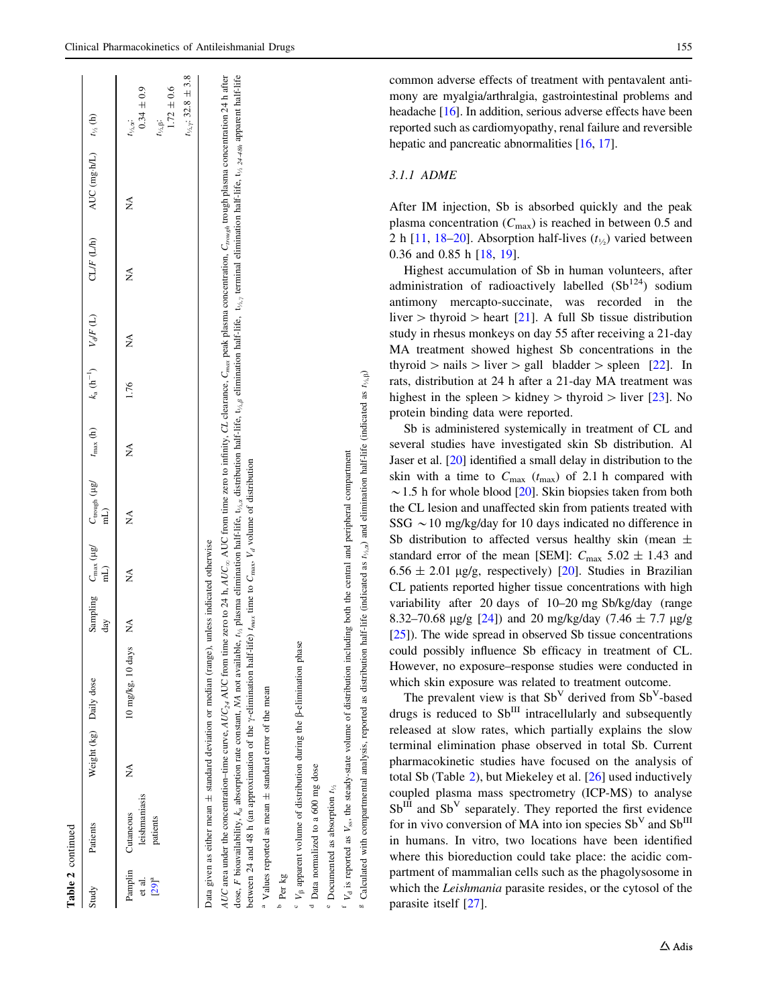| Table 2 continued               |                                                |                        |                                                                                                                                                                                                                                                                                                                                                                                                                                                                                                                                                        |     |                        |                                                                                                                         |   |      |   |            |                                                                                                                                                                                                                               |                                                                                                                                   |
|---------------------------------|------------------------------------------------|------------------------|--------------------------------------------------------------------------------------------------------------------------------------------------------------------------------------------------------------------------------------------------------------------------------------------------------------------------------------------------------------------------------------------------------------------------------------------------------------------------------------------------------------------------------------------------------|-----|------------------------|-------------------------------------------------------------------------------------------------------------------------|---|------|---|------------|-------------------------------------------------------------------------------------------------------------------------------------------------------------------------------------------------------------------------------|-----------------------------------------------------------------------------------------------------------------------------------|
| Study                           | Patients                                       | Weight (kg) Daily dose |                                                                                                                                                                                                                                                                                                                                                                                                                                                                                                                                                        | day | $\overline{\text{nl}}$ | Sampling $C_{\text{max}}$ (ig/ $C_{\text{rough}}$ (ig/ $t_{\text{max}}$ (h) $k_a$ (h <sup>-1</sup> ) $V_d/F$ (L)<br>(Ln |   |      |   | CLIF (L/h) | AUC (mg·h/L) $t_{\nu_A}$ (h)                                                                                                                                                                                                  |                                                                                                                                   |
| ದ .<br>ರ<br>$[29]$ <sup>a</sup> | leishmaniasis<br>Pamplin Cutaneous<br>patients | ∕<br>Z                 | 10 mg/kg, 10 days                                                                                                                                                                                                                                                                                                                                                                                                                                                                                                                                      | Ź   | Ź                      | ź                                                                                                                       | ź | 1.76 | Ź | ≸          | Ź                                                                                                                                                                                                                             | $t_{\frac{1}{3},\gamma}$ : 32.8 ± 3.8<br>$1.72 \pm 0.6$<br>$0.34 \pm 0.9$<br>$t_{\frac{1}{2},\beta}$ :<br>$t_{\gamma_2,\alpha}$ . |
|                                 |                                                |                        | AUC area under the concentration-time curve, AUC from time zero to 24 h, AUC from time zero to infinity, CL clearance, C <sub>max</sub> peak plasma concentration, C <sub>rough</sub> trough plasma concentration 24 h after<br>between 24 and 48 h (an approximation of the $\gamma$ -elimination half-life) $t_{max}$ time to $C_{max}$ , $V_d$ volume of distribution<br>Data given as either mean ± standard deviation or median (range), unless indicated otherwise<br>dose, F bioavailability, $k_a$ absorption rate constant, NA not available, |     |                        |                                                                                                                         |   |      |   |            | $t_{\lambda}$ plasma elimination half-life, $t_{\lambda,2}$ distribution half-life, $t_{\lambda,\beta}$ elimination half-life, $t_{\lambda,\gamma}$ terminal elimination half-life, $t_{\lambda,2,2,4,30}$ apparent half-life |                                                                                                                                   |

V<sub>ss</sub>, the steady-state volume of distribution including both the central and peripheral compartment  $V_{\rm ss}$ , the steady-state volume of distribution including both the central and peripheral compartment  $V_d$  is reported as  $V<sub>d</sub>$  is reported as

Values reported as mean

b Per kg

Values reported as mean  $\pm$  standard error of the mean

 $V_8$  apparent volume of distribution during the  $\beta$ -elimination phase  $\epsilon$   $V_{\beta}$  apparent volume of distribution during the  $\beta$ -elimination phase

<sup>d</sup> Data normalized to a 600 mg dose Data normalized to a 600 mg dose

e

g

 $^{\circ}$  Documented as absorption  $t_{\frac{1}{2}}$ 

standard error of the mean

 $\epsilon$  Calculated with compartmental analysis, reported as distribution half-life (indicated as  $t_{1/2}$  $_{\alpha}$ ) and elimination half-life (indicated as  $t_{\gamma_2}$ 

ି

common adverse effects of treatment with pentavalent antimony are myalgia/arthralgia, gastrointestinal problems and headache [\[16](#page-21-0)]. In addition, serious adverse effects have been reported such as cardiomyopathy, renal failure and reversible hepatic and pancreatic abnormalities [\[16](#page-21-0), [17\]](#page-21-0).

# 3.1.1 ADME

After IM injection, Sb is absorbed quickly and the peak plasma concentration  $(C_{\text{max}})$  is reached in between 0.5 and 2 h [[11,](#page-21-0) [18–20](#page-21-0)]. Absorption half-lives  $(t_{1/2})$  varied between 0.36 and 0.85 h [\[18](#page-21-0), [19\]](#page-21-0).

Highest accumulation of Sb in human volunteers, after administration of radioactively labelled  $(Sb^{124})$  sodium antimony mercapto-succinate, was recorded in the liver  $>$  thyroid  $>$  heart [\[21](#page-21-0)]. A full Sb tissue distribution study in rhesus monkeys on day 55 after receiving a 21-day MA treatment showed highest Sb concentrations in the thyroid  $>$  nails  $>$  liver  $>$  gall bladder  $>$  spleen [\[22](#page-21-0)]. In rats, distribution at 24 h after a 21-day MA treatment was highest in the spleen  $\gt$  kidney  $\gt$  thyroid  $\gt$  liver [[23\]](#page-21-0). No protein binding data were reported.

Sb is administered systemically in treatment of CL and several studies have investigated skin Sb distribution. Al Jaser et al. [[20](#page-21-0)] identified a small delay in distribution to the skin with a time to  $C_{\text{max}}$  ( $t_{\text{max}}$ ) of 2.1 h compared with  $\sim$  1.5 h for whole blood [[20\]](#page-21-0). Skin biopsies taken from both the CL lesion and unaffected skin from patients treated with SSG  $\sim$  10 mg/kg/day for 10 days indicated no difference in Sb distribution to affected versus healthy skin (mean  $\pm$ standard error of the mean [SEM]:  $C_{\text{max}}$  5.02  $\pm$  1.43 and  $6.56 \pm 2.01$  µg/g, respectively) [[20\]](#page-21-0). Studies in Brazilian CL patients reported higher tissue concentrations with high variability after 20 days of 10–20 mg Sb/kg/day (range 8.32–70.68  $\mu$ g/g [[24](#page-21-0)]) and 20 mg/kg/day (7.46  $\pm$  7.7  $\mu$ g/g [\[25](#page-21-0)]). The wide spread in observed Sb tissue concentrations could possibly influence Sb efficacy in treatment of CL. However, no exposure–response studies were conducted in which skin exposure was related to treatment outcome.

The prevalent view is that  $Sb<sup>V</sup>$  derived from  $Sb<sup>V</sup>$ -based drugs is reduced to  $Sb$ <sup>III</sup> intracellularly and subsequently released at slow rates, which partially explains the slow terminal elimination phase observed in total Sb. Current pharmacokinetic studies have focused on the analysis of total Sb (Table [2\)](#page-3-0), but Miekeley et al. [[26\]](#page-21-0) used inductively coupled plasma mass spectrometry (ICP-MS) to analyse  $Sb$ <sup>III</sup> and  $Sb<sup>V</sup>$  separately. They reported the first evidence for in vivo conversion of MA into ion species  $Sb<sup>V</sup>$  and  $Sb<sup>III</sup>$ in humans. In vitro, two locations have been identified where this bioreduction could take place: the acidic compartment of mammalian cells such as the phagolysosome in which the Leishmania parasite resides, or the cytosol of the parasite itself [\[27](#page-21-0)].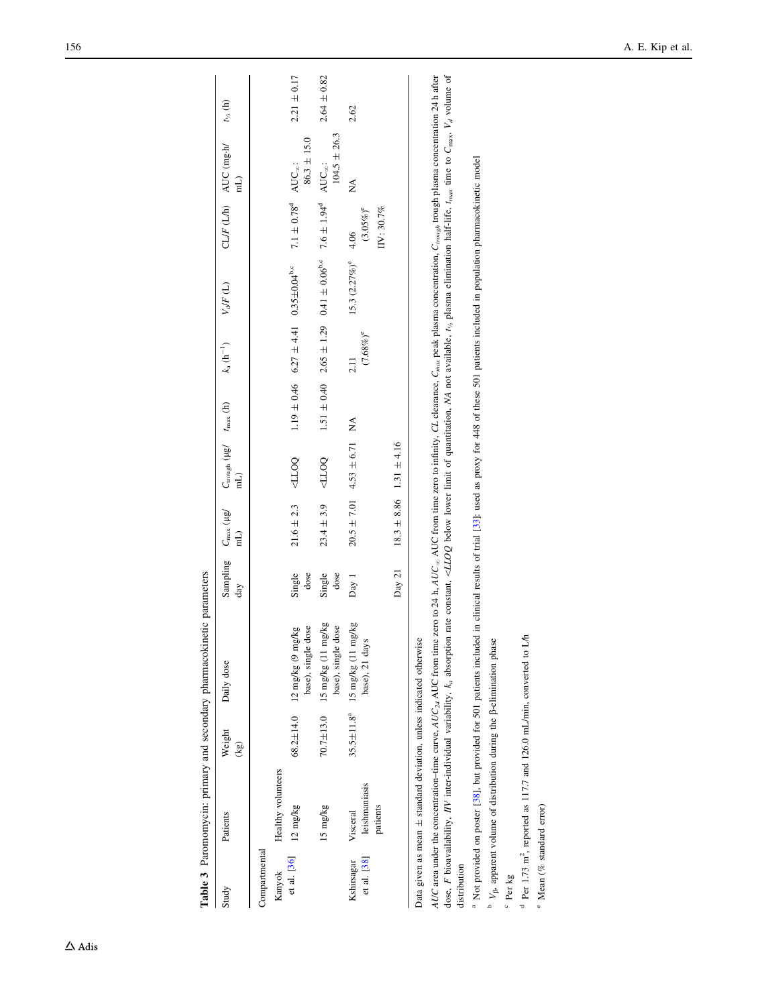<span id="page-5-0"></span>

|                           |                                                                                  |                 | Table 3 Paromomycin: primary and secondary pharmacokinetic parameters                                                                                                                                                                                                                                                                                                                                                                                                                                                                                                   |                                       |                |                                                     |                 |                            |                                                                                                                             |                                    |                                           |                       |
|---------------------------|----------------------------------------------------------------------------------|-----------------|-------------------------------------------------------------------------------------------------------------------------------------------------------------------------------------------------------------------------------------------------------------------------------------------------------------------------------------------------------------------------------------------------------------------------------------------------------------------------------------------------------------------------------------------------------------------------|---------------------------------------|----------------|-----------------------------------------------------|-----------------|----------------------------|-----------------------------------------------------------------------------------------------------------------------------|------------------------------------|-------------------------------------------|-----------------------|
| Study                     | Patients                                                                         | Weight<br>(kg)  | Daily dose                                                                                                                                                                                                                                                                                                                                                                                                                                                                                                                                                              | Sampling C <sub>max</sub> (µg/<br>day | (Lm            | $C_{\text{trough}}$ ( $\mu g'$ $t_{\text{max}}$ (h) |                 | $k_{a}$ (h <sup>-1</sup> ) | $V_d$ F(L)                                                                                                                  |                                    | $CL/F(L/h)$ AUC (mg-h/<br>$\overline{nl}$ | $t_{\frac{1}{2}}$ (h) |
| Compartmental             |                                                                                  |                 |                                                                                                                                                                                                                                                                                                                                                                                                                                                                                                                                                                         |                                       |                |                                                     |                 |                            |                                                                                                                             |                                    |                                           |                       |
| Kanyok                    | Healthy volunteers                                                               |                 |                                                                                                                                                                                                                                                                                                                                                                                                                                                                                                                                                                         |                                       |                |                                                     |                 |                            |                                                                                                                             |                                    |                                           |                       |
| et al. [36]               | $12 \text{ mg/kg}$                                                               |                 | base), single dose<br>68.2 $\pm$ 14.0 12 mg/kg (9 mg/kg                                                                                                                                                                                                                                                                                                                                                                                                                                                                                                                 | Single<br>dose                        | $21.6 \pm 2.3$ | OOTP                                                |                 |                            | $1.19 \pm 0.46$ $6.27 \pm 4.41$ $0.35 \pm 0.04^{\text{b,c}}$                                                                | $7.1 \pm 0.78$ <sup>d</sup>        | $86.3 \pm 15.0$<br>$AUC_{\infty}$ :       | $2.21 \pm 0.17$       |
|                           | 15 mg/kg                                                                         | $70.7 \pm 13.0$ | 15 mg/kg (11 mg/kg<br>base), single dose                                                                                                                                                                                                                                                                                                                                                                                                                                                                                                                                | Single<br>dose                        | $23.4 \pm 3.9$ | OCTP                                                | $1.51 \pm 0.40$ |                            | $2.65 \pm 1.29$ 0.41 $\pm$ 0.06 <sup>b,c</sup> 7.6 $\pm$ 1.94 <sup>d</sup>                                                  |                                    | $104.5 \pm 26.3$<br>$AUC_{\infty}$ :      | $2.64 \pm 0.82$       |
| et al. [38]<br>Kshirsagar | leishmaniasis<br>patients<br>Visceral                                            |                 | $35.5 \pm 11.8^a$ 15 mg/kg (11 mg/kg)<br>base), 21 days                                                                                                                                                                                                                                                                                                                                                                                                                                                                                                                 | Day 1                                 |                | $20.5 \pm 7.01$ 4.53 $\pm$ 6.71                     | ₹<br>X          | $(7.68\%)^e$<br>2.11       | $15.3 (2.27%)^e$                                                                                                            | IIV: 30.7%<br>$(3.05\%)^e$<br>4.06 | ≸                                         | 2.62                  |
|                           |                                                                                  |                 |                                                                                                                                                                                                                                                                                                                                                                                                                                                                                                                                                                         | Day 21                                |                | $18.3 \pm 8.86$ 1.31 $\pm 4.16$                     |                 |                            |                                                                                                                             |                                    |                                           |                       |
|                           | Data given as mean ± standard deviation, unless indicated otherwise              |                 |                                                                                                                                                                                                                                                                                                                                                                                                                                                                                                                                                                         |                                       |                |                                                     |                 |                            |                                                                                                                             |                                    |                                           |                       |
| distribution              |                                                                                  |                 | dose, F bioavailability, IIV inter-individual variability, $k_a$ absorption rate constant, <lloq <math="" available,="" below="" limit="" lower="" ma="" not="" of="" quantitation,="">t_{\alpha} plasma elimination half-life, <math>t_{max}</math> time to <math>C_{max}</math>, <math>V_a</math> volume<br/>AUC area under the concentration-time curve, AUC <math>_{24}</math> AUC from time zero to 24 h, AUC from time zero to infinity, CL clearance, C<sub>max</sub> peak plasma concentration, C<sub>rough</sub> trough plasma concentration 24 h after</lloq> |                                       |                |                                                     |                 |                            |                                                                                                                             |                                    |                                           |                       |
|                           | <sup>a</sup> Not provided on poster [38], but provided for 501 patients included |                 |                                                                                                                                                                                                                                                                                                                                                                                                                                                                                                                                                                         |                                       |                |                                                     |                 |                            | in clinical results of trial [33]: used as proxy for 448 of these 501 patients included in population pharmacokinetic model |                                    |                                           |                       |

<sup>a</sup> Not provided on poster [\[38](#page-22-0)], but provided for 501 patients included in clinical results of trial [[33](#page-22-0)]: used as proxy for 448 of these 501 patients included in population pharmacokinetic model

<sup>b</sup>  $V_{\beta}$ , apparent volume of distribution during the  $\beta$ -elimination phase  $\mathbb{P}_V_{\beta}$ , apparent volume of distribution during the  $\beta$ -elimination phase

c Per kg

 $^{\rm d}$  Per 1.73 m<sup>2</sup>, reported as 117.7 and 126.0 mL/min, converted to L/h  $^{4}$  Per 1.73 m<sup>2</sup>, reported as 117.7 and 126.0 mL/min, converted to L/h

e Mean (% standard error) Mean (% standard error)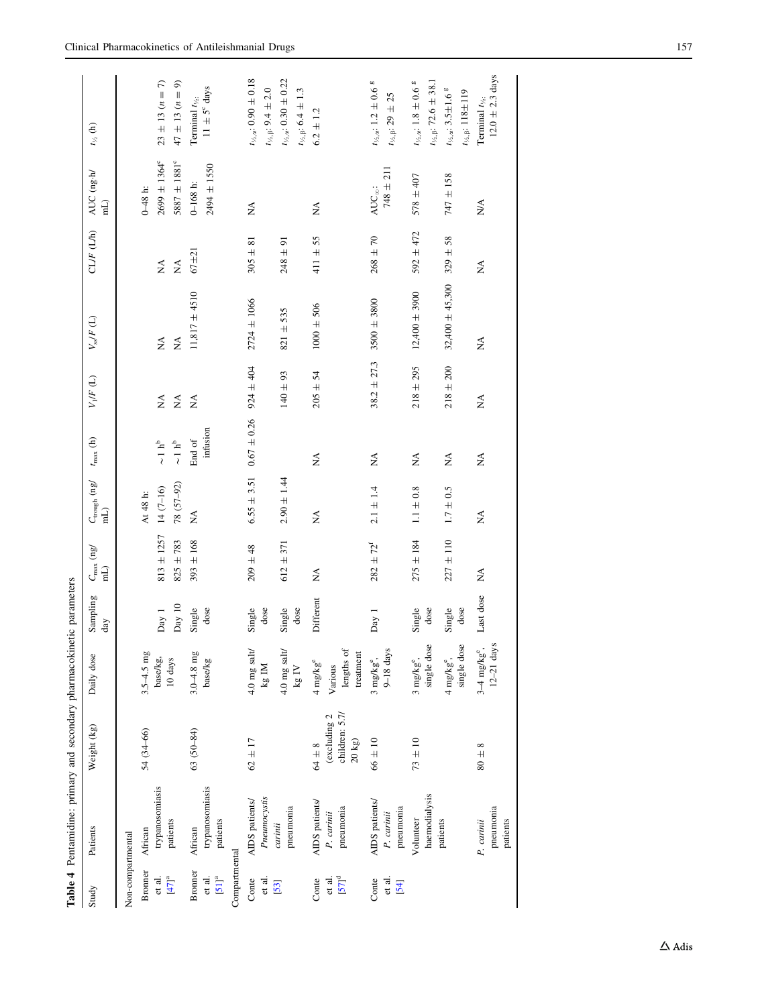<span id="page-6-0"></span>

|                                     | Table 4 Pentamidine: primary and secondary pharmacokinetic parameters |                                                      |                                            |                 |                         |                                         |                                               |                                |                                |                                |                                   |                                                                                                                   |
|-------------------------------------|-----------------------------------------------------------------------|------------------------------------------------------|--------------------------------------------|-----------------|-------------------------|-----------------------------------------|-----------------------------------------------|--------------------------------|--------------------------------|--------------------------------|-----------------------------------|-------------------------------------------------------------------------------------------------------------------|
| Study                               | Patients                                                              | Weight (kg)                                          | Daily dose                                 | Sampling<br>day | $\frac{C_{\max}}{\min}$ | $C_{\rm trough}$ (ng/<br>$\overline{H}$ | $t_{\rm max}$ (h)                             | $V_1/F(\mathbb{L})$            | $V_{\rm s} / F$ (L)            | CLIF (LM)                      | AUC (ng.h/<br>$\overline{h}$      | $t_{\gamma_2}$ (h)                                                                                                |
| Non-compartmental                   |                                                                       |                                                      |                                            |                 |                         |                                         |                                               |                                |                                |                                |                                   |                                                                                                                   |
| <b>Bronner</b>                      | African                                                               | 54 (34-66)                                           | $3.5 - 4.5$ mg                             |                 |                         | At 48 h:                                |                                               |                                |                                |                                | $0-48$ h:                         |                                                                                                                   |
| et al.                              | trypanosomiasis                                                       |                                                      | base/kg,                                   | Day 1           | $813 \pm 1257$          | $14(7-16)$                              | $\sim\!1~h^b$                                 | $\stackrel{\triangle}{\simeq}$ | $\stackrel{\triangle}{\simeq}$ | $\stackrel{\triangle}{\simeq}$ | $2699 \pm 1364^{\circ}$           | $23 \pm 13$ $(n = 7)$                                                                                             |
| $[47]^a$                            | patients                                                              |                                                      | $10~{\rm days}$                            | Day 10          | $825 + 783$             | 78 (57-92)                              | $\sim\!1~h^b$                                 | $\lessapprox$                  | $\lessapprox$                  | $\lessapprox$                  | $5887 \pm 1881^c$                 | $47 \pm 13 \ (n = 9)$                                                                                             |
| Bronner                             | African                                                               | 63 (50-84)                                           | $3.0 - 4.8$ mg                             | Single          | $393 \pm 168$           | Ź                                       | $\operatorname{End}$ of                       | $\boldsymbol{\hat{\Sigma}}$    | $11,817 \pm 4510$              | $67 + 21$                      | $0-168$ h:                        | Terminal $t_{\gamma_2}$ .                                                                                         |
| $\left[51\right]^{\rm a}$<br>et al. | trypanosomiasis<br>patients                                           |                                                      | base/kg                                    | dose            |                         |                                         | infusion                                      |                                |                                |                                | 2494 ± 1550                       | $11 \pm 5^{\circ}$ days                                                                                           |
| Compartmental                       |                                                                       |                                                      |                                            |                 |                         |                                         |                                               |                                |                                |                                |                                   |                                                                                                                   |
| et al.<br>Conte                     | Pneumocystis<br>AIDS patients/                                        | $62 \pm 17$                                          | $4.0$ mg salt/<br>kg IM                    | Single<br>dose  | $209 \pm 48$            | $6.55 \pm 3.51$                         | $0.67 \pm 0.26$                               | $924 \pm 404$                  | $2724 \pm 1066$                | $305 \pm 81$                   | Ź                                 | $t_{\rm V_2, z}\!\!:0.90\pm0.18$<br>$t_{\rm 1/3},\beta\colon 9.4\,\pm\,2.0$                                       |
| [53]                                | pneumonia<br>carinii                                                  |                                                      | $4.0$ mg salt/<br>$\rm kg~IV$              | Single<br>dose  | $612 \pm 371$           | $2.90 \pm 1.44$                         |                                               | $140\pm93$                     | $821 + 535$                    | $248 \pm 91$                   |                                   | $t_{\text{Vz},\alpha}$ : 0.30 $\pm$ 0.22<br>$t_{\rm \ensuremath{\mathnormal{\ell}}\xspace, \beta};$ 6.4 $\pm$ 1.3 |
| Conte                               | AIDS patients/                                                        | $64 \pm 8$                                           | $4 \text{ mg/kg}^e$                        | Different       | $\mathbb{X}$            | $\lessapprox$                           | $\stackrel{\triangle}{\simeq}$                | $205 \pm 54$                   | $1000 \pm 506$                 | $411 \pm 55$                   | Ź                                 | $6.2 \pm 1.2$                                                                                                     |
| $[57]^{d}$<br>et al.                | pneumonia<br>P. carinii                                               | children: 5.7/<br>(excluding 2<br>$20\;\mathrm{kg})$ | lengths of<br>treatment<br>Various         |                 |                         |                                         |                                               |                                |                                |                                |                                   |                                                                                                                   |
| et al.<br>Conte<br>[54]             | AIDS patients/<br>pneumonia<br>P. carinii                             | $66 \pm 10$                                          | $9-18$ days<br>$3$ mg/kg $^{\circ}$ ,      | Day 1           | $282 \pm 72^{f}$        | $2.1 \pm 1.4$                           | $\stackrel{\blacktriangle}{\scriptstyle\geq}$ | $38.2 \pm 27.3$                | $3500 \pm 3800$                | $268 \pm 70$                   | $748 \pm 211$<br>$AUC_{\infty}$ : | $t_{\text{V}_2,\text{a}}$ : 1.2 $\pm$ 0.6 $^{\rm g}$<br>$t_{\rm 7.6}\mathrm{:}29\pm25$                            |
|                                     | haemodialysis<br>Volunteer                                            | $73 \pm 10$                                          | single dose<br>$3$ mg/kg $^{\circ}$ ,      | Single<br>dose  | $275 \pm 184$           | $1.1\pm0.8$                             | $\mathbb{E}$                                  | $218 \pm 295$                  | $12,400 \pm 3900$              | $592 + 472$                    | $578 \pm 407$                     | $t_{\text{M},\alpha}:$ 1.8 $\pm$ 0.6 $^{\rm g}$<br>$t_{\rm 1/3}$ . 72.6 ± 38.1                                    |
|                                     | patients                                                              |                                                      | single dose<br>4 mg/kg <sup>e</sup> ,      | Single<br>dose  | $227 \pm 110$           | $1.7 \pm 0.5$                           | $\mathbb{X}^{\mathsf{A}}$                     | $218 \pm 200$                  | $32,400 \pm 45,300$            | $329 \pm 58$                   | $747 + 158$                       | $t_{\text{Vz},\alpha}$ : 3.5±1.6 $^{\rm g}$<br>$t_{\text{V}_\text{A},\beta}\text{: }118\text{}\pm\text{119}$      |
|                                     | pneumonia<br>patients<br>P. carinii                                   | $80 \pm 8$                                           | $12-21$ days<br>$3-4$ mg/kg <sup>e</sup> , | Last dose       | Ş                       | $\lessapprox$                           | $\stackrel{\triangle}{\simeq}$                | $\boldsymbol{\hat{\ge}}$       | Ş                              | $\lessapprox$                  | ΝÁ                                | $12.0 \pm 2.3$ days<br>Terminal $t_{\frac{1}{2}}$ :                                                               |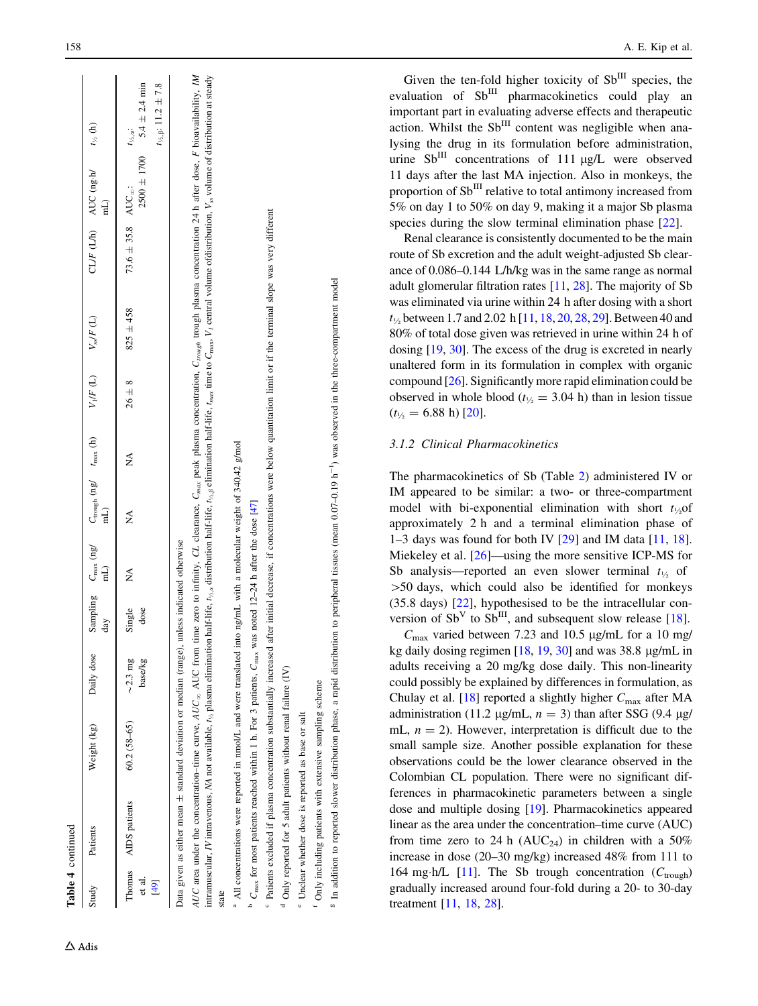|                          | Table 4 continued                                                                                                                                                                                                                                                                                                                                                                                                                                                                                                                                                                                                                  |               |                          |                |          |                                                                                     |        |            |                          |                                    |                                                 |                                                                                                         |
|--------------------------|------------------------------------------------------------------------------------------------------------------------------------------------------------------------------------------------------------------------------------------------------------------------------------------------------------------------------------------------------------------------------------------------------------------------------------------------------------------------------------------------------------------------------------------------------------------------------------------------------------------------------------|---------------|--------------------------|----------------|----------|-------------------------------------------------------------------------------------|--------|------------|--------------------------|------------------------------------|-------------------------------------------------|---------------------------------------------------------------------------------------------------------|
| Study                    | Patients                                                                                                                                                                                                                                                                                                                                                                                                                                                                                                                                                                                                                           | Weight (kg)   | Daily dose               | day            | $\rm mL$ | Sampling $C_{\text{max}}$ (ng/ $C_{\text{rough}}$ (ng/ $t_{\text{max}}$ (h)<br>(Lim |        |            | $V_1/F(L)$ $V_{ss}/F(L)$ |                                    | CL/F (L/h) AUC (ng·h/ $t_{\gamma_5}$ (h)<br>(Lm |                                                                                                         |
| Thomas<br>et al.<br>[49] | AIDS patients                                                                                                                                                                                                                                                                                                                                                                                                                                                                                                                                                                                                                      | $60.2(58-65)$ | $\sim$ 2.3 mg<br>base/kg | Single<br>dose | Ź        | Ź                                                                                   | ∕<br>Z | $26 \pm 8$ | $825 \pm 458$            | 73.6 $\pm$ 35.8 AUC <sub>∞</sub> : |                                                 | $2500 \pm 1700$ $5.4 \pm 2.4$ min<br>$t_{\frac{1}{2},\beta}$ : 11.2 ± 7.8<br>$t_{\frac{1}{2},\alpha}$ : |
| state                    | AUC area under the concentration-time curve, AUC <sub>36</sub> AUC from time zero to infinity, CL clearance, C <sub>nnax</sub> peak plasma concentration, C <sub>rough</sub> trough plasma concentration 24 h after dose, F bioavailability, M<br>intramuscular, <i>IV</i> intravenous, <i>NA</i> not available, $t_{\lambda}$ plasma elimination half-life, $t_{\lambda}$ astribution half-life, $t_{\lambda,\beta}$ elimination half-life, $t_{\lambda,\beta}$ elimination half-life, $t_{\lambda,\beta}$ elimination half-life,<br>Data given as either mean ± standard deviation or median (range), unless indicated otherwise |               |                          |                |          |                                                                                     |        |            |                          |                                    |                                                 |                                                                                                         |
|                          | <sup>a</sup> All concentrations were reported in nmol/L and were translated into ng/mL with a molecular weight of 340.42 g/mol<br>$C_{\text{max}}$ for most patients reached within 1 h. For 3 patients, $C_{\text{max}}$ was noted 12-24 h after the dose [47]                                                                                                                                                                                                                                                                                                                                                                    |               |                          |                |          |                                                                                     |        |            |                          |                                    |                                                 |                                                                                                         |

 $d$  Only reported for 5 adult patients without renal failure (IV) Only reported for 5 adult patients without renal failure (IV)

<sup>e</sup> Unclear whether dose is reported as base or salt Unclear whether dose is reported as base or salt <sup>f</sup> Only including patients with extensive sampling scheme Only including patients with extensive sampling scheme

<sup>c</sup> Patients excluded if plasma concentration substantially increased after initial decrease, if concentrations were below quantitation limit or if the terminal slope was very different Patients excluded if plasma concentration substantially increased after initial decrease, if concentrations were below quantitation limit or if the terminal slope was very different

<sup>8</sup> In addition to reported slower distribution phase, a rapid distribution to peripheral tissues (mean 0.07-0.19 h<sup>-1</sup>) was observed in the three-compartment model <sup>8</sup> In addition to reported slower distribution phase, a rapid distribution to peripheral tissues (mean 0.07–0.19 h<sup>-1</sup>) was observed in the three-compartment model

Given the ten-fold higher toxicity of  $Sb$ <sup>III</sup> species, the evaluation of Sb<sup>III</sup> pharmacokinetics could play an important part in evaluating adverse effects and therapeutic action. Whilst the  $Sb$ <sup>III</sup> content was negligible when analysing the drug in its formulation before administration, urine  $\text{Sb}^{\text{III}}$  concentrations of 111  $\mu$ g/L were observed 11 days after the last MA injection. Also in monkeys, the proportion of  $Sb^{III}$  relative to total antimony increased from 5% on day 1 to 50% on day 9, making it a major Sb plasma species during the slow terminal elimination phase [[22\]](#page-21-0).

Renal clearance is consistently documented to be the main route of Sb excretion and the adult weight-adjusted Sb clearance of 0.086–0.144 L/h/kg was in the same range as normal adult glomerular filtration rates [\[11](#page-21-0) , [28](#page-21-0)]. The majority of Sb was eliminated via urine within 24 h after dosing with a short  $t_{\frac{1}{2}}$  between 1.7 and 2.02 h [[11](#page-21-0), [18](#page-21-0), [20,](#page-21-0) [28,](#page-21-0) [29](#page-21-0)]. Between 40 and 80% of total dose given was retrieved in urine within 24 h of dosing [\[19](#page-21-0) , [30\]](#page-21-0). The excess of the drug is excreted in nearly unaltered form in its formulation in complex with organic compound [[26](#page-21-0)]. Significantly more rapid elimination could be observed in whole blood ( $t_{\frac{1}{2}}$  = 3.04 h) than in lesion tissue  $(t_{\frac{1}{2}} = 6.88 \text{ h})$  [[20](#page-21-0)].

## 3.1.2 Clinical Pharmacokinetics

The pharmacokinetics of Sb (Table [2\)](#page-3-0) administered IV or IM appeared to be similar: a two- or three-compartment model with bi-exponential elimination with short  $t_{\frac{1}{2}}$  of approximately 2 h and a terminal elimination phase of 1–3 days was found for both IV [[29\]](#page-21-0) and IM data [\[11](#page-21-0) , [18](#page-21-0)]. Miekeley et al. [[26\]](#page-21-0)—using the more sensitive ICP-MS for Sb analysis—reported an even slower terminal  $t_{\frac{1}{2}}$  of [50 days, which could also be identified for monkeys (35.8 days) [[22\]](#page-21-0), hypothesised to be the intracellular conversion of  $Sb<sup>V</sup>$  to  $Sb<sup>III</sup>$ , and subsequent slow release [[18\]](#page-21-0).

 $C_{\text{max}}$  varied between 7.23 and 10.5 µg/mL for a 10 mg/ kg daily dosing regimen  $[18, 19, 30]$  $[18, 19, 30]$  $[18, 19, 30]$  $[18, 19, 30]$  $[18, 19, 30]$  and was 38.8  $\mu$ g/mL in adults receiving a 20 mg/kg dose daily. This non-linearity could possibly be explained by differences in formulation, as Chulay et al. [\[18\]](#page-21-0) reported a slightly higher  $C_{\text{max}}$  after MA administration (11.2  $\mu$ g/mL,  $n = 3$ ) than after SSG (9.4  $\mu$ g/ mL,  $n = 2$ ). However, interpretation is difficult due to the small sample size. Another possible explanation for these observations could be the lower clearance observed in the Colombian CL population. There were no significant differences in pharmacokinetic parameters between a single dose and multiple dosing [[19\]](#page-21-0). Pharmacokinetics appeared linear as the area under the concentration–time curve (AUC) from time zero to 24 h (AUC<sub>24</sub>) in children with a 50% increase in dose (20–30 mg/kg) increased 48% from 111 to 164 mg·h/L [\[11](#page-21-0)]. The Sb trough concentration  $(C_{\text{trough}})$ gradually increased around four-fold during a 20- to 30-day treatment [[11](#page-21-0) , [18](#page-21-0) , [28\]](#page-21-0).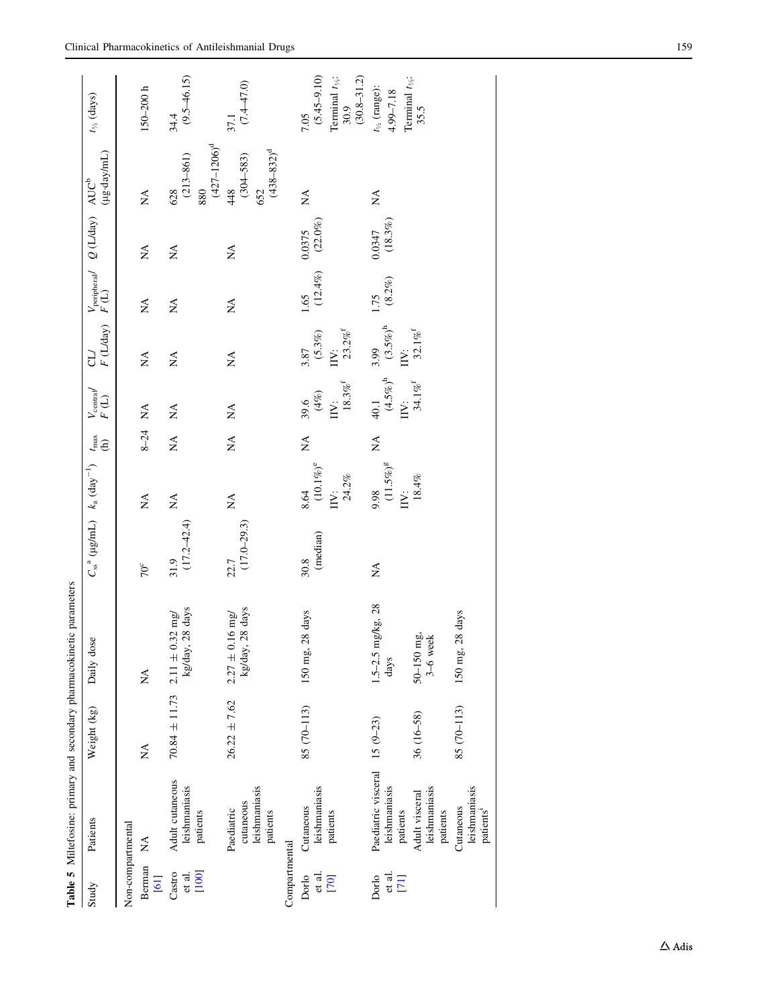<span id="page-8-0"></span>

| Study                                                              |                                                      |                  |                                                                                   |                                                 |                                                                 |                                     |                                                               |                                                |                                |                                                             |                                                 |                                                                                    |
|--------------------------------------------------------------------|------------------------------------------------------|------------------|-----------------------------------------------------------------------------------|-------------------------------------------------|-----------------------------------------------------------------|-------------------------------------|---------------------------------------------------------------|------------------------------------------------|--------------------------------|-------------------------------------------------------------|-------------------------------------------------|------------------------------------------------------------------------------------|
|                                                                    | Patients                                             | Weight (kg)      | Daily dose                                                                        | $C_{ss}^{a}$ (µg/mL) $k_a$ (day <sup>-1</sup> ) |                                                                 | $t_{\rm max}$<br>$\widehat{e}$      | $\begin{array}{c} V_{\rm central} \\ F \ (\rm L) \end{array}$ | F (L/day)<br>JЭ                                |                                | $V_{\text{peripheral}}$ $Q(L/day)$ $AUC^b$<br>$F(L)$ $(Lz)$ | (µg·day/mL)                                     | $t_{\frac{1}{2}}$ (days)                                                           |
| Non-compartmental<br>$\mathbb{A}^{\mathsf{A}}$<br>Berman<br>$[61]$ |                                                      | Á                | Á                                                                                 | $70^{\circ}$                                    | $\stackrel{\triangle}{\rm NA}$                                  | 8-24 NA                             |                                                               | $\mathop{\rm NA}\nolimits$                     | $\stackrel{\triangle}{\simeq}$ | $\stackrel{\triangle}{\simeq}$                              | $\stackrel{\triangle}{\simeq}$                  | $150 - 200 h$                                                                      |
| Castro<br>[100]<br>et al.                                          | Adult cutaneous<br>leishmaniasis<br>patients         |                  | $70.84 \pm 11.73$ 2.11 $\pm$ 0.32 mg/<br>kg/day, 28 days                          | $(17.2 - 42.4)$<br>31.9                         | $\stackrel{\Delta}{\simeq}$                                     | $\mathbb{A}^{\mathsf{A}}$           | $\stackrel{\triangle}{\simeq}$                                | $\stackrel{\Delta}{\simeq}$                    | $\mathbb{A}^{\mathbb{A}}$      | Á                                                           | $(427 - 1206)^d$<br>$(213 - 861)$<br>880<br>628 | $(9.5 - 46.15)$<br>34.4                                                            |
|                                                                    | leishmaniasis<br>cutaneous<br>Paediatric<br>patients | $26.22 \pm 7.62$ | $\begin{array}{c} 2.27 \pm 0.16 \text{ mg} \\ \text{kg/day, 28 days} \end{array}$ | $(17.0 - 29.3)$<br>22.7                         | $\stackrel{\Delta}{\simeq}$                                     | $\stackrel{\blacktriangle}{\simeq}$ | $\stackrel{\triangle}{\simeq}$                                | $\mathbb{A}^{\mathsf{A}}$                      | $\mathop{\mathsf{X}}\nolimits$ | Ń                                                           | $(438 - 832)^d$<br>$(304 - 583)$<br>$48$<br>652 | $\frac{37.1}{(7.4-47.0)}$                                                          |
| Compartmental                                                      |                                                      |                  |                                                                                   |                                                 |                                                                 |                                     |                                                               |                                                |                                |                                                             |                                                 |                                                                                    |
| et al.<br>Dorlo<br>[70]                                            | leishmaniasis<br>Cutaneous<br>patients               | 85 (70-113)      | 150 mg, 28 days                                                                   | (median)<br>30.8                                | $8.64$ (10.1%) <sup>e</sup><br>24.2%<br>$\overline{\mathbf{I}}$ | $\stackrel{\blacktriangle}{\simeq}$ | $18.3\%^{\rm f}$<br>$39.6$<br>(4%)<br>$\overline{I}$          | IIV: $23.2\%$ <sup>f</sup><br>$3.87$<br>(5.3%) | $(12.4\%)$<br>1.65             | $0.0375$<br>(22.0%)                                         | $\stackrel{\triangle}{\simeq}$                  | $(5.45 - 9.10)$<br>$(30.8 - 31.2)$<br>Terminal $t_{\frac{1}{2}}$ :<br>30.9<br>7.05 |
| et al.<br>Dorlo<br>[7]                                             | Paediatric visceral<br>leishmaniasis<br>patients     | $15(9-23)$       | $1.5 - 2.5$ mg/kg, 28<br>days                                                     | Ź                                               | 9.98<br>(11.5%) <sup>g</sup><br>IV:                             | $\stackrel{\blacktriangle}{\simeq}$ | 40.1<br>(4.5%) <sup>h</sup><br>$\overline{N}$ :               | $3.99$<br>(3.5%) <sup>h</sup><br>IIV:          | $1.75$<br>(8.2%)               | $0.0347$<br>(18.3%)                                         | $\stackrel{\Delta}{\simeq}$                     | Terminal $t_{\frac{1}{2}}$ :<br>$t_{\frac{1}{2}}$ (range):<br>4.99-7.18            |
|                                                                    | leishmaniasis<br>Adult visceral<br>patients          | 36 (16-58)       | $50 - 150$ mg,<br>$3 - 6$ week                                                    |                                                 | $18.4\%$                                                        |                                     | $34.1\%^{\rm f}$                                              | $32.1\%^{\rm f}$                               |                                |                                                             |                                                 | 35.5                                                                               |
|                                                                    | leishmaniasis<br>Cutaneous<br>patients <sup>1</sup>  | 85 (70-113)      | 150 mg, 28 days                                                                   |                                                 |                                                                 |                                     |                                                               |                                                |                                |                                                             |                                                 |                                                                                    |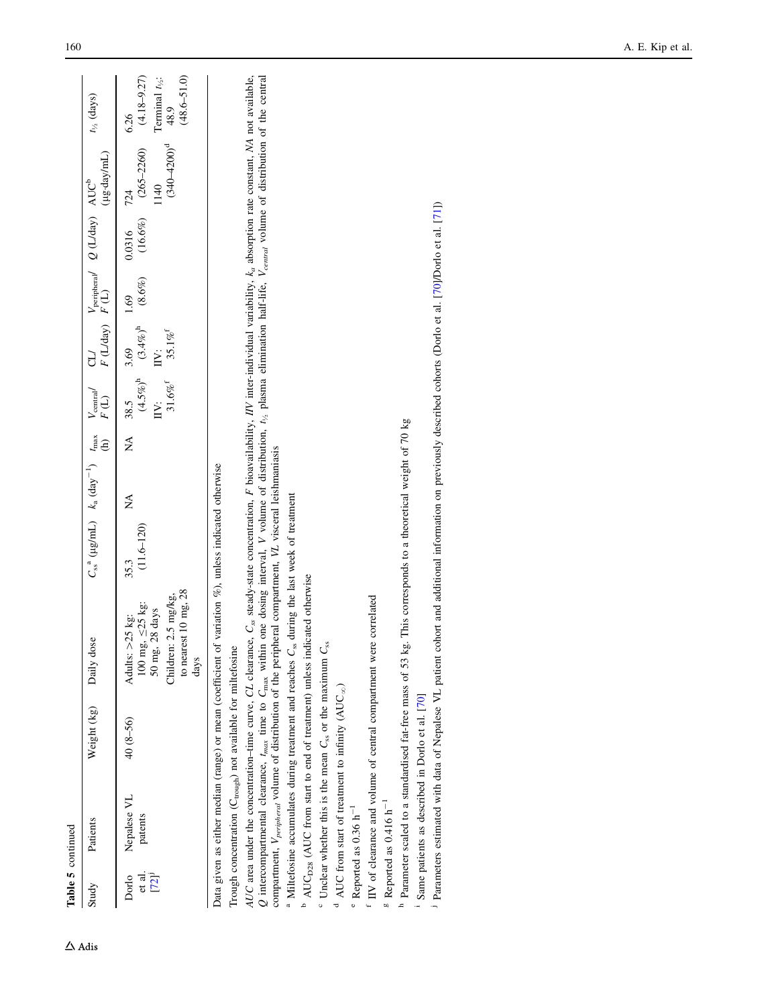| Table 5 continued       |                                                                             |             |                                                                                                                                                                                                                                                                                                                                                                                                                                                                                                                                               |                                               |   |                           |                                       |                                                               |                   |                                                    |                                                            |                                                                                    |
|-------------------------|-----------------------------------------------------------------------------|-------------|-----------------------------------------------------------------------------------------------------------------------------------------------------------------------------------------------------------------------------------------------------------------------------------------------------------------------------------------------------------------------------------------------------------------------------------------------------------------------------------------------------------------------------------------------|-----------------------------------------------|---|---------------------------|---------------------------------------|---------------------------------------------------------------|-------------------|----------------------------------------------------|------------------------------------------------------------|------------------------------------------------------------------------------------|
| Study                   | Patients                                                                    | Weight (kg) | Daily dose                                                                                                                                                                                                                                                                                                                                                                                                                                                                                                                                    | $C_{ss}^a$ (µg/mL) $k_a$ (day <sup>-1</sup> ) |   | $t_{\text{max}}$<br>(h)   | $V_{\text{central}}$<br>$F(\text{L})$ | $F(\text{Lday})$ $F(\text{L})$                                |                   | $V_{\text{peripheral}}$ Q (L/day) AUC <sup>b</sup> | (µg-day/mL)                                                | $t_{\frac{1}{2}}$ (days)                                                           |
| et al.<br>[72]<br>Dorlo | Nepalese VL<br>patents                                                      | 40 (8-56)   | to nearest 10 mg, 28<br>Children: 2.5 mg/kg,<br>Adults: $>25$ kg:<br>100 mg, $\leq$ 25 kg:<br>50 mg, 28 days<br>days                                                                                                                                                                                                                                                                                                                                                                                                                          | $(11.6 - 120)$<br>35.3                        | Ź | $\mathbb{X}^{\mathsf{A}}$ | $31.6\%^{\rm f}$<br>Ë                 | 38.5 3.69<br>$(4.5\%)^h$ $(3.4\%)^h$<br>$35.1\%$ <sup>f</sup> | $(8.6\%)$<br>1.69 | 0.0316                                             | $(340 - 4200)^d$<br>$(16.6\%)$ $(265-2260)$<br>1140<br>724 | $(4.18 - 9.27)$<br>Terminal $t_{\frac{1}{2}}$ :<br>48.9<br>$(48.6 - 51.0)$<br>6.26 |
|                         |                                                                             |             | Data given as either median (range) or mean (coefficient of variation %), unless indicated otherwise                                                                                                                                                                                                                                                                                                                                                                                                                                          |                                               |   |                           |                                       |                                                               |                   |                                                    |                                                            |                                                                                    |
|                         | Trough concentration (C <sub>trough</sub> ) not available for miltefosine   |             |                                                                                                                                                                                                                                                                                                                                                                                                                                                                                                                                               |                                               |   |                           |                                       |                                                               |                   |                                                    |                                                            |                                                                                    |
|                         |                                                                             |             | AUC area under the concentration-time curve, CL clearance, $C_{ss}$ steady-state concentration, F bioavailability, IV inter-individual variability, $k_a$ absorption rate constant, MA not available,<br>Q intercompartmental clearance, $t_{max}$ time to $C_{max}$ within one dosing interval, V volume of distribution, $t_{vs}$ plasma elimination half-life, $V_{central}$ volume of distribution of the central<br>compartment, V <sub>peripheral</sub> volume of distribution of the peripheral compartment, VL visceral leishmaniasis |                                               |   |                           |                                       |                                                               |                   |                                                    |                                                            |                                                                                    |
|                         |                                                                             |             | <sup>a</sup> Miltefosine accumulates during treatment and reaches C <sub>ss</sub> during the last week of treatment                                                                                                                                                                                                                                                                                                                                                                                                                           |                                               |   |                           |                                       |                                                               |                   |                                                    |                                                            |                                                                                    |
|                         |                                                                             |             | <sup>b</sup> AUC <sub>D28</sub> (AUC from start to end of treatment) unless indicated otherwise                                                                                                                                                                                                                                                                                                                                                                                                                                               |                                               |   |                           |                                       |                                                               |                   |                                                    |                                                            |                                                                                    |
|                         | $\degree$ Unclear whether this is the mean $C_{ss}$ or the maximum $C_{ss}$ |             |                                                                                                                                                                                                                                                                                                                                                                                                                                                                                                                                               |                                               |   |                           |                                       |                                                               |                   |                                                    |                                                            |                                                                                    |
|                         | AUC from start of treatment to infinity (AUC <sub>∞</sub> )                 |             |                                                                                                                                                                                                                                                                                                                                                                                                                                                                                                                                               |                                               |   |                           |                                       |                                                               |                   |                                                    |                                                            |                                                                                    |
|                         | $^{\circ}$ Reported as 0.36 h <sup>-1</sup>                                 |             |                                                                                                                                                                                                                                                                                                                                                                                                                                                                                                                                               |                                               |   |                           |                                       |                                                               |                   |                                                    |                                                            |                                                                                    |
|                         |                                                                             |             | <sup>f</sup> IIV of clearance and volume of central compartment were correlated                                                                                                                                                                                                                                                                                                                                                                                                                                                               |                                               |   |                           |                                       |                                                               |                   |                                                    |                                                            |                                                                                    |
|                         | $\text{g}$ Reported as 0.416 h <sup>-1</sup>                                |             |                                                                                                                                                                                                                                                                                                                                                                                                                                                                                                                                               |                                               |   |                           |                                       |                                                               |                   |                                                    |                                                            |                                                                                    |
|                         |                                                                             |             | <sup>h</sup> Parameter scaled to a standardised fat-free mass of 53 kg. This corresponds to a theoretical weight of 70 kg                                                                                                                                                                                                                                                                                                                                                                                                                     |                                               |   |                           |                                       |                                                               |                   |                                                    |                                                            |                                                                                    |
|                         | <sup>1</sup> Same patients as described in Dorlo et al. [70]                |             |                                                                                                                                                                                                                                                                                                                                                                                                                                                                                                                                               |                                               |   |                           |                                       |                                                               |                   |                                                    |                                                            |                                                                                    |
|                         |                                                                             |             | <sup>1</sup> Parameters estimated with data of Nepalese VL patient cohort and additional information on previously described cohorts (Dorlo et al. [70]/Dorlo et al. [71])                                                                                                                                                                                                                                                                                                                                                                    |                                               |   |                           |                                       |                                                               |                   |                                                    |                                                            |                                                                                    |
|                         |                                                                             |             |                                                                                                                                                                                                                                                                                                                                                                                                                                                                                                                                               |                                               |   |                           |                                       |                                                               |                   |                                                    |                                                            |                                                                                    |

 $\Delta$ Adis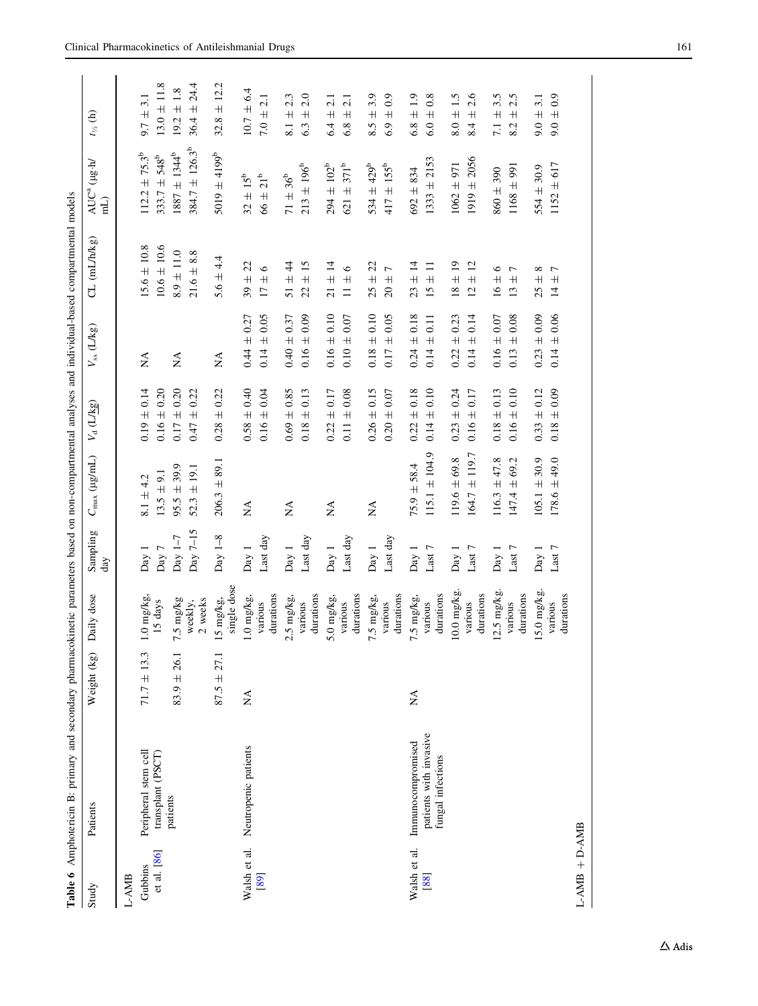<span id="page-10-0"></span>

|                 | Table 6 Amphotericin B: primary and secondary pharmacokinetic parameters based on non-compartmental analyses and individual-based compartmental models |                                      |                          |                 |                       |                                |                    |                                                     |                                                       |                              |
|-----------------|--------------------------------------------------------------------------------------------------------------------------------------------------------|--------------------------------------|--------------------------|-----------------|-----------------------|--------------------------------|--------------------|-----------------------------------------------------|-------------------------------------------------------|------------------------------|
| Study           | Patients                                                                                                                                               | Weight (kg)                          | Daily dose               | Sampling<br>day | $C_{\rm max}$ (µg/mL) | $V_{\rm d}$ (L/kg)             | $V_{ss}$ (L/kg)    | CL (mL/h/kg)                                        | $M\overline{3n}$<br>AUC <sup>a</sup><br>$\widehat{H}$ | $t_{\nu_2}$ (h)              |
| L-AMB           |                                                                                                                                                        |                                      |                          |                 |                       |                                |                    |                                                     |                                                       |                              |
| Gubbins         | Peripheral stem cell                                                                                                                                   | $71.7 \pm 13.3$                      | $1.0$ mg/kg              | Day 1           | $8.1 \pm 4.2$         | $0.19 \pm 0.14$                | Á                  | $15.6 \pm 10.8$                                     | $112.2 \pm 75.3^b$                                    | $9.7 \pm 3.1$                |
| et al. [86]     | transplant (PSCT)                                                                                                                                      |                                      | 15 days                  | Day 7           | $13.5 \pm 9.1$        | $0.16 \pm 0.20$                |                    | $10.6 \pm 10.6$                                     | $333.7 \pm 548^b$                                     | $13.0 \pm 11.8$              |
|                 | patients                                                                                                                                               | $83.9 \pm 26.1$                      | 7.5 mg/kg                | Day $1-7$       | $95.5 \pm 39.9$       | $0.17 \pm 0.20$                | ÁX                 | $8.9 \pm 11.0$                                      | $1887 \pm 1344^b$                                     | $19.2 \pm 1.8$               |
|                 |                                                                                                                                                        |                                      | 2 weeks<br>weekly,       | Day $7-15$      | $52.3 \pm 19.1$       | 0.22<br>$\overline{+}$<br>0.47 |                    | 8.8<br>$21.6 \pm$                                   | $384.7 \pm 126.3^b$                                   | $36.4 \pm 24.4$              |
|                 |                                                                                                                                                        | $87.5 \pm 27.1$                      | single dose<br>15 mg/kg, | Day $1-8$       | $206.3 + 89.1$        | ± 0.22<br>0.28                 | ÁN                 | 5.6 ± 4.4                                           | $5019 \pm 4199^b$                                     | $32.8 \pm 12.2$              |
| Walsh et al.    | Neutropenic patients                                                                                                                                   | ÁN                                   | 1.0 mg/kg,               | Day 1           | ΧÁ                    | $0.58 \pm 0.40$                | $0.44 \pm 0.27$    | $39 + 22$                                           | $32 \pm 15^{6}$                                       | $10.7 \pm 6.4$               |
| [89]            |                                                                                                                                                        |                                      | durations<br>various     | Last day        |                       | $0.16 \pm 0.04$                | $0.14 \pm 0.05$    | $\circ$<br>$\overline{+}$<br>$\overline{17}$        | $66\pm21^{\rm b}$                                     | $7.0 \pm 2.1$                |
|                 |                                                                                                                                                        |                                      | 2.5 mg/kg,               | Day 1           | ÁN                    | $0.69 \pm 0.85$                | $0.40 \pm 0.37$    | $51 \pm 44$                                         | $71 \pm 36^{b}$                                       | 2.3<br>$\frac{1}{8}$ i +     |
|                 |                                                                                                                                                        |                                      | durations<br>various     | Last day        |                       | $\pm 0.13$<br>0.18             | $0.16 \pm 0.09$    | ±15<br>$\overline{c}$                               | $213 \pm 196^b$                                       | 2.0<br>$\overline{+}$<br>6.3 |
|                 |                                                                                                                                                        |                                      | 5.0 mg/kg,               | Day 1           | ΧÁ                    | $\pm 0.17$<br>0.22             | $0.16 \pm 0.10$    | $21 \pm 14$                                         | $294 \pm 102^b$                                       | 2.1<br>$6.4 \pm$             |
|                 |                                                                                                                                                        |                                      | durations<br>various     | Last day        |                       | $0.11 \pm 0.08$                | $0.10 \pm 0.07$    | $\circ$<br>$\overline{+}$<br>$\equiv$               | $621 \pm 371^b$                                       | 2.1<br>$\overline{+}$<br>6.8 |
|                 |                                                                                                                                                        |                                      | 7.5 mg/kg,               | Day 1           | ÁN                    | $0.26 \pm 0.15$                | $0.18 \pm 0.10$    | $25 \pm 22$                                         | $534 \pm 429^b$                                       | 3.9<br>$8.5 \pm 7$           |
|                 |                                                                                                                                                        |                                      | durations<br>various     | Last day        |                       | $0.20 \pm 0.07$                | $0.17 \pm 0.05$    | 7<br>$\overline{+}$<br>$\overline{20}$              | $417 \pm 155^b$                                       | $\pm 0.9$<br>6.9             |
| Walsh et al.    | Immunocompromised                                                                                                                                      | $\stackrel{\blacktriangle}{\approx}$ | 7.5 mg/kg,               | Day 1           | $75.9 \pm 58.4$       | $0.22 \pm 0.18$                | $0.24 \pm 0.18$    | $23 \pm 14$                                         | $692 + 834$                                           | $6.8 \pm 1.9$                |
| [88]            | patients with invasive<br>fungal infections                                                                                                            |                                      | durations<br>various     | Last $7\,$      | $115.1 \pm 104.9$     | $0.14 \pm 0.10$                | $\pm 0.11$<br>0.14 | $\frac{11}{11}$<br>$15 \,$                          | $1333 \pm 2153$                                       | $6.0 \pm 0.8$                |
|                 |                                                                                                                                                        |                                      | $10.0$ mg/kg.            | Day 1           | $119.6 \pm 69.8$      | $0.23 \pm 0.24$                | $0.22 \pm 0.23$    | $18 \pm 19$                                         | $1062 + 971$                                          | $8.0 \pm 1.5$                |
|                 |                                                                                                                                                        |                                      | durations<br>various     | Last $7\,$      | $164.7 \pm 119.7$     | $0.16 \pm 0.17$                | $\pm 0.14$<br>0.14 | ± 12<br>$\overline{c}$                              | $1919 \pm 2056$                                       | 2.6<br>$\overline{+}$<br>8.4 |
|                 |                                                                                                                                                        |                                      | $12.5$ mg/kg.            | Day 1           | $116.3 \pm 47.8$      | $0.18 \pm 0.13$                | $0.16 \pm 0.07$    | $\circ$<br>$16 \pm$                                 | $860 \pm 390$                                         | 3.5<br>$7.1 \pm$             |
|                 |                                                                                                                                                        |                                      | durations<br>various     | Last 7          | 69.2<br>$147.4 \pm$   | $\pm 0.10$<br>0.16             | $\pm 0.08$<br>0.13 | $\overline{ }$<br>$\overline{+}$<br>$\overline{13}$ | $1168 \pm 991$                                        | 2.5<br>$\overline{+}$<br>8.2 |
|                 |                                                                                                                                                        |                                      | 15.0 mg/kg.              | Day 1           | $105.1 \pm 30.9$      | $\pm 0.12$<br>0.33             | $0.23 \pm 0.09$    | ${}^{\circ}$<br>$25 \pm$                            | $554 \pm 30.9$                                        | 3.1<br>$9.0 \pm$             |
|                 |                                                                                                                                                        |                                      | durations<br>various     | Last 7          | $178.6 \pm 49.0$      | $0.18 \pm 0.09$                | $0.14 \pm 0.06$    | $14 \pm 7$                                          | $1152 \pm 617$                                        | $9.0 \pm 0.9$                |
| $L-AMB + D-AMB$ |                                                                                                                                                        |                                      |                          |                 |                       |                                |                    |                                                     |                                                       |                              |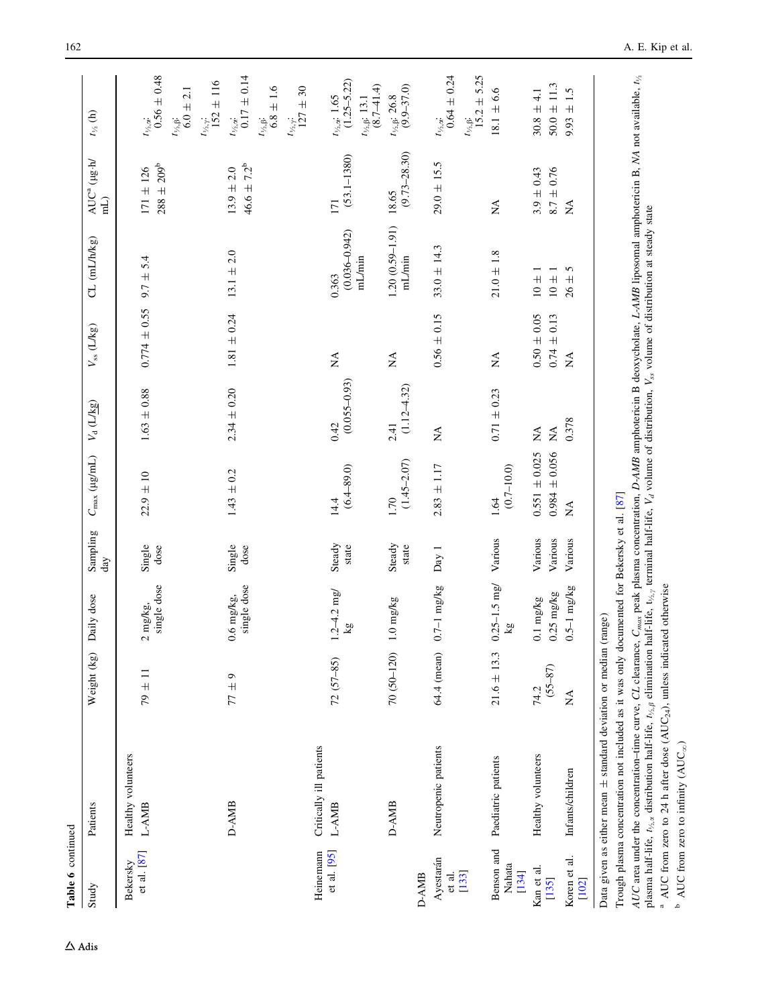| $30.8 \pm 4.1$<br>$t_{\gamma_{2},\alpha}$ : 1.65<br>$t_{\rm Va,B}\!\!:\,26.8$<br>$t_{\gamma_{2},\beta}\!$ 13.1<br>$9.93 \pm$<br>$t_{\frac{1}{2},\alpha}$ .<br>$t_{\rm V_2,B}.$<br>$t_{\gamma_{2},\gamma}.$<br>$(9.73 - 28.30)$<br>$(53.1 - 1380)$<br>$29.0 \pm 15.5$<br>$288 \pm 209^{\rm b}$<br>$46.6 \pm 7.2^b$<br>$171 \pm 126$<br>$13.9 \pm 2.0$<br>$8.7 \pm 0.76$<br>$3.9 \pm 0.43$<br>18.65<br>171<br>$\mathbb{A}^{\mathsf{A}}$<br>$\stackrel{\triangle}{\simeq}$<br>$1.20(0.59 - 1.91)$<br>$(0.036 - 0.942)$<br>$33.0 \pm 14.3$<br>$13.1 \pm 2.0$<br>$21.0 \pm 1.8$<br>$9.7 \pm 5.4$<br>mL/min<br>mL/min<br>5<br>$10 \pm 1$<br>$10 +$<br>0.363<br>$26 \pm$<br>$0.774 \pm 0.55$<br>$1.81 \pm 0.24$<br>$0.56 \pm 0.15$<br>$0.50 \pm 0.05$<br>$0.74 \pm 0.13$<br>$\stackrel{\Delta}{\simeq}$<br>$\stackrel{\triangle}{\simeq}$<br>$\stackrel{\triangle}{\simeq}$<br>$\mathop{\rm NA}\nolimits$<br>$(0.055 - 0.93)$<br>$(1.12 - 4.32)$<br>$2.34 \pm 0.20$<br>$1.63 \pm 0.88$<br>$0.71 \pm 0.23$<br>0.378<br>0.42<br>2.41<br>$\stackrel{\triangle}{\simeq}$<br>$\stackrel{\Delta}{\simeq}$<br>$\stackrel{\Delta}{\simeq}$<br>$0.984 \pm 0.056$<br>$0.551 \pm 0.025$<br>$(1.45 - 2.07)$<br>$2.83 \pm 1.17$<br>$(6.4 - 89.0)$<br>$(0.7 - 10.0)$<br>$1.43 \pm 0.2$<br>$22.9 \pm 10$<br>1.70<br>1.64<br>14.4<br>ÁN<br>Various<br>Various<br>Various<br>Various<br>Steady<br>Steady<br>Single<br>Single<br>dose<br>dose<br>state<br>state<br>Day 1<br>$0.25 - 1.5$ mg/<br>single dose<br>single dose<br>$0.7 - 1$ mg/kg<br>$0.5 - 1$ mg/kg<br>$.2 - 4.2$ mg/<br>$0.25$ mg/kg<br>$0.6$ mg/kg,<br>0.1 mg/kg<br>$0 \text{ mg/kg}$<br>mg/kg,<br>$\overline{\mathbf{g}}$<br>$\overline{\mathbf{g}}$<br>$\sim$<br>70 (50-120)<br>$21.6 \pm 13.3$<br>64.4 (mean)<br>$72(57-85)$<br>$(55 - 87)$<br>$79 \pm 11$<br>$77 \pm 9$<br>74.2<br>ÁN<br>Critically ill patients<br>Neutropenic patients<br>Healthy volunteers<br>Healthy volunteers<br>Paediatric patients<br>Infants/children<br>D-AMB<br>D-AMB<br>L-AMB<br>L-AMB<br>Benson and<br>Heinemann<br>et al. [95]<br>et al. [87]<br>Koren et al.<br>Ayestarán<br>Bekersky<br>Nahata<br>Kan et al.<br>[134]<br>$[133]$<br>et al.<br>D-AMB<br>$[135]$<br>[102] | Table 6 continued<br>Study | Patients | Weight (kg) | Daily dose | Sampling<br>day | $C_{\rm max}$ (µg/mL) | $V_{\rm d}$ (L/kg) | $V_{\rm ss}$ (L/kg) | CL (mL/h/kg) | AUC <sup>a</sup> (µg.h/<br>$\widetilde{\text{Im}}$ | $t_{\nu_{2}}$ (h)                                                                                                  |
|----------------------------------------------------------------------------------------------------------------------------------------------------------------------------------------------------------------------------------------------------------------------------------------------------------------------------------------------------------------------------------------------------------------------------------------------------------------------------------------------------------------------------------------------------------------------------------------------------------------------------------------------------------------------------------------------------------------------------------------------------------------------------------------------------------------------------------------------------------------------------------------------------------------------------------------------------------------------------------------------------------------------------------------------------------------------------------------------------------------------------------------------------------------------------------------------------------------------------------------------------------------------------------------------------------------------------------------------------------------------------------------------------------------------------------------------------------------------------------------------------------------------------------------------------------------------------------------------------------------------------------------------------------------------------------------------------------------------------------------------------------------------------------------------------------------------------------------------------------------------------------------------------------------------------------------------------------------------------------------------------------------------------------------------------------------------------------------------------------------------------------------------------------------------------------------------------|----------------------------|----------|-------------|------------|-----------------|-----------------------|--------------------|---------------------|--------------|----------------------------------------------------|--------------------------------------------------------------------------------------------------------------------|
|                                                                                                                                                                                                                                                                                                                                                                                                                                                                                                                                                                                                                                                                                                                                                                                                                                                                                                                                                                                                                                                                                                                                                                                                                                                                                                                                                                                                                                                                                                                                                                                                                                                                                                                                                                                                                                                                                                                                                                                                                                                                                                                                                                                                    |                            |          |             |            |                 |                       |                    |                     |              |                                                    | $t_{\frac{1}{3},\alpha}$ :<br>0.56 ± 0.48<br>$6.0 \pm 2.1$                                                         |
|                                                                                                                                                                                                                                                                                                                                                                                                                                                                                                                                                                                                                                                                                                                                                                                                                                                                                                                                                                                                                                                                                                                                                                                                                                                                                                                                                                                                                                                                                                                                                                                                                                                                                                                                                                                                                                                                                                                                                                                                                                                                                                                                                                                                    |                            |          |             |            |                 |                       |                    |                     |              |                                                    | $t_{\frac{1}{2},\alpha}$ :<br>0.17 ± 0.14<br>$t_{\frac{152}{152}}$ ± 116<br>$t_{\frac{1}{2},\beta}$ :<br>6.8 ± 1.6 |
|                                                                                                                                                                                                                                                                                                                                                                                                                                                                                                                                                                                                                                                                                                                                                                                                                                                                                                                                                                                                                                                                                                                                                                                                                                                                                                                                                                                                                                                                                                                                                                                                                                                                                                                                                                                                                                                                                                                                                                                                                                                                                                                                                                                                    |                            |          |             |            |                 |                       |                    |                     |              |                                                    | $127 \pm 30$                                                                                                       |
|                                                                                                                                                                                                                                                                                                                                                                                                                                                                                                                                                                                                                                                                                                                                                                                                                                                                                                                                                                                                                                                                                                                                                                                                                                                                                                                                                                                                                                                                                                                                                                                                                                                                                                                                                                                                                                                                                                                                                                                                                                                                                                                                                                                                    |                            |          |             |            |                 |                       |                    |                     |              |                                                    | $(1.25 - 5.22)$<br>$(8.7 - 41.4)$                                                                                  |
|                                                                                                                                                                                                                                                                                                                                                                                                                                                                                                                                                                                                                                                                                                                                                                                                                                                                                                                                                                                                                                                                                                                                                                                                                                                                                                                                                                                                                                                                                                                                                                                                                                                                                                                                                                                                                                                                                                                                                                                                                                                                                                                                                                                                    |                            |          |             |            |                 |                       |                    |                     |              |                                                    | $(9.9 - 37.0)$                                                                                                     |
|                                                                                                                                                                                                                                                                                                                                                                                                                                                                                                                                                                                                                                                                                                                                                                                                                                                                                                                                                                                                                                                                                                                                                                                                                                                                                                                                                                                                                                                                                                                                                                                                                                                                                                                                                                                                                                                                                                                                                                                                                                                                                                                                                                                                    |                            |          |             |            |                 |                       |                    |                     |              |                                                    | $0.64 \pm 0.24$<br>$t_{\frac{15.0}{15.2}}$ + 5.25                                                                  |
|                                                                                                                                                                                                                                                                                                                                                                                                                                                                                                                                                                                                                                                                                                                                                                                                                                                                                                                                                                                                                                                                                                                                                                                                                                                                                                                                                                                                                                                                                                                                                                                                                                                                                                                                                                                                                                                                                                                                                                                                                                                                                                                                                                                                    |                            |          |             |            |                 |                       |                    |                     |              |                                                    | $18.1 \pm 6.6$                                                                                                     |
|                                                                                                                                                                                                                                                                                                                                                                                                                                                                                                                                                                                                                                                                                                                                                                                                                                                                                                                                                                                                                                                                                                                                                                                                                                                                                                                                                                                                                                                                                                                                                                                                                                                                                                                                                                                                                                                                                                                                                                                                                                                                                                                                                                                                    |                            |          |             |            |                 |                       |                    |                     |              |                                                    | $50.0 \pm 11.3$                                                                                                    |
|                                                                                                                                                                                                                                                                                                                                                                                                                                                                                                                                                                                                                                                                                                                                                                                                                                                                                                                                                                                                                                                                                                                                                                                                                                                                                                                                                                                                                                                                                                                                                                                                                                                                                                                                                                                                                                                                                                                                                                                                                                                                                                                                                                                                    |                            |          |             |            |                 |                       |                    |                     |              |                                                    | 1.5                                                                                                                |

AUC area under the concentration–time curve, CL clearance, C<sub>max</sub> peak plasma concentration, D-AMB amphotericin B deoxycholate, L-AMB liposomal amphotericin B, NA not available,  $t_{\beta}$ AUC area under the concentration-time curve, CL clearance, C<sub>max</sub> peak plasma concentration, D-AMB amphotericin B deoxycholate, L-AMB liposomal amphotericin B, NA not available,  $t_{\lambda_5}$  plasma half-life,  $t_{\lambda_5}$  elimi plasma half-life,  $t_{\nu_A}$ , distribution half-life,  $t_{\frac{1}{2}}$  $\beta$  elimination half-life, t<sub>/2</sub> , terminal half-life,  $V_d$  volume of distribution,  $V_{ss}$  volume of distribution at steady state

<sup>a</sup> AUC from zero to 24 h after dose (AUC<sub>24</sub>), unless indicated otherwise <sup>a</sup> AUC from zero to 24 h after dose (AUC<sub>24</sub>), unless indicated otherwise

 $^{\rm b}$  AUC from zero to infinity (AUC $_{\rm \infty})$  $P$  AUC from zero to infinity (AUC<sub>∞</sub>)

 $\Delta$ Adis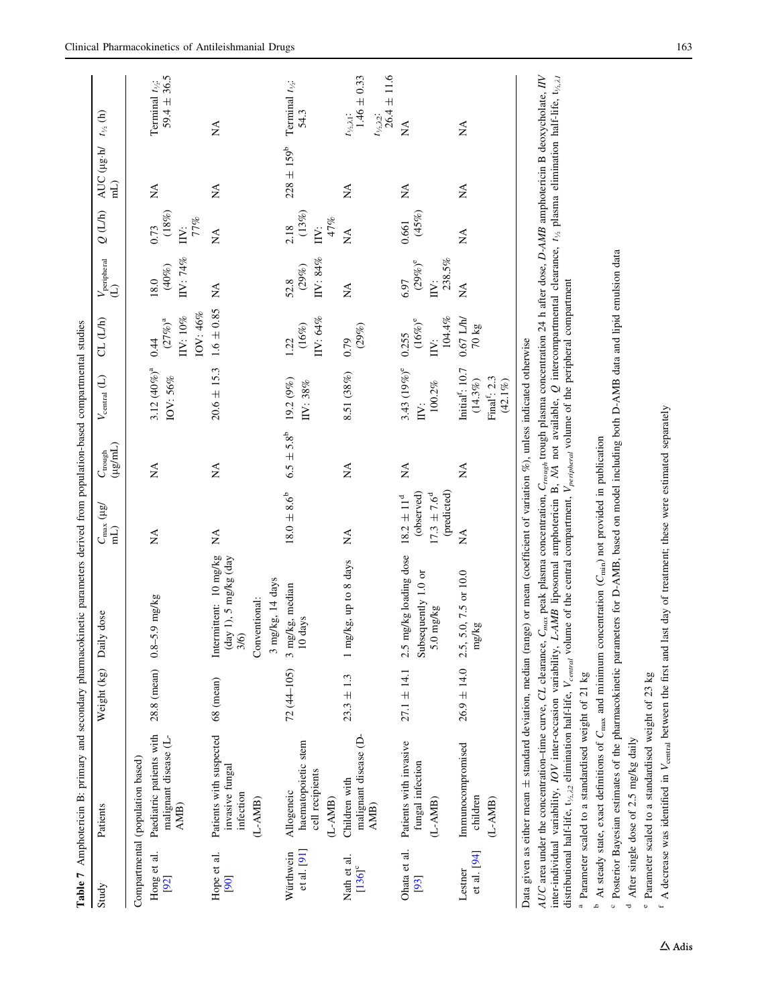<span id="page-12-0"></span>

| Table 7                             | Amphotericin B: primary and secondary pharmacokinetic parameters derived from population-based compartmental studies                                                                                                                                                                                                                                                                                                                                                                                                                                                                                                                                                                                                                                                                                                                                                                                                                                                                                                                                                     |                 |                                                                                                                |                                                                                |                                        |                                                                                  |                                                                |                                              |                                             |                                                            |                                                                                                        |
|-------------------------------------|--------------------------------------------------------------------------------------------------------------------------------------------------------------------------------------------------------------------------------------------------------------------------------------------------------------------------------------------------------------------------------------------------------------------------------------------------------------------------------------------------------------------------------------------------------------------------------------------------------------------------------------------------------------------------------------------------------------------------------------------------------------------------------------------------------------------------------------------------------------------------------------------------------------------------------------------------------------------------------------------------------------------------------------------------------------------------|-----------------|----------------------------------------------------------------------------------------------------------------|--------------------------------------------------------------------------------|----------------------------------------|----------------------------------------------------------------------------------|----------------------------------------------------------------|----------------------------------------------|---------------------------------------------|------------------------------------------------------------|--------------------------------------------------------------------------------------------------------|
| Study                               | Patients                                                                                                                                                                                                                                                                                                                                                                                                                                                                                                                                                                                                                                                                                                                                                                                                                                                                                                                                                                                                                                                                 | Weight (kg)     | Daily dose                                                                                                     | $C_{\rm max}$ ( $\mu$ g/<br>$\widehat{H}$                                      | $(\mu\text{g/mL})$<br>$C_{\rm trough}$ | $V_{\rm central}$ (L)                                                            | CL (L/h)                                                       | $V_{\text{peripheral}}$<br>(L)               | $Q(L/h)$                                    | AUC ( $\mu$ g·h/ $t_{\nu_A}$ (h)<br>$\widehat{\textbf{H}}$ |                                                                                                        |
| Hong et al.<br>[92]                 | Paediatric patients with<br>malignant disease (L-<br>Compartmental (population based)<br>AMB)                                                                                                                                                                                                                                                                                                                                                                                                                                                                                                                                                                                                                                                                                                                                                                                                                                                                                                                                                                            | 28.8 (mean) 0.8 | 5.9 mg/kg                                                                                                      | $\stackrel{\triangle}{\simeq}$                                                 | ÁX                                     | $3.12 (40\%)^a$<br>IOV: 56%                                                      | IOV: 46%<br>IIV: $10\%$<br>$\left(27\%\right)^{\rm a}$<br>0.44 | IIV: 74%<br>$(40\%)$<br>18.0                 | $(18\%)$<br>77%<br>0.73<br>IV:              | Ź                                                          | $59.4 \pm 36.5$<br>Terminal $t_{1/2}$ :                                                                |
| Hope et al.<br>[90]                 | Patients with suspected<br>invasive fungal<br>infection<br>$(L-AMB)$                                                                                                                                                                                                                                                                                                                                                                                                                                                                                                                                                                                                                                                                                                                                                                                                                                                                                                                                                                                                     | 68 (mean)       | Intermittent: 10 mg/kg<br>$\frac{day 1}{5}$ mg/kg $\frac{day}{x}$<br>3 mg/kg, 14 days<br>Conventional:<br>3/6) | $\mathbb{X}^{\mathsf{A}}$                                                      | Á                                      | $20.6 \pm 15.3$                                                                  | $1.6 \pm 0.85$                                                 | Á                                            | $\mathbb{A}$                                | ÁN                                                         | $\mathbb{X}^{\mathsf{A}}$                                                                              |
| et al. $[91]$<br>Würthwein          | haematopoietic stem<br>cell recipients<br>Allogeneic<br>$(L-AMB)$                                                                                                                                                                                                                                                                                                                                                                                                                                                                                                                                                                                                                                                                                                                                                                                                                                                                                                                                                                                                        | $72(44-105)$    | 3 mg/kg, median<br>days<br>$\overline{10}$                                                                     | $18.0 \pm 8.6^{\circ}$                                                         | $6.5 \pm 5.8^{\circ}$                  | 19.2 (9%)<br>IIV: 38%                                                            | IIV: $64%$<br>$(16\%)$<br>1.22                                 | IIV: $84\%$<br>$(29\%)$<br>52.8              | $(13\%)$<br>47%<br>2.18<br>$\sum_{i=1}^{n}$ | $228 \pm 159^b$                                            | Terminal $t_{1/2}$ :<br>54.3                                                                           |
| Nath et al.<br>$[136]$ <sup>c</sup> | malignant disease (D-<br>Children with<br>AMB)                                                                                                                                                                                                                                                                                                                                                                                                                                                                                                                                                                                                                                                                                                                                                                                                                                                                                                                                                                                                                           | $23.3 \pm 1.3$  | 1 mg/kg, up to 8 days                                                                                          | $\mathbb{X}^{\mathsf{A}}$                                                      | ΧÁ                                     | 8.51 (38%)                                                                       | $(29\%)$<br>0.79                                               | Ź                                            | $\sum_{i=1}^{n}$                            | Ź                                                          | $t_{\frac{1}{2} \lambda 2}$ :<br>26.4 ± 11.6<br>$1.46 \pm 0.33$<br>$t_{\frac{1}{2},\lambda1}$ :        |
| Ohata et al.<br>[93]                | Patients with invasive<br>fungal infection<br>$(L-AMB)$                                                                                                                                                                                                                                                                                                                                                                                                                                                                                                                                                                                                                                                                                                                                                                                                                                                                                                                                                                                                                  | $27.1 \pm 14.1$ | 2.5 mg/kg loading dose<br>Subsequently 1.0 or<br>$5.0$ mg/kg                                                   | (predicted)<br>(observed)<br>$17.3 \pm 7.6^{\circ}$<br>$18.2\,\pm\,11^{\rm d}$ | ΧÁ                                     | 3.43 (19%) <sup>e</sup><br>$100.2\%$<br>IV:                                      | 104.4%<br>$(16\%)^e$<br>0.255<br>$\sum_{i=1}^{n}$              | 238.5%<br>$(29\%)^{\rm e}$<br>6.97<br>$\sum$ | $(45\%)$<br>0.661                           | ÁN                                                         | $\mathbb{X}^{\mathsf{A}}$                                                                              |
| et al. [94]<br>Lestner              | Immunocompromised<br>children<br>(L-AMB)                                                                                                                                                                                                                                                                                                                                                                                                                                                                                                                                                                                                                                                                                                                                                                                                                                                                                                                                                                                                                                 | $26.9 \pm 14.0$ | 2.5, 5.0, 7.5 or 10.0<br>mg/kg                                                                                 | $\sum_{i=1}^{n}$                                                               | ΧÁ                                     | Initial <sup>f</sup> : 10.7<br>Final <sup>f</sup> : 2.3<br>$(42.1\%)$<br>(14.3%) | $0.67$ L/h/<br>$70 \text{ kg}$                                 | <b>NA</b>                                    | $\mathbb{A}$                                | ΧÁ                                                         | ΧÁ                                                                                                     |
| d<br>م                              | AUC area under the concentration-time curve, CL clearance, C <sub>max</sub> peak plasma concentration, C <sub>rrough</sub> trough plasma concentration 24 h after dose, D-AMB amphotericin B deoxycholate, IIV<br><sup>c</sup> Posterior Bayesian estimates of the pharmacokinetic parameters for D-AMB, based on model including both D-AMB data and lipid emulsion data<br>distributional half-life, $t_{1/2,22}$ elimination half-life, $V_{central}$ volume of the central compartment, $V_{perjpheral}$ volume of the peripheral compartment<br>Data given as either mean ± standard deviation, median (range) or mean (coefficient of variation %), unless indicated otherwise<br>At steady state, exact definitions of $C_{\text{max}}$ and minimum concentration ( $C_{\text{min}}$ ) not provided in publication<br>inter-individual variability, IOV inter-occasion variability,<br><sup>a</sup> Parameter scaled to a standardised weight of 21 kg<br><sup>e</sup> Parameter scaled to a standardised weight of 23 kg<br>After single dose of 2.5 mg/kg daily |                 | L-AMB liposomal amphotericin B, NA not available,                                                              |                                                                                |                                        |                                                                                  |                                                                |                                              |                                             |                                                            | $Q$ intercompartmental clearance, $t_{\frac{1}{2}}$ plasma elimination half-life, $t_{\frac{1}{2},21}$ |

 $A$  decrease was identified in

 $f$  A decrease was identified in  $V_{\text{central}}$  between the first and last day of treatment; these were estimated separately

 $V_{\text{central}}$  between the first and last day of treatment; these were estimated separately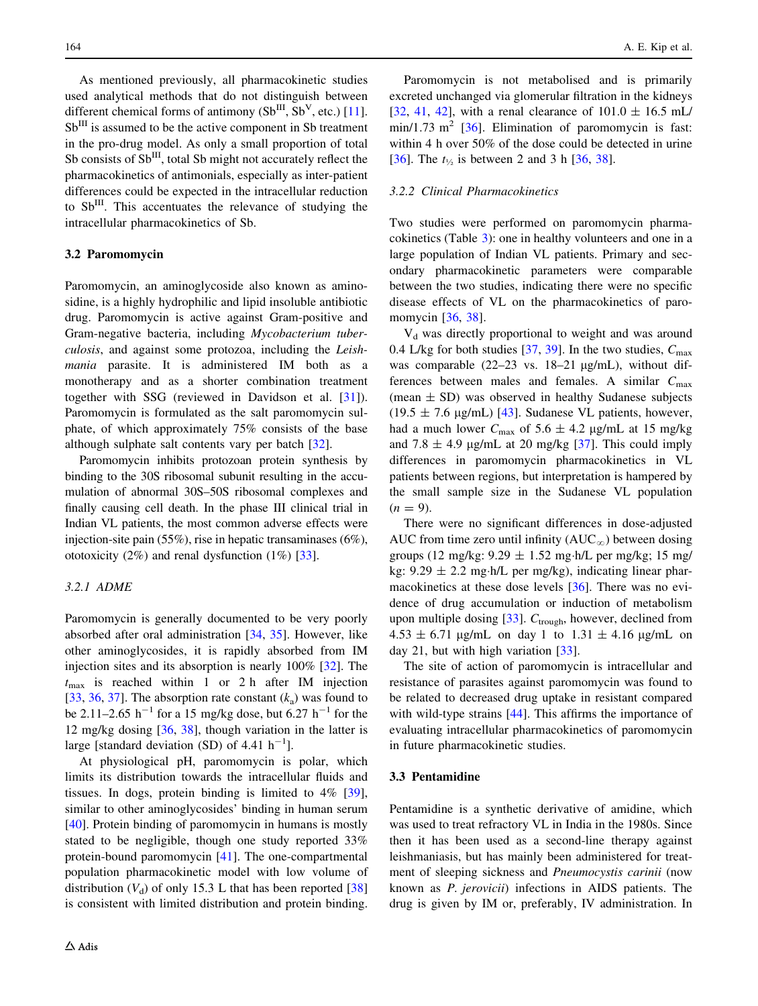As mentioned previously, all pharmacokinetic studies used analytical methods that do not distinguish between different chemical forms of antimony  $(Sb^{III}, Sb^{V}, etc.)$  [\[11](#page-21-0)]. SbIII is assumed to be the active component in Sb treatment in the pro-drug model. As only a small proportion of total Sb consists of  $Sb$ <sup>III</sup>, total Sb might not accurately reflect the pharmacokinetics of antimonials, especially as inter-patient differences could be expected in the intracellular reduction to SbIII. This accentuates the relevance of studying the intracellular pharmacokinetics of Sb.

## 3.2 Paromomycin

Paromomycin, an aminoglycoside also known as aminosidine, is a highly hydrophilic and lipid insoluble antibiotic drug. Paromomycin is active against Gram-positive and Gram-negative bacteria, including Mycobacterium tuberculosis, and against some protozoa, including the Leishmania parasite. It is administered IM both as a monotherapy and as a shorter combination treatment together with SSG (reviewed in Davidson et al. [[31](#page-22-0)]). Paromomycin is formulated as the salt paromomycin sulphate, of which approximately 75% consists of the base although sulphate salt contents vary per batch [[32\]](#page-22-0).

Paromomycin inhibits protozoan protein synthesis by binding to the 30S ribosomal subunit resulting in the accumulation of abnormal 30S–50S ribosomal complexes and finally causing cell death. In the phase III clinical trial in Indian VL patients, the most common adverse effects were injection-site pain (55%), rise in hepatic transaminases (6%), ototoxicity  $(2\%)$  and renal dysfunction  $(1\%)$  [[33](#page-22-0)].

#### 3.2.1 ADME

Paromomycin is generally documented to be very poorly absorbed after oral administration [\[34](#page-22-0), [35](#page-22-0)]. However, like other aminoglycosides, it is rapidly absorbed from IM injection sites and its absorption is nearly 100% [\[32](#page-22-0)]. The  $t_{\text{max}}$  is reached within 1 or 2 h after IM injection [\[33](#page-22-0), [36](#page-22-0), [37\]](#page-22-0). The absorption rate constant  $(k_a)$  was found to be 2.11–2.65 h<sup>-1</sup> for a 15 mg/kg dose, but 6.27 h<sup>-1</sup> for the 12 mg/kg dosing [[36,](#page-22-0) [38](#page-22-0)], though variation in the latter is large [standard deviation (SD) of  $4.41 \text{ h}^{-1}$ ].

At physiological pH, paromomycin is polar, which limits its distribution towards the intracellular fluids and tissues. In dogs, protein binding is limited to 4% [\[39](#page-22-0)], similar to other aminoglycosides' binding in human serum [\[40](#page-22-0)]. Protein binding of paromomycin in humans is mostly stated to be negligible, though one study reported 33% protein-bound paromomycin [\[41](#page-22-0)]. The one-compartmental population pharmacokinetic model with low volume of distribution  $(V_d)$  of only 15.3 L that has been reported [[38\]](#page-22-0) is consistent with limited distribution and protein binding.

Paromomycin is not metabolised and is primarily excreted unchanged via glomerular filtration in the kidneys [\[32](#page-22-0), [41,](#page-22-0) [42](#page-22-0)], with a renal clearance of  $101.0 \pm 16.5$  mL/ min/1.73 m<sup>2</sup> [[36\]](#page-22-0). Elimination of paromomycin is fast: within 4 h over 50% of the dose could be detected in urine [\[36](#page-22-0)]. The  $t_{\frac{1}{2}}$  is between 2 and 3 h [36, [38](#page-22-0)].

#### 3.2.2 Clinical Pharmacokinetics

Two studies were performed on paromomycin pharmacokinetics (Table [3\)](#page-5-0): one in healthy volunteers and one in a large population of Indian VL patients. Primary and secondary pharmacokinetic parameters were comparable between the two studies, indicating there were no specific disease effects of VL on the pharmacokinetics of paro-momycin [[36,](#page-22-0) [38](#page-22-0)].

 $V<sub>d</sub>$  was directly proportional to weight and was around 0.4 L/kg for both studies [\[37](#page-22-0), [39](#page-22-0)]. In the two studies,  $C_{\text{max}}$ was comparable  $(22-23 \text{ vs. } 18-21 \text{ µg/mL})$ , without differences between males and females. A similar  $C_{\text{max}}$ (mean  $\pm$  SD) was observed in healthy Sudanese subjects  $(19.5 \pm 7.6 \,\text{\mu g/mL})$  [\[43](#page-22-0)]. Sudanese VL patients, however, had a much lower  $C_{\text{max}}$  of 5.6  $\pm$  4.2 µg/mL at 15 mg/kg and 7.8  $\pm$  4.9 µg/mL at 20 mg/kg [\[37](#page-22-0)]. This could imply differences in paromomycin pharmacokinetics in VL patients between regions, but interpretation is hampered by the small sample size in the Sudanese VL population  $(n = 9)$ .

There were no significant differences in dose-adjusted AUC from time zero until infinity  $(AUC_{\infty})$  between dosing groups (12 mg/kg:  $9.29 \pm 1.52$  mg·h/L per mg/kg; 15 mg/ kg:  $9.29 \pm 2.2$  mg·h/L per mg/kg), indicating linear pharmacokinetics at these dose levels [[36\]](#page-22-0). There was no evidence of drug accumulation or induction of metabolism upon multiple dosing  $[33]$  $[33]$ .  $C_{trough}$ , however, declined from  $4.53 \pm 6.71$  µg/mL on day 1 to  $1.31 \pm 4.16$  µg/mL on day 21, but with high variation [\[33](#page-22-0)].

The site of action of paromomycin is intracellular and resistance of parasites against paromomycin was found to be related to decreased drug uptake in resistant compared with wild-type strains [\[44](#page-22-0)]. This affirms the importance of evaluating intracellular pharmacokinetics of paromomycin in future pharmacokinetic studies.

#### 3.3 Pentamidine

Pentamidine is a synthetic derivative of amidine, which was used to treat refractory VL in India in the 1980s. Since then it has been used as a second-line therapy against leishmaniasis, but has mainly been administered for treatment of sleeping sickness and Pneumocystis carinii (now known as P. jerovicii) infections in AIDS patients. The drug is given by IM or, preferably, IV administration. In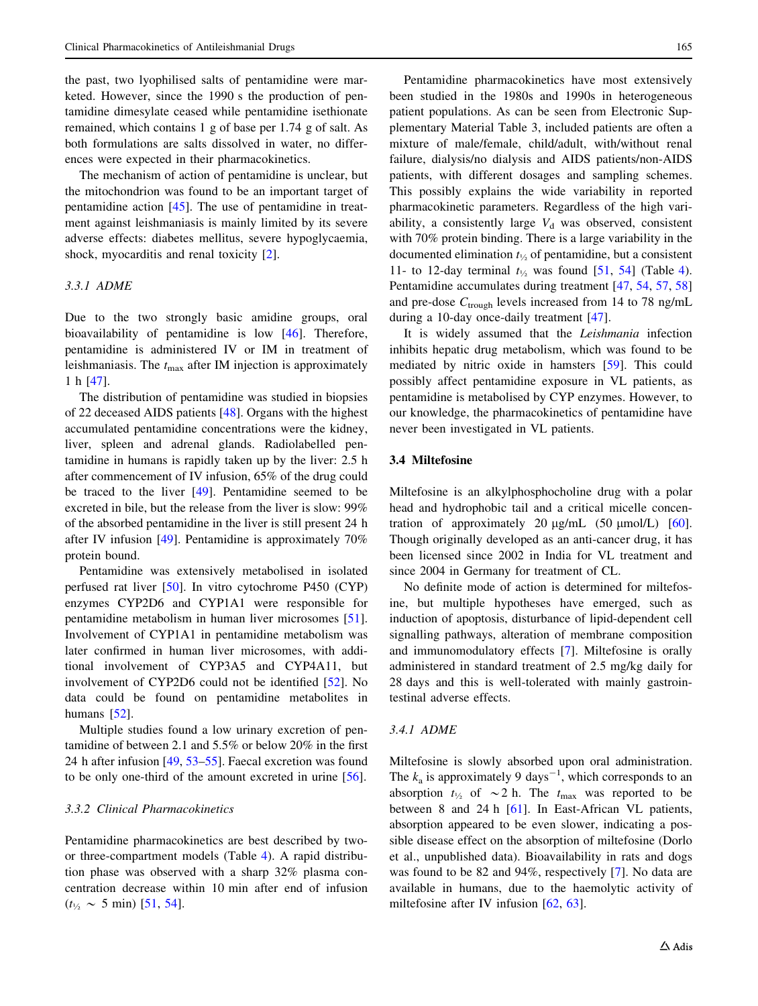the past, two lyophilised salts of pentamidine were marketed. However, since the 1990 s the production of pentamidine dimesylate ceased while pentamidine isethionate remained, which contains 1 g of base per 1.74 g of salt. As both formulations are salts dissolved in water, no differences were expected in their pharmacokinetics.

The mechanism of action of pentamidine is unclear, but the mitochondrion was found to be an important target of pentamidine action [[45\]](#page-22-0). The use of pentamidine in treatment against leishmaniasis is mainly limited by its severe adverse effects: diabetes mellitus, severe hypoglycaemia, shock, myocarditis and renal toxicity [\[2](#page-21-0)].

## 3.3.1 ADME

Due to the two strongly basic amidine groups, oral bioavailability of pentamidine is low [[46\]](#page-22-0). Therefore, pentamidine is administered IV or IM in treatment of leishmaniasis. The  $t_{\text{max}}$  after IM injection is approximately 1h[[47\]](#page-22-0).

The distribution of pentamidine was studied in biopsies of 22 deceased AIDS patients [[48\]](#page-22-0). Organs with the highest accumulated pentamidine concentrations were the kidney, liver, spleen and adrenal glands. Radiolabelled pentamidine in humans is rapidly taken up by the liver: 2.5 h after commencement of IV infusion, 65% of the drug could be traced to the liver [\[49](#page-22-0)]. Pentamidine seemed to be excreted in bile, but the release from the liver is slow: 99% of the absorbed pentamidine in the liver is still present 24 h after IV infusion [\[49](#page-22-0)]. Pentamidine is approximately 70% protein bound.

Pentamidine was extensively metabolised in isolated perfused rat liver [[50\]](#page-22-0). In vitro cytochrome P450 (CYP) enzymes CYP2D6 and CYP1A1 were responsible for pentamidine metabolism in human liver microsomes [\[51](#page-22-0)]. Involvement of CYP1A1 in pentamidine metabolism was later confirmed in human liver microsomes, with additional involvement of CYP3A5 and CYP4A11, but involvement of CYP2D6 could not be identified [\[52](#page-22-0)]. No data could be found on pentamidine metabolites in humans [\[52](#page-22-0)].

Multiple studies found a low urinary excretion of pentamidine of between 2.1 and 5.5% or below 20% in the first 24 h after infusion [\[49](#page-22-0), [53–55](#page-22-0)]. Faecal excretion was found to be only one-third of the amount excreted in urine [\[56](#page-22-0)].

#### 3.3.2 Clinical Pharmacokinetics

Pentamidine pharmacokinetics are best described by twoor three-compartment models (Table [4](#page-6-0)). A rapid distribution phase was observed with a sharp 32% plasma concentration decrease within 10 min after end of infusion  $(t_{\frac{1}{2}} \sim 5 \text{ min})$  [[51,](#page-22-0) [54\]](#page-22-0).

Pentamidine pharmacokinetics have most extensively been studied in the 1980s and 1990s in heterogeneous patient populations. As can be seen from Electronic Supplementary Material Table 3, included patients are often a mixture of male/female, child/adult, with/without renal failure, dialysis/no dialysis and AIDS patients/non-AIDS patients, with different dosages and sampling schemes. This possibly explains the wide variability in reported pharmacokinetic parameters. Regardless of the high variability, a consistently large  $V<sub>d</sub>$  was observed, consistent with 70% protein binding. There is a large variability in the documented elimination  $t_{\frac{1}{2}}$  of pentamidine, but a consistent 11- to 12-day terminal  $t_{\frac{1}{2}}$  was found [[51,](#page-22-0) [54](#page-22-0)] (Table [4](#page-6-0)). Pentamidine accumulates during treatment [[47,](#page-22-0) [54](#page-22-0), [57,](#page-22-0) [58\]](#page-22-0) and pre-dose  $C_{\text{trough}}$  levels increased from 14 to 78 ng/mL during a 10-day once-daily treatment [[47\]](#page-22-0).

It is widely assumed that the Leishmania infection inhibits hepatic drug metabolism, which was found to be mediated by nitric oxide in hamsters [\[59](#page-22-0)]. This could possibly affect pentamidine exposure in VL patients, as pentamidine is metabolised by CYP enzymes. However, to our knowledge, the pharmacokinetics of pentamidine have never been investigated in VL patients.

## 3.4 Miltefosine

Miltefosine is an alkylphosphocholine drug with a polar head and hydrophobic tail and a critical micelle concentration of approximately 20  $\mu$ g/mL (50  $\mu$ mol/L) [\[60](#page-22-0)]. Though originally developed as an anti-cancer drug, it has been licensed since 2002 in India for VL treatment and since 2004 in Germany for treatment of CL.

No definite mode of action is determined for miltefosine, but multiple hypotheses have emerged, such as induction of apoptosis, disturbance of lipid-dependent cell signalling pathways, alteration of membrane composition and immunomodulatory effects [[7\]](#page-21-0). Miltefosine is orally administered in standard treatment of 2.5 mg/kg daily for 28 days and this is well-tolerated with mainly gastrointestinal adverse effects.

## 3.4.1 ADME

Miltefosine is slowly absorbed upon oral administration. The  $k_a$  is approximately 9 days<sup>-1</sup>, which corresponds to an absorption  $t_{\frac{1}{2}}$  of  $\sim$  2 h. The  $t_{\text{max}}$  was reported to be between 8 and 24 h [\[61](#page-22-0)]. In East-African VL patients, absorption appeared to be even slower, indicating a possible disease effect on the absorption of miltefosine (Dorlo et al., unpublished data). Bioavailability in rats and dogs was found to be 82 and 94%, respectively [\[7](#page-21-0)]. No data are available in humans, due to the haemolytic activity of miltefosine after IV infusion [[62,](#page-22-0) [63](#page-22-0)].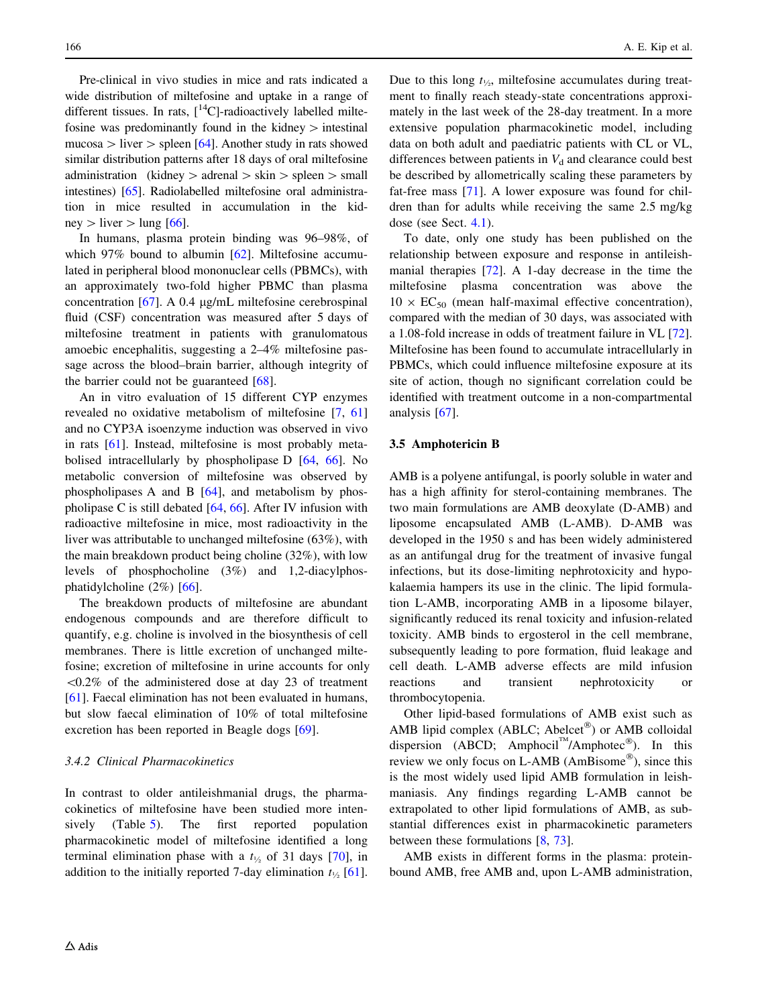Pre-clinical in vivo studies in mice and rats indicated a wide distribution of miltefosine and uptake in a range of different tissues. In rats,  $\int_{0}^{14}$ C]-radioactively labelled miltefosine was predominantly found in the kidney  $>$  intestinal mucosa  $\geq$  liver  $\geq$  spleen [\[64\]](#page-22-0). Another study in rats showed similar distribution patterns after 18 days of oral miltefosine administration (kidney  $>$  adrenal  $>$  skin  $>$  spleen  $>$  small intestines) [[65](#page-22-0)]. Radiolabelled miltefosine oral administration in mice resulted in accumulation in the kidney  $>$  liver  $>$  lung [\[66](#page-22-0)].

In humans, plasma protein binding was 96–98%, of which 97% bound to albumin [\[62](#page-22-0)]. Miltefosine accumulated in peripheral blood mononuclear cells (PBMCs), with an approximately two-fold higher PBMC than plasma concentration  $[67]$  $[67]$ . A 0.4  $\mu$ g/mL miltefosine cerebrospinal fluid (CSF) concentration was measured after 5 days of miltefosine treatment in patients with granulomatous amoebic encephalitis, suggesting a 2–4% miltefosine passage across the blood–brain barrier, although integrity of the barrier could not be guaranteed  $[68]$  $[68]$ .

An in vitro evaluation of 15 different CYP enzymes revealed no oxidative metabolism of miltefosine [[7,](#page-21-0) [61\]](#page-22-0) and no CYP3A isoenzyme induction was observed in vivo in rats [\[61\]](#page-22-0). Instead, miltefosine is most probably metabolised intracellularly by phospholipase D [\[64](#page-22-0), [66\]](#page-22-0). No metabolic conversion of miltefosine was observed by phospholipases A and B [\[64](#page-22-0)], and metabolism by phospholipase C is still debated [\[64](#page-22-0), [66\]](#page-22-0). After IV infusion with radioactive miltefosine in mice, most radioactivity in the liver was attributable to unchanged miltefosine (63%), with the main breakdown product being choline (32%), with low levels of phosphocholine (3%) and 1,2-diacylphosphatidylcholine  $(2%)$  [\[66](#page-22-0)].

The breakdown products of miltefosine are abundant endogenous compounds and are therefore difficult to quantify, e.g. choline is involved in the biosynthesis of cell membranes. There is little excretion of unchanged miltefosine; excretion of miltefosine in urine accounts for only  $\langle 0.2\%$  of the administered dose at day 23 of treatment [\[61](#page-22-0)]. Faecal elimination has not been evaluated in humans, but slow faecal elimination of 10% of total miltefosine excretion has been reported in Beagle dogs [\[69](#page-23-0)].

#### 3.4.2 Clinical Pharmacokinetics

In contrast to older antileishmanial drugs, the pharmacokinetics of miltefosine have been studied more intensively (Table [5\)](#page-8-0). The first reported population pharmacokinetic model of miltefosine identified a long terminal elimination phase with a  $t_{\frac{1}{2}}$  of 31 days [\[70](#page-23-0)], in addition to the initially reported 7-day elimination  $t_{\frac{1}{2}}$  [\[61](#page-22-0)].

Due to this long  $t_{\frac{1}{2}}$ , miltefosine accumulates during treatment to finally reach steady-state concentrations approximately in the last week of the 28-day treatment. In a more extensive population pharmacokinetic model, including data on both adult and paediatric patients with CL or VL, differences between patients in  $V_d$  and clearance could best be described by allometrically scaling these parameters by fat-free mass [[71\]](#page-23-0). A lower exposure was found for children than for adults while receiving the same 2.5 mg/kg dose (see Sect. [4.1\)](#page-17-0).

To date, only one study has been published on the relationship between exposure and response in antileishmanial therapies [\[72](#page-23-0)]. A 1-day decrease in the time the miltefosine plasma concentration was above the  $10 \times EC_{50}$  (mean half-maximal effective concentration), compared with the median of 30 days, was associated with a 1.08-fold increase in odds of treatment failure in VL [\[72](#page-23-0)]. Miltefosine has been found to accumulate intracellularly in PBMCs, which could influence miltefosine exposure at its site of action, though no significant correlation could be identified with treatment outcome in a non-compartmental analysis [\[67](#page-22-0)].

#### 3.5 Amphotericin B

AMB is a polyene antifungal, is poorly soluble in water and has a high affinity for sterol-containing membranes. The two main formulations are AMB deoxylate (D-AMB) and liposome encapsulated AMB (L-AMB). D-AMB was developed in the 1950 s and has been widely administered as an antifungal drug for the treatment of invasive fungal infections, but its dose-limiting nephrotoxicity and hypokalaemia hampers its use in the clinic. The lipid formulation L-AMB, incorporating AMB in a liposome bilayer, significantly reduced its renal toxicity and infusion-related toxicity. AMB binds to ergosterol in the cell membrane, subsequently leading to pore formation, fluid leakage and cell death. L-AMB adverse effects are mild infusion reactions and transient nephrotoxicity or thrombocytopenia.

Other lipid-based formulations of AMB exist such as AMB lipid complex (ABLC; Abelcet<sup>®</sup>) or AMB colloidal dispersion (ABCD; Amphocil<sup>™</sup>/Amphotec<sup>®</sup>). In this review we only focus on L-AMB ( $AmBisome^{\circ\circ}$ ), since this is the most widely used lipid AMB formulation in leishmaniasis. Any findings regarding L-AMB cannot be extrapolated to other lipid formulations of AMB, as substantial differences exist in pharmacokinetic parameters between these formulations [[8,](#page-21-0) [73](#page-23-0)].

AMB exists in different forms in the plasma: proteinbound AMB, free AMB and, upon L-AMB administration,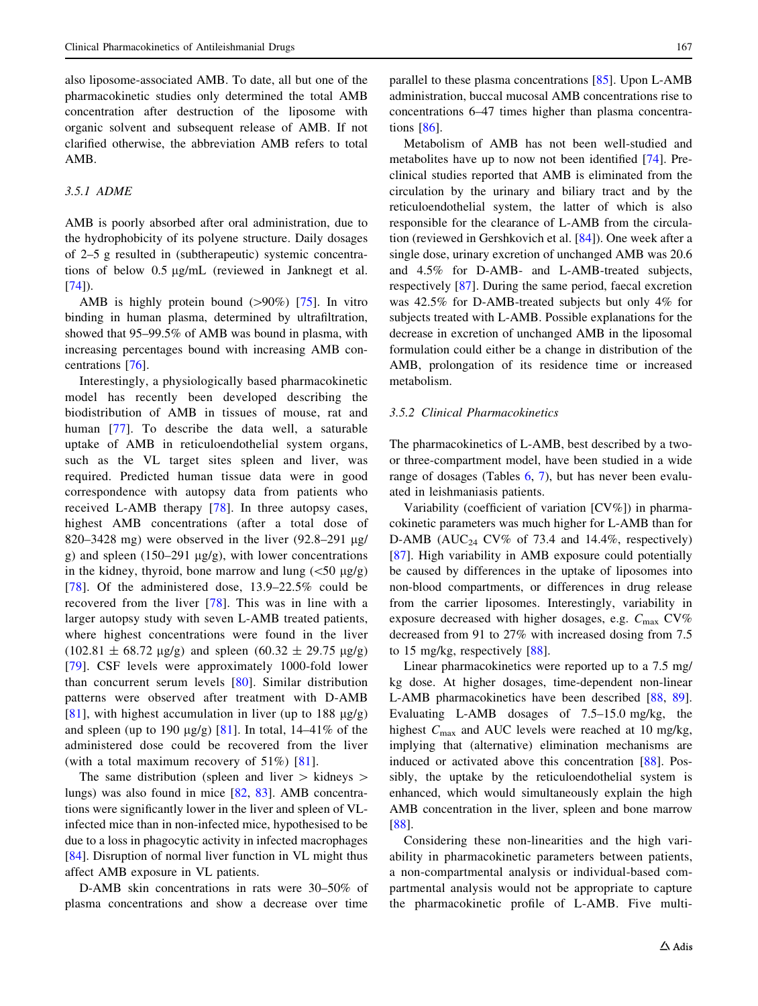also liposome-associated AMB. To date, all but one of the pharmacokinetic studies only determined the total AMB concentration after destruction of the liposome with organic solvent and subsequent release of AMB. If not clarified otherwise, the abbreviation AMB refers to total AMB.

## 3.5.1 ADME

AMB is poorly absorbed after oral administration, due to the hydrophobicity of its polyene structure. Daily dosages of 2–5 g resulted in (subtherapeutic) systemic concentrations of below  $0.5 \mu g/mL$  (reviewed in Janknegt et al.  $[74]$  $[74]$ .

AMB is highly protein bound  $(>90\%)$  [[75\]](#page-23-0). In vitro binding in human plasma, determined by ultrafiltration, showed that 95–99.5% of AMB was bound in plasma, with increasing percentages bound with increasing AMB concentrations [[76\]](#page-23-0).

Interestingly, a physiologically based pharmacokinetic model has recently been developed describing the biodistribution of AMB in tissues of mouse, rat and human [[77](#page-23-0)]. To describe the data well, a saturable uptake of AMB in reticuloendothelial system organs, such as the VL target sites spleen and liver, was required. Predicted human tissue data were in good correspondence with autopsy data from patients who received L-AMB therapy [[78\]](#page-23-0). In three autopsy cases, highest AMB concentrations (after a total dose of 820–3428 mg) were observed in the liver  $(92.8-291 \text{ µg})$ g) and spleen  $(150-291 \text{ µg/g})$ , with lower concentrations in the kidney, thyroid, bone marrow and lung  $\left(\frac{50 \mu g}{g}\right)$ [\[78\]](#page-23-0). Of the administered dose,  $13.9-22.5\%$  could be recovered from the liver [[78](#page-23-0)]. This was in line with a larger autopsy study with seven L-AMB treated patients, where highest concentrations were found in the liver  $(102.81 \pm 68.72 \text{ µg/g})$  and spleen  $(60.32 \pm 29.75 \text{ µg/g})$ [\[79\]](#page-23-0). CSF levels were approximately 1000-fold lower than concurrent serum levels [\[80](#page-23-0)]. Similar distribution patterns were observed after treatment with D-AMB [\[81\]](#page-23-0), with highest accumulation in liver (up to 188  $\mu$ g/g) and spleen (up to 190  $\mu$ g/g) [\[81](#page-23-0)]. In total, 14–41% of the administered dose could be recovered from the liver (with a total maximum recovery of 51%) [[81\]](#page-23-0).

The same distribution (spleen and liver  $>$  kidneys  $>$ lungs) was also found in mice [\[82](#page-23-0), [83\]](#page-23-0). AMB concentrations were significantly lower in the liver and spleen of VLinfected mice than in non-infected mice, hypothesised to be due to a loss in phagocytic activity in infected macrophages [\[84](#page-23-0)]. Disruption of normal liver function in VL might thus affect AMB exposure in VL patients.

D-AMB skin concentrations in rats were 30–50% of plasma concentrations and show a decrease over time

parallel to these plasma concentrations [[85\]](#page-23-0). Upon L-AMB administration, buccal mucosal AMB concentrations rise to concentrations 6–47 times higher than plasma concentrations [\[86](#page-23-0)].

Metabolism of AMB has not been well-studied and metabolites have up to now not been identified [\[74](#page-23-0)]. Preclinical studies reported that AMB is eliminated from the circulation by the urinary and biliary tract and by the reticuloendothelial system, the latter of which is also responsible for the clearance of L-AMB from the circulation (reviewed in Gershkovich et al. [\[84](#page-23-0)]). One week after a single dose, urinary excretion of unchanged AMB was 20.6 and 4.5% for D-AMB- and L-AMB-treated subjects, respectively [[87\]](#page-23-0). During the same period, faecal excretion was 42.5% for D-AMB-treated subjects but only 4% for subjects treated with L-AMB. Possible explanations for the decrease in excretion of unchanged AMB in the liposomal formulation could either be a change in distribution of the AMB, prolongation of its residence time or increased metabolism.

#### 3.5.2 Clinical Pharmacokinetics

The pharmacokinetics of L-AMB, best described by a twoor three-compartment model, have been studied in a wide range of dosages (Tables [6](#page-10-0), [7](#page-12-0)), but has never been evaluated in leishmaniasis patients.

Variability (coefficient of variation [CV%]) in pharmacokinetic parameters was much higher for L-AMB than for D-AMB (AUC<sub>24</sub> CV% of 73.4 and 14.4%, respectively) [\[87](#page-23-0)]. High variability in AMB exposure could potentially be caused by differences in the uptake of liposomes into non-blood compartments, or differences in drug release from the carrier liposomes. Interestingly, variability in exposure decreased with higher dosages, e.g.  $C_{\text{max}}$  CV% decreased from 91 to 27% with increased dosing from 7.5 to 15 mg/kg, respectively [\[88](#page-23-0)].

Linear pharmacokinetics were reported up to a 7.5 mg/ kg dose. At higher dosages, time-dependent non-linear L-AMB pharmacokinetics have been described [\[88](#page-23-0), [89](#page-23-0)]. Evaluating L-AMB dosages of 7.5–15.0 mg/kg, the highest  $C_{\text{max}}$  and AUC levels were reached at 10 mg/kg, implying that (alternative) elimination mechanisms are induced or activated above this concentration [\[88](#page-23-0)]. Possibly, the uptake by the reticuloendothelial system is enhanced, which would simultaneously explain the high AMB concentration in the liver, spleen and bone marrow [\[88](#page-23-0)].

Considering these non-linearities and the high variability in pharmacokinetic parameters between patients, a non-compartmental analysis or individual-based compartmental analysis would not be appropriate to capture the pharmacokinetic profile of L-AMB. Five multi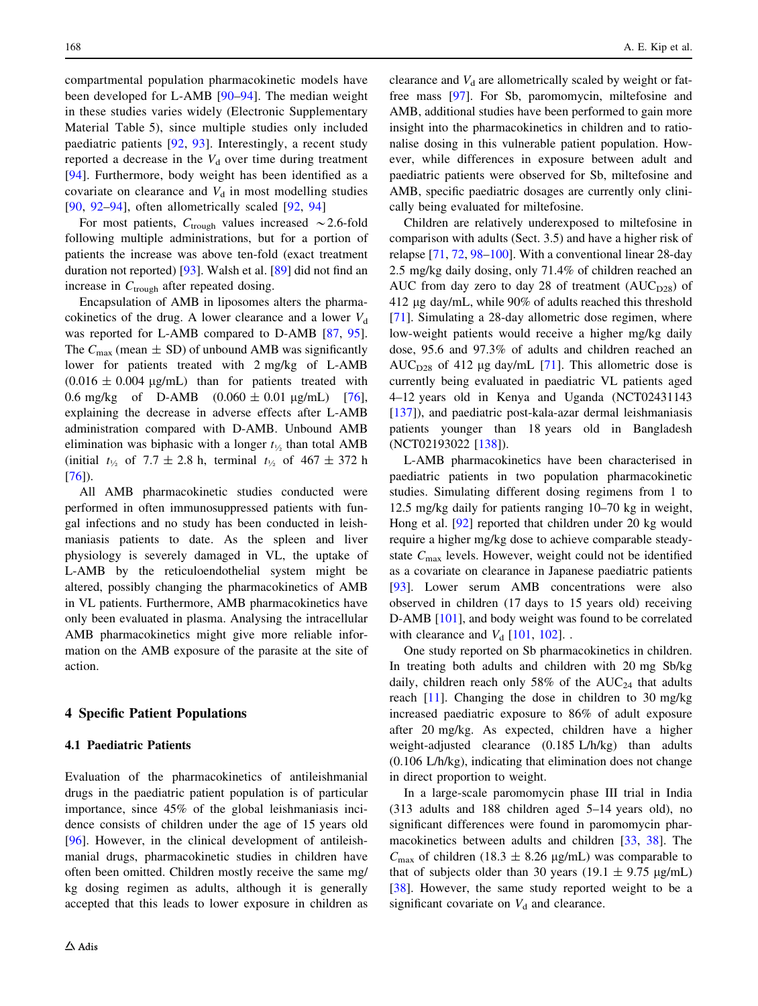<span id="page-17-0"></span>compartmental population pharmacokinetic models have been developed for L-AMB [[90–94](#page-23-0)]. The median weight in these studies varies widely (Electronic Supplementary Material Table 5), since multiple studies only included paediatric patients [[92,](#page-23-0) [93\]](#page-23-0). Interestingly, a recent study reported a decrease in the  $V<sub>d</sub>$  over time during treatment [\[94\]](#page-23-0). Furthermore, body weight has been identified as a covariate on clearance and  $V<sub>d</sub>$  in most modelling studies  $[90, 92-94]$  $[90, 92-94]$  $[90, 92-94]$  $[90, 92-94]$  $[90, 92-94]$ , often allometrically scaled  $[92, 94]$ 

For most patients,  $C_{\text{trough}}$  values increased  $\sim$  2.6-fold following multiple administrations, but for a portion of patients the increase was above ten-fold (exact treatment duration not reported) [\[93](#page-23-0)]. Walsh et al. [[89\]](#page-23-0) did not find an increase in  $C_{\text{trough}}$  after repeated dosing.

Encapsulation of AMB in liposomes alters the pharmacokinetics of the drug. A lower clearance and a lower  $V_d$ was reported for L-AMB compared to D-AMB [[87,](#page-23-0) [95](#page-23-0)]. The  $C_{\text{max}}$  (mean  $\pm$  SD) of unbound AMB was significantly lower for patients treated with 2 mg/kg of L-AMB  $(0.016 \pm 0.004 \text{ µg/mL})$  than for patients treated with 0.6 mg/kg of D-AMB  $(0.060 \pm 0.01 \text{ µg/mL})$  [\[76](#page-23-0)], explaining the decrease in adverse effects after L-AMB administration compared with D-AMB. Unbound AMB elimination was biphasic with a longer  $t_{\frac{1}{2}}$  than total AMB (initial  $t_{\frac{1}{2}}$  of 7.7  $\pm$  2.8 h, terminal  $t_{\frac{1}{2}}$  of 467  $\pm$  372 h [\[76](#page-23-0)]).

All AMB pharmacokinetic studies conducted were performed in often immunosuppressed patients with fungal infections and no study has been conducted in leishmaniasis patients to date. As the spleen and liver physiology is severely damaged in VL, the uptake of L-AMB by the reticuloendothelial system might be altered, possibly changing the pharmacokinetics of AMB in VL patients. Furthermore, AMB pharmacokinetics have only been evaluated in plasma. Analysing the intracellular AMB pharmacokinetics might give more reliable information on the AMB exposure of the parasite at the site of action.

#### 4 Specific Patient Populations

#### 4.1 Paediatric Patients

Evaluation of the pharmacokinetics of antileishmanial drugs in the paediatric patient population is of particular importance, since 45% of the global leishmaniasis incidence consists of children under the age of 15 years old [\[96](#page-23-0)]. However, in the clinical development of antileishmanial drugs, pharmacokinetic studies in children have often been omitted. Children mostly receive the same mg/ kg dosing regimen as adults, although it is generally accepted that this leads to lower exposure in children as clearance and  $V<sub>d</sub>$  are allometrically scaled by weight or fatfree mass [\[97](#page-23-0)]. For Sb, paromomycin, miltefosine and AMB, additional studies have been performed to gain more insight into the pharmacokinetics in children and to rationalise dosing in this vulnerable patient population. However, while differences in exposure between adult and paediatric patients were observed for Sb, miltefosine and AMB, specific paediatric dosages are currently only clinically being evaluated for miltefosine.

Children are relatively underexposed to miltefosine in comparison with adults (Sect. 3.5) and have a higher risk of relapse [\[71](#page-23-0), [72,](#page-23-0) [98–100\]](#page-24-0). With a conventional linear 28-day 2.5 mg/kg daily dosing, only 71.4% of children reached an AUC from day zero to day 28 of treatment  $(AUC_{D28})$  of 412 lg day/mL, while 90% of adults reached this threshold [\[71](#page-23-0)]. Simulating a 28-day allometric dose regimen, where low-weight patients would receive a higher mg/kg daily dose, 95.6 and 97.3% of adults and children reached an AUC<sub>D28</sub> of 412 µg day/mL  $[71]$  $[71]$ . This allometric dose is currently being evaluated in paediatric VL patients aged 4–12 years old in Kenya and Uganda (NCT02431143 [\[137](#page-25-0)]), and paediatric post-kala-azar dermal leishmaniasis patients younger than 18 years old in Bangladesh (NCT02193022 [\[138\]](#page-25-0)).

L-AMB pharmacokinetics have been characterised in paediatric patients in two population pharmacokinetic studies. Simulating different dosing regimens from 1 to 12.5 mg/kg daily for patients ranging 10–70 kg in weight, Hong et al. [[92\]](#page-23-0) reported that children under 20 kg would require a higher mg/kg dose to achieve comparable steadystate  $C_{\text{max}}$  levels. However, weight could not be identified as a covariate on clearance in Japanese paediatric patients [\[93](#page-23-0)]. Lower serum AMB concentrations were also observed in children (17 days to 15 years old) receiving D-AMB [\[101](#page-24-0)], and body weight was found to be correlated with clearance and  $V_d$  [[101,](#page-24-0) [102\]](#page-24-0)...

One study reported on Sb pharmacokinetics in children. In treating both adults and children with 20 mg Sb/kg daily, children reach only 58% of the  $AUC_{24}$  that adults reach [\[11](#page-21-0)]. Changing the dose in children to 30 mg/kg increased paediatric exposure to 86% of adult exposure after 20 mg/kg. As expected, children have a higher weight-adjusted clearance (0.185 L/h/kg) than adults (0.106 L/h/kg), indicating that elimination does not change in direct proportion to weight.

In a large-scale paromomycin phase III trial in India (313 adults and 188 children aged 5–14 years old), no significant differences were found in paromomycin pharmacokinetics between adults and children [[33,](#page-22-0) [38](#page-22-0)]. The  $C_{\text{max}}$  of children (18.3  $\pm$  8.26 µg/mL) was comparable to that of subjects older than 30 years (19.1  $\pm$  9.75 µg/mL) [\[38](#page-22-0)]. However, the same study reported weight to be a significant covariate on  $V_d$  and clearance.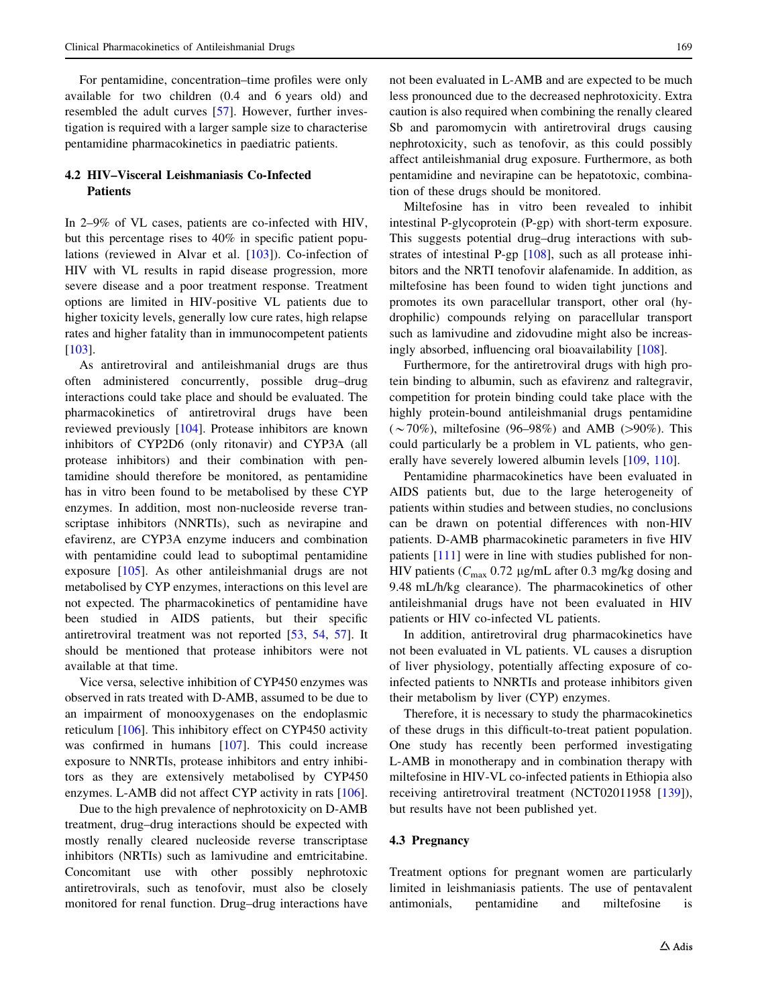For pentamidine, concentration–time profiles were only available for two children (0.4 and 6 years old) and resembled the adult curves [\[57](#page-22-0)]. However, further investigation is required with a larger sample size to characterise pentamidine pharmacokinetics in paediatric patients.

# 4.2 HIV–Visceral Leishmaniasis Co-Infected Patients

In 2–9% of VL cases, patients are co-infected with HIV, but this percentage rises to 40% in specific patient populations (reviewed in Alvar et al. [[103\]](#page-24-0)). Co-infection of HIV with VL results in rapid disease progression, more severe disease and a poor treatment response. Treatment options are limited in HIV-positive VL patients due to higher toxicity levels, generally low cure rates, high relapse rates and higher fatality than in immunocompetent patients [\[103](#page-24-0)].

As antiretroviral and antileishmanial drugs are thus often administered concurrently, possible drug–drug interactions could take place and should be evaluated. The pharmacokinetics of antiretroviral drugs have been reviewed previously [\[104](#page-24-0)]. Protease inhibitors are known inhibitors of CYP2D6 (only ritonavir) and CYP3A (all protease inhibitors) and their combination with pentamidine should therefore be monitored, as pentamidine has in vitro been found to be metabolised by these CYP enzymes. In addition, most non-nucleoside reverse transcriptase inhibitors (NNRTIs), such as nevirapine and efavirenz, are CYP3A enzyme inducers and combination with pentamidine could lead to suboptimal pentamidine exposure [[105\]](#page-24-0). As other antileishmanial drugs are not metabolised by CYP enzymes, interactions on this level are not expected. The pharmacokinetics of pentamidine have been studied in AIDS patients, but their specific antiretroviral treatment was not reported [[53,](#page-22-0) [54,](#page-22-0) [57\]](#page-22-0). It should be mentioned that protease inhibitors were not available at that time.

Vice versa, selective inhibition of CYP450 enzymes was observed in rats treated with D-AMB, assumed to be due to an impairment of monooxygenases on the endoplasmic reticulum [[106\]](#page-24-0). This inhibitory effect on CYP450 activity was confirmed in humans [[107\]](#page-24-0). This could increase exposure to NNRTIs, protease inhibitors and entry inhibitors as they are extensively metabolised by CYP450 enzymes. L-AMB did not affect CYP activity in rats [\[106](#page-24-0)].

Due to the high prevalence of nephrotoxicity on D-AMB treatment, drug–drug interactions should be expected with mostly renally cleared nucleoside reverse transcriptase inhibitors (NRTIs) such as lamivudine and emtricitabine. Concomitant use with other possibly nephrotoxic antiretrovirals, such as tenofovir, must also be closely monitored for renal function. Drug–drug interactions have not been evaluated in L-AMB and are expected to be much less pronounced due to the decreased nephrotoxicity. Extra caution is also required when combining the renally cleared Sb and paromomycin with antiretroviral drugs causing nephrotoxicity, such as tenofovir, as this could possibly affect antileishmanial drug exposure. Furthermore, as both pentamidine and nevirapine can be hepatotoxic, combination of these drugs should be monitored.

Miltefosine has in vitro been revealed to inhibit intestinal P-glycoprotein (P-gp) with short-term exposure. This suggests potential drug–drug interactions with substrates of intestinal P-gp [[108\]](#page-24-0), such as all protease inhibitors and the NRTI tenofovir alafenamide. In addition, as miltefosine has been found to widen tight junctions and promotes its own paracellular transport, other oral (hydrophilic) compounds relying on paracellular transport such as lamivudine and zidovudine might also be increasingly absorbed, influencing oral bioavailability [[108\]](#page-24-0).

Furthermore, for the antiretroviral drugs with high protein binding to albumin, such as efavirenz and raltegravir, competition for protein binding could take place with the highly protein-bound antileishmanial drugs pentamidine  $(\sim 70\%)$ , miltefosine (96–98%) and AMB (>90%). This could particularly be a problem in VL patients, who generally have severely lowered albumin levels [\[109](#page-24-0), [110\]](#page-24-0).

Pentamidine pharmacokinetics have been evaluated in AIDS patients but, due to the large heterogeneity of patients within studies and between studies, no conclusions can be drawn on potential differences with non-HIV patients. D-AMB pharmacokinetic parameters in five HIV patients [[111\]](#page-24-0) were in line with studies published for non-HIV patients ( $C_{\text{max}}$  0.72 µg/mL after 0.3 mg/kg dosing and 9.48 mL/h/kg clearance). The pharmacokinetics of other antileishmanial drugs have not been evaluated in HIV patients or HIV co-infected VL patients.

In addition, antiretroviral drug pharmacokinetics have not been evaluated in VL patients. VL causes a disruption of liver physiology, potentially affecting exposure of coinfected patients to NNRTIs and protease inhibitors given their metabolism by liver (CYP) enzymes.

Therefore, it is necessary to study the pharmacokinetics of these drugs in this difficult-to-treat patient population. One study has recently been performed investigating L-AMB in monotherapy and in combination therapy with miltefosine in HIV-VL co-infected patients in Ethiopia also receiving antiretroviral treatment (NCT02011958 [\[139](#page-25-0)]), but results have not been published yet.

#### 4.3 Pregnancy

Treatment options for pregnant women are particularly limited in leishmaniasis patients. The use of pentavalent antimonials, pentamidine and miltefosine is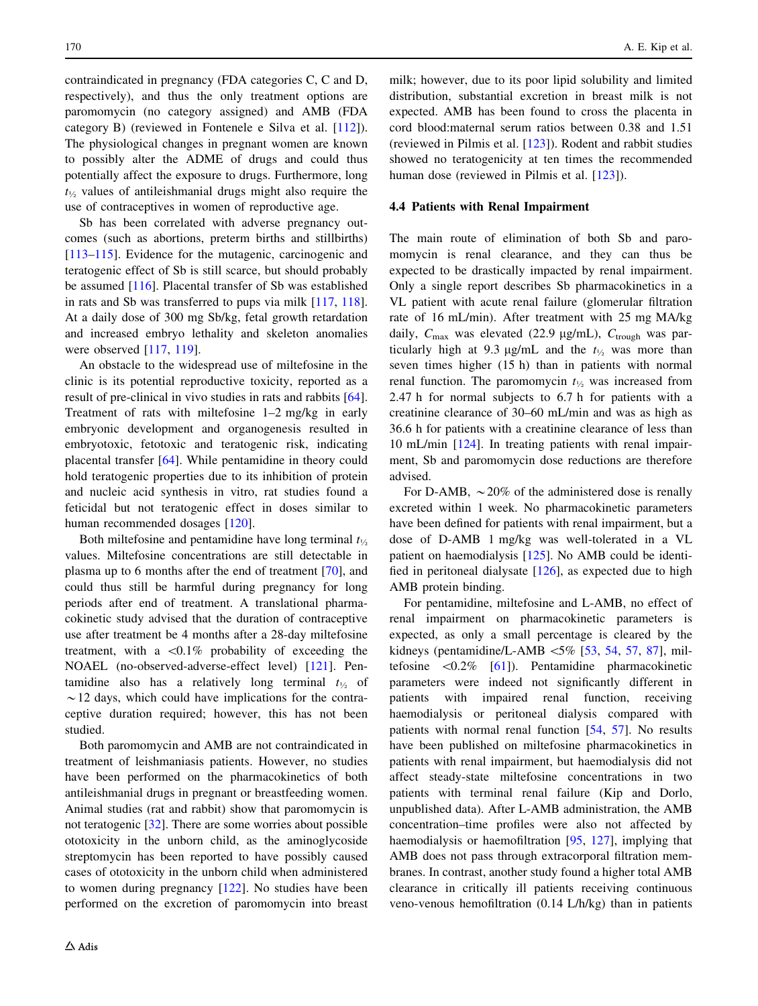contraindicated in pregnancy (FDA categories C, C and D, respectively), and thus the only treatment options are paromomycin (no category assigned) and AMB (FDA category B) (reviewed in Fontenele e Silva et al. [\[112](#page-24-0)]). The physiological changes in pregnant women are known to possibly alter the ADME of drugs and could thus potentially affect the exposure to drugs. Furthermore, long  $t_{1/2}$  values of antileishmanial drugs might also require the use of contraceptives in women of reproductive age.

Sb has been correlated with adverse pregnancy outcomes (such as abortions, preterm births and stillbirths) [\[113–115](#page-24-0)]. Evidence for the mutagenic, carcinogenic and teratogenic effect of Sb is still scarce, but should probably be assumed [\[116](#page-24-0)]. Placental transfer of Sb was established in rats and Sb was transferred to pups via milk [[117,](#page-24-0) [118](#page-24-0)]. At a daily dose of 300 mg Sb/kg, fetal growth retardation and increased embryo lethality and skeleton anomalies were observed [[117](#page-24-0), [119](#page-24-0)].

An obstacle to the widespread use of miltefosine in the clinic is its potential reproductive toxicity, reported as a result of pre-clinical in vivo studies in rats and rabbits [\[64](#page-22-0)]. Treatment of rats with miltefosine 1–2 mg/kg in early embryonic development and organogenesis resulted in embryotoxic, fetotoxic and teratogenic risk, indicating placental transfer [[64\]](#page-22-0). While pentamidine in theory could hold teratogenic properties due to its inhibition of protein and nucleic acid synthesis in vitro, rat studies found a feticidal but not teratogenic effect in doses similar to human recommended dosages [[120\]](#page-24-0).

Both miltefosine and pentamidine have long terminal  $t_{1/2}$ values. Miltefosine concentrations are still detectable in plasma up to 6 months after the end of treatment [[70\]](#page-23-0), and could thus still be harmful during pregnancy for long periods after end of treatment. A translational pharmacokinetic study advised that the duration of contraceptive use after treatment be 4 months after a 28-day miltefosine treatment, with a  $\langle 0.1\%$  probability of exceeding the NOAEL (no-observed-adverse-effect level) [\[121](#page-24-0)]. Pentamidine also has a relatively long terminal  $t_{\frac{1}{2}}$  of  $\sim$  12 days, which could have implications for the contraceptive duration required; however, this has not been studied.

Both paromomycin and AMB are not contraindicated in treatment of leishmaniasis patients. However, no studies have been performed on the pharmacokinetics of both antileishmanial drugs in pregnant or breastfeeding women. Animal studies (rat and rabbit) show that paromomycin is not teratogenic [[32\]](#page-22-0). There are some worries about possible ototoxicity in the unborn child, as the aminoglycoside streptomycin has been reported to have possibly caused cases of ototoxicity in the unborn child when administered to women during pregnancy [[122\]](#page-24-0). No studies have been performed on the excretion of paromomycin into breast milk; however, due to its poor lipid solubility and limited distribution, substantial excretion in breast milk is not expected. AMB has been found to cross the placenta in cord blood:maternal serum ratios between 0.38 and 1.51 (reviewed in Pilmis et al. [\[123](#page-24-0)]). Rodent and rabbit studies showed no teratogenicity at ten times the recommended human dose (reviewed in Pilmis et al. [[123\]](#page-24-0)).

## 4.4 Patients with Renal Impairment

The main route of elimination of both Sb and paromomycin is renal clearance, and they can thus be expected to be drastically impacted by renal impairment. Only a single report describes Sb pharmacokinetics in a VL patient with acute renal failure (glomerular filtration rate of 16 mL/min). After treatment with 25 mg MA/kg daily,  $C_{\text{max}}$  was elevated (22.9 µg/mL),  $C_{\text{trough}}$  was particularly high at 9.3  $\mu$ g/mL and the  $t_{1/2}$  was more than seven times higher (15 h) than in patients with normal renal function. The paromomycin  $t_{\frac{1}{2}}$  was increased from 2.47 h for normal subjects to 6.7 h for patients with a creatinine clearance of 30–60 mL/min and was as high as 36.6 h for patients with a creatinine clearance of less than 10 mL/min [\[124](#page-24-0)]. In treating patients with renal impairment, Sb and paromomycin dose reductions are therefore advised.

For D-AMB,  $\sim$  20% of the administered dose is renally excreted within 1 week. No pharmacokinetic parameters have been defined for patients with renal impairment, but a dose of D-AMB 1 mg/kg was well-tolerated in a VL patient on haemodialysis [\[125](#page-24-0)]. No AMB could be identified in peritoneal dialysate  $[126]$  $[126]$ , as expected due to high AMB protein binding.

For pentamidine, miltefosine and L-AMB, no effect of renal impairment on pharmacokinetic parameters is expected, as only a small percentage is cleared by the kidneys (pentamidine/L-AMB  $\leq 5\%$  [\[53](#page-22-0), [54,](#page-22-0) [57,](#page-22-0) [87](#page-23-0)], miltefosine  $\langle 0.2\% \quad [61]$  $\langle 0.2\% \quad [61]$  $\langle 0.2\% \quad [61]$ . Pentamidine pharmacokinetic parameters were indeed not significantly different in patients with impaired renal function, receiving haemodialysis or peritoneal dialysis compared with patients with normal renal function [[54,](#page-22-0) [57\]](#page-22-0). No results have been published on miltefosine pharmacokinetics in patients with renal impairment, but haemodialysis did not affect steady-state miltefosine concentrations in two patients with terminal renal failure (Kip and Dorlo, unpublished data). After L-AMB administration, the AMB concentration–time profiles were also not affected by haemodialysis or haemofiltration [\[95](#page-23-0), [127](#page-24-0)], implying that AMB does not pass through extracorporal filtration membranes. In contrast, another study found a higher total AMB clearance in critically ill patients receiving continuous veno-venous hemofiltration (0.14 L/h/kg) than in patients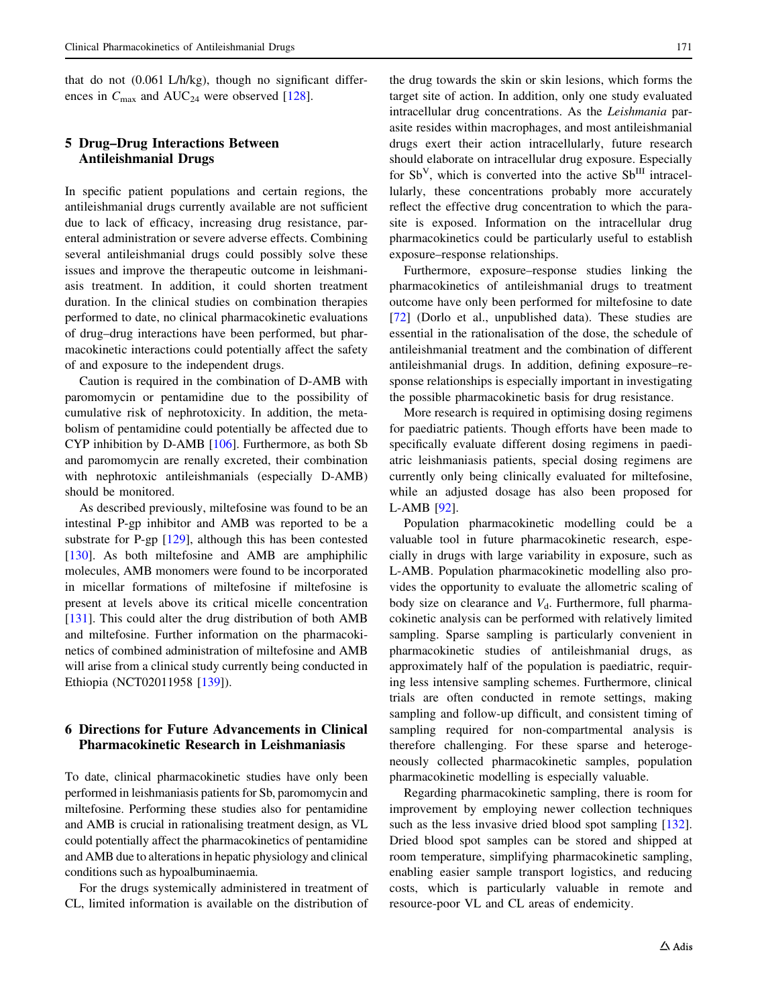that do not (0.061 L/h/kg), though no significant differences in  $C_{\text{max}}$  and AUC<sub>24</sub> were observed [[128\]](#page-24-0).

# 5 Drug–Drug Interactions Between Antileishmanial Drugs

In specific patient populations and certain regions, the antileishmanial drugs currently available are not sufficient due to lack of efficacy, increasing drug resistance, parenteral administration or severe adverse effects. Combining several antileishmanial drugs could possibly solve these issues and improve the therapeutic outcome in leishmaniasis treatment. In addition, it could shorten treatment duration. In the clinical studies on combination therapies performed to date, no clinical pharmacokinetic evaluations of drug–drug interactions have been performed, but pharmacokinetic interactions could potentially affect the safety of and exposure to the independent drugs.

Caution is required in the combination of D-AMB with paromomycin or pentamidine due to the possibility of cumulative risk of nephrotoxicity. In addition, the metabolism of pentamidine could potentially be affected due to CYP inhibition by D-AMB [[106](#page-24-0)]. Furthermore, as both Sb and paromomycin are renally excreted, their combination with nephrotoxic antileishmanials (especially D-AMB) should be monitored.

As described previously, miltefosine was found to be an intestinal P-gp inhibitor and AMB was reported to be a substrate for P-gp [[129\]](#page-24-0), although this has been contested [\[130](#page-24-0)]. As both miltefosine and AMB are amphiphilic molecules, AMB monomers were found to be incorporated in micellar formations of miltefosine if miltefosine is present at levels above its critical micelle concentration [\[131](#page-24-0)]. This could alter the drug distribution of both AMB and miltefosine. Further information on the pharmacokinetics of combined administration of miltefosine and AMB will arise from a clinical study currently being conducted in Ethiopia (NCT02011958 [\[139](#page-25-0)]).

# 6 Directions for Future Advancements in Clinical Pharmacokinetic Research in Leishmaniasis

To date, clinical pharmacokinetic studies have only been performed in leishmaniasis patients for Sb, paromomycin and miltefosine. Performing these studies also for pentamidine and AMB is crucial in rationalising treatment design, as VL could potentially affect the pharmacokinetics of pentamidine and AMB due to alterations in hepatic physiology and clinical conditions such as hypoalbuminaemia.

For the drugs systemically administered in treatment of CL, limited information is available on the distribution of

the drug towards the skin or skin lesions, which forms the target site of action. In addition, only one study evaluated intracellular drug concentrations. As the Leishmania parasite resides within macrophages, and most antileishmanial drugs exert their action intracellularly, future research should elaborate on intracellular drug exposure. Especially for  $Sb^{V}$ , which is converted into the active  $Sb^{III}$  intracellularly, these concentrations probably more accurately reflect the effective drug concentration to which the parasite is exposed. Information on the intracellular drug pharmacokinetics could be particularly useful to establish exposure–response relationships.

Furthermore, exposure–response studies linking the pharmacokinetics of antileishmanial drugs to treatment outcome have only been performed for miltefosine to date [\[72](#page-23-0)] (Dorlo et al., unpublished data). These studies are essential in the rationalisation of the dose, the schedule of antileishmanial treatment and the combination of different antileishmanial drugs. In addition, defining exposure–response relationships is especially important in investigating the possible pharmacokinetic basis for drug resistance.

More research is required in optimising dosing regimens for paediatric patients. Though efforts have been made to specifically evaluate different dosing regimens in paediatric leishmaniasis patients, special dosing regimens are currently only being clinically evaluated for miltefosine, while an adjusted dosage has also been proposed for L-AMB [[92\]](#page-23-0).

Population pharmacokinetic modelling could be a valuable tool in future pharmacokinetic research, especially in drugs with large variability in exposure, such as L-AMB. Population pharmacokinetic modelling also provides the opportunity to evaluate the allometric scaling of body size on clearance and  $V<sub>d</sub>$ . Furthermore, full pharmacokinetic analysis can be performed with relatively limited sampling. Sparse sampling is particularly convenient in pharmacokinetic studies of antileishmanial drugs, as approximately half of the population is paediatric, requiring less intensive sampling schemes. Furthermore, clinical trials are often conducted in remote settings, making sampling and follow-up difficult, and consistent timing of sampling required for non-compartmental analysis is therefore challenging. For these sparse and heterogeneously collected pharmacokinetic samples, population pharmacokinetic modelling is especially valuable.

Regarding pharmacokinetic sampling, there is room for improvement by employing newer collection techniques such as the less invasive dried blood spot sampling [\[132](#page-24-0)]. Dried blood spot samples can be stored and shipped at room temperature, simplifying pharmacokinetic sampling, enabling easier sample transport logistics, and reducing costs, which is particularly valuable in remote and resource-poor VL and CL areas of endemicity.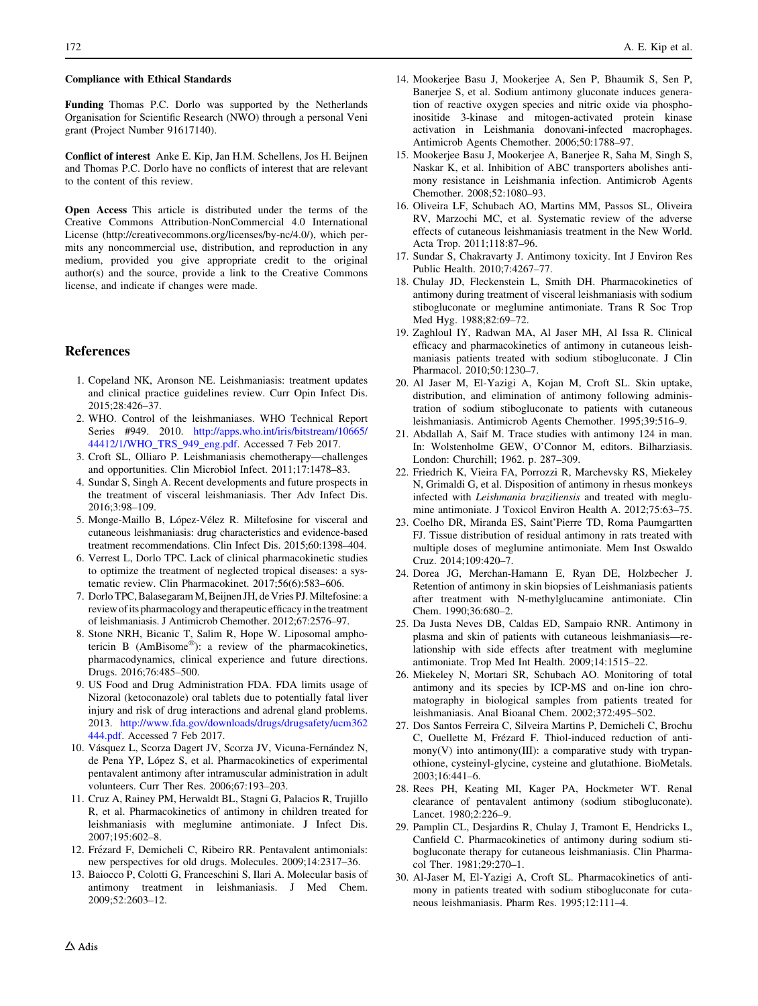#### <span id="page-21-0"></span>Compliance with Ethical Standards

Funding Thomas P.C. Dorlo was supported by the Netherlands Organisation for Scientific Research (NWO) through a personal Veni grant (Project Number 91617140).

Conflict of interest Anke E. Kip, Jan H.M. Schellens, Jos H. Beijnen and Thomas P.C. Dorlo have no conflicts of interest that are relevant to the content of this review.

Open Access This article is distributed under the terms of the Creative Commons Attribution-NonCommercial 4.0 International License (http://creativecommons.org/licenses/by-nc/4.0/), which permits any noncommercial use, distribution, and reproduction in any medium, provided you give appropriate credit to the original author(s) and the source, provide a link to the Creative Commons license, and indicate if changes were made.

## References

- 1. Copeland NK, Aronson NE. Leishmaniasis: treatment updates and clinical practice guidelines review. Curr Opin Infect Dis. 2015;28:426–37.
- 2. WHO. Control of the leishmaniases. WHO Technical Report Series #949. 2010. [http://apps.who.int/iris/bitstream/10665/](http://apps.who.int/iris/bitstream/10665/44412/1/WHO_TRS_949_eng.pdf) [44412/1/WHO\\_TRS\\_949\\_eng.pdf](http://apps.who.int/iris/bitstream/10665/44412/1/WHO_TRS_949_eng.pdf). Accessed 7 Feb 2017.
- 3. Croft SL, Olliaro P. Leishmaniasis chemotherapy—challenges and opportunities. Clin Microbiol Infect. 2011;17:1478–83.
- 4. Sundar S, Singh A. Recent developments and future prospects in the treatment of visceral leishmaniasis. Ther Adv Infect Dis. 2016;3:98–109.
- 5. Monge-Maillo B, López-Vélez R. Miltefosine for visceral and cutaneous leishmaniasis: drug characteristics and evidence-based treatment recommendations. Clin Infect Dis. 2015;60:1398–404.
- 6. Verrest L, Dorlo TPC. Lack of clinical pharmacokinetic studies to optimize the treatment of neglected tropical diseases: a systematic review. Clin Pharmacokinet. 2017;56(6):583–606.
- 7. Dorlo TPC, Balasegaram M, Beijnen JH, de Vries PJ. Miltefosine: a review of its pharmacology and therapeutic efficacy in the treatment of leishmaniasis. J Antimicrob Chemother. 2012;67:2576–97.
- 8. Stone NRH, Bicanic T, Salim R, Hope W. Liposomal amphotericin B (AmBisome<sup>®</sup>): a review of the pharmacokinetics, pharmacodynamics, clinical experience and future directions. Drugs. 2016;76:485–500.
- 9. US Food and Drug Administration FDA. FDA limits usage of Nizoral (ketoconazole) oral tablets due to potentially fatal liver injury and risk of drug interactions and adrenal gland problems. 2013. [http://www.fda.gov/downloads/drugs/drugsafety/ucm362](http://www.fda.gov/downloads/drugs/drugsafety/ucm362444.pdf) [444.pdf.](http://www.fda.gov/downloads/drugs/drugsafety/ucm362444.pdf) Accessed 7 Feb 2017.
- 10. Vásquez L, Scorza Dagert JV, Scorza JV, Vicuna-Fernández N, de Pena YP, López S, et al. Pharmacokinetics of experimental pentavalent antimony after intramuscular administration in adult volunteers. Curr Ther Res. 2006;67:193–203.
- 11. Cruz A, Rainey PM, Herwaldt BL, Stagni G, Palacios R, Trujillo R, et al. Pharmacokinetics of antimony in children treated for leishmaniasis with meglumine antimoniate. J Infect Dis. 2007;195:602–8.
- 12. Frézard F, Demicheli C, Ribeiro RR. Pentavalent antimonials: new perspectives for old drugs. Molecules. 2009;14:2317–36.
- 13. Baiocco P, Colotti G, Franceschini S, Ilari A. Molecular basis of antimony treatment in leishmaniasis. J Med Chem. 2009;52:2603–12.
- 14. Mookerjee Basu J, Mookerjee A, Sen P, Bhaumik S, Sen P, Banerjee S, et al. Sodium antimony gluconate induces generation of reactive oxygen species and nitric oxide via phosphoinositide 3-kinase and mitogen-activated protein kinase activation in Leishmania donovani-infected macrophages. Antimicrob Agents Chemother. 2006;50:1788–97.
- 15. Mookerjee Basu J, Mookerjee A, Banerjee R, Saha M, Singh S, Naskar K, et al. Inhibition of ABC transporters abolishes antimony resistance in Leishmania infection. Antimicrob Agents Chemother. 2008;52:1080–93.
- 16. Oliveira LF, Schubach AO, Martins MM, Passos SL, Oliveira RV, Marzochi MC, et al. Systematic review of the adverse effects of cutaneous leishmaniasis treatment in the New World. Acta Trop. 2011;118:87–96.
- 17. Sundar S, Chakravarty J. Antimony toxicity. Int J Environ Res Public Health. 2010;7:4267–77.
- 18. Chulay JD, Fleckenstein L, Smith DH. Pharmacokinetics of antimony during treatment of visceral leishmaniasis with sodium stibogluconate or meglumine antimoniate. Trans R Soc Trop Med Hyg. 1988;82:69–72.
- 19. Zaghloul IY, Radwan MA, Al Jaser MH, Al Issa R. Clinical efficacy and pharmacokinetics of antimony in cutaneous leishmaniasis patients treated with sodium stibogluconate. J Clin Pharmacol. 2010;50:1230–7.
- 20. Al Jaser M, El-Yazigi A, Kojan M, Croft SL. Skin uptake, distribution, and elimination of antimony following administration of sodium stibogluconate to patients with cutaneous leishmaniasis. Antimicrob Agents Chemother. 1995;39:516–9.
- 21. Abdallah A, Saif M. Trace studies with antimony 124 in man. In: Wolstenholme GEW, O'Connor M, editors. Bilharziasis. London: Churchill; 1962. p. 287–309.
- 22. Friedrich K, Vieira FA, Porrozzi R, Marchevsky RS, Miekeley N, Grimaldi G, et al. Disposition of antimony in rhesus monkeys infected with Leishmania braziliensis and treated with meglumine antimoniate. J Toxicol Environ Health A. 2012;75:63–75.
- 23. Coelho DR, Miranda ES, Saint'Pierre TD, Roma Paumgartten FJ. Tissue distribution of residual antimony in rats treated with multiple doses of meglumine antimoniate. Mem Inst Oswaldo Cruz. 2014;109:420–7.
- 24. Dorea JG, Merchan-Hamann E, Ryan DE, Holzbecher J. Retention of antimony in skin biopsies of Leishmaniasis patients after treatment with N-methylglucamine antimoniate. Clin Chem. 1990;36:680–2.
- 25. Da Justa Neves DB, Caldas ED, Sampaio RNR. Antimony in plasma and skin of patients with cutaneous leishmaniasis—relationship with side effects after treatment with meglumine antimoniate. Trop Med Int Health. 2009;14:1515–22.
- 26. Miekeley N, Mortari SR, Schubach AO. Monitoring of total antimony and its species by ICP-MS and on-line ion chromatography in biological samples from patients treated for leishmaniasis. Anal Bioanal Chem. 2002;372:495–502.
- 27. Dos Santos Ferreira C, Silveira Martins P, Demicheli C, Brochu C, Ouellette M, Frézard F. Thiol-induced reduction of antimony(V) into antimony(III): a comparative study with trypanothione, cysteinyl-glycine, cysteine and glutathione. BioMetals. 2003;16:441–6.
- 28. Rees PH, Keating MI, Kager PA, Hockmeter WT. Renal clearance of pentavalent antimony (sodium stibogluconate). Lancet. 1980;2:226–9.
- 29. Pamplin CL, Desjardins R, Chulay J, Tramont E, Hendricks L, Canfield C. Pharmacokinetics of antimony during sodium stibogluconate therapy for cutaneous leishmaniasis. Clin Pharmacol Ther. 1981;29:270–1.
- 30. Al-Jaser M, El-Yazigi A, Croft SL. Pharmacokinetics of antimony in patients treated with sodium stibogluconate for cutaneous leishmaniasis. Pharm Res. 1995;12:111–4.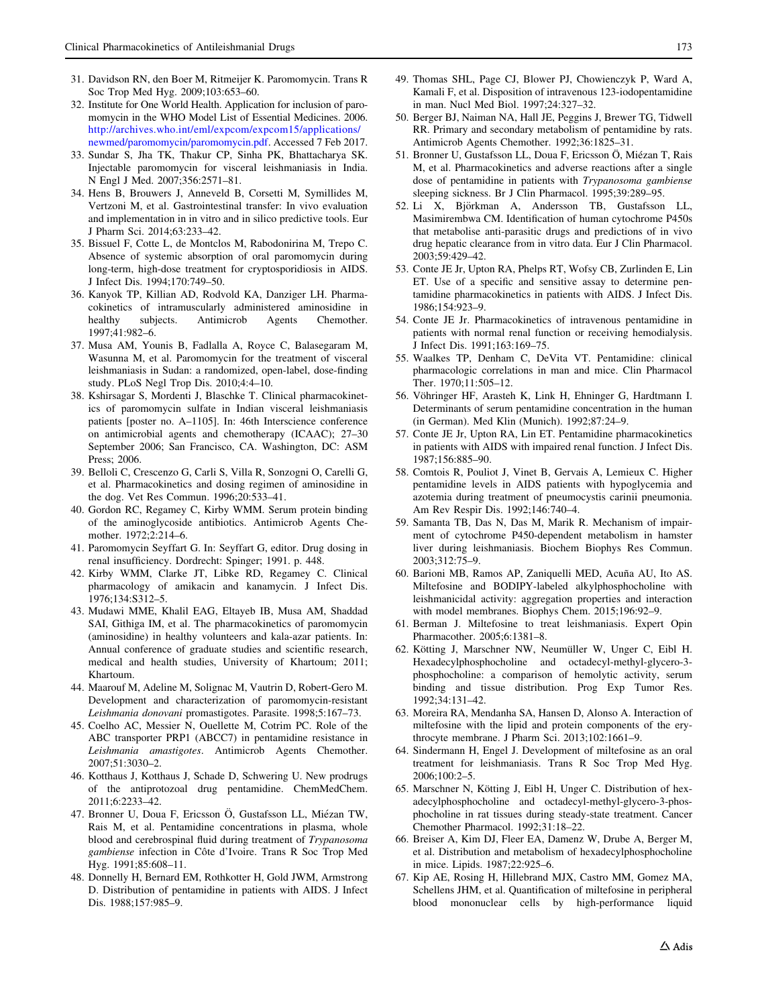- <span id="page-22-0"></span>31. Davidson RN, den Boer M, Ritmeijer K. Paromomycin. Trans R Soc Trop Med Hyg. 2009;103:653–60.
- 32. Institute for One World Health. Application for inclusion of paromomycin in the WHO Model List of Essential Medicines. 2006. [http://archives.who.int/eml/expcom/expcom15/applications/](http://archives.who.int/eml/expcom/expcom15/applications/newmed/paromomycin/paromomycin.pdf) [newmed/paromomycin/paromomycin.pdf.](http://archives.who.int/eml/expcom/expcom15/applications/newmed/paromomycin/paromomycin.pdf) Accessed 7 Feb 2017.
- 33. Sundar S, Jha TK, Thakur CP, Sinha PK, Bhattacharya SK. Injectable paromomycin for visceral leishmaniasis in India. N Engl J Med. 2007;356:2571–81.
- 34. Hens B, Brouwers J, Anneveld B, Corsetti M, Symillides M, Vertzoni M, et al. Gastrointestinal transfer: In vivo evaluation and implementation in in vitro and in silico predictive tools. Eur J Pharm Sci. 2014;63:233–42.
- 35. Bissuel F, Cotte L, de Montclos M, Rabodonirina M, Trepo C. Absence of systemic absorption of oral paromomycin during long-term, high-dose treatment for cryptosporidiosis in AIDS. J Infect Dis. 1994;170:749–50.
- 36. Kanyok TP, Killian AD, Rodvold KA, Danziger LH. Pharmacokinetics of intramuscularly administered aminosidine in healthy subjects. Antimicrob Agents Chemother. 1997;41:982–6.
- 37. Musa AM, Younis B, Fadlalla A, Royce C, Balasegaram M, Wasunna M, et al. Paromomycin for the treatment of visceral leishmaniasis in Sudan: a randomized, open-label, dose-finding study. PLoS Negl Trop Dis. 2010;4:4–10.
- 38. Kshirsagar S, Mordenti J, Blaschke T. Clinical pharmacokinetics of paromomycin sulfate in Indian visceral leishmaniasis patients [poster no. A–1105]. In: 46th Interscience conference on antimicrobial agents and chemotherapy (ICAAC); 27–30 September 2006; San Francisco, CA. Washington, DC: ASM Press; 2006.
- 39. Belloli C, Crescenzo G, Carli S, Villa R, Sonzogni O, Carelli G, et al. Pharmacokinetics and dosing regimen of aminosidine in the dog. Vet Res Commun. 1996;20:533–41.
- 40. Gordon RC, Regamey C, Kirby WMM. Serum protein binding of the aminoglycoside antibiotics. Antimicrob Agents Chemother. 1972;2:214–6.
- 41. Paromomycin Seyffart G. In: Seyffart G, editor. Drug dosing in renal insufficiency. Dordrecht: Spinger; 1991. p. 448.
- 42. Kirby WMM, Clarke JT, Libke RD, Regamey C. Clinical pharmacology of amikacin and kanamycin. J Infect Dis. 1976;134:S312–5.
- 43. Mudawi MME, Khalil EAG, Eltayeb IB, Musa AM, Shaddad SAI, Githiga IM, et al. The pharmacokinetics of paromomycin (aminosidine) in healthy volunteers and kala-azar patients. In: Annual conference of graduate studies and scientific research, medical and health studies, University of Khartoum; 2011; Khartoum.
- 44. Maarouf M, Adeline M, Solignac M, Vautrin D, Robert-Gero M. Development and characterization of paromomycin-resistant Leishmania donovani promastigotes. Parasite. 1998;5:167–73.
- 45. Coelho AC, Messier N, Ouellette M, Cotrim PC. Role of the ABC transporter PRP1 (ABCC7) in pentamidine resistance in Leishmania amastigotes. Antimicrob Agents Chemother. 2007;51:3030–2.
- 46. Kotthaus J, Kotthaus J, Schade D, Schwering U. New prodrugs of the antiprotozoal drug pentamidine. ChemMedChem. 2011;6:2233–42.
- 47. Bronner U, Doua F, Ericsson Ö, Gustafsson LL, Miézan TW, Rais M, et al. Pentamidine concentrations in plasma, whole blood and cerebrospinal fluid during treatment of Trypanosoma gambiense infection in Côte d'Ivoire. Trans R Soc Trop Med Hyg. 1991;85:608–11.
- 48. Donnelly H, Bernard EM, Rothkotter H, Gold JWM, Armstrong D. Distribution of pentamidine in patients with AIDS. J Infect Dis. 1988;157:985–9.
- 
- 49. Thomas SHL, Page CJ, Blower PJ, Chowienczyk P, Ward A, Kamali F, et al. Disposition of intravenous 123-iodopentamidine in man. Nucl Med Biol. 1997;24:327–32.
- 50. Berger BJ, Naiman NA, Hall JE, Peggins J, Brewer TG, Tidwell RR. Primary and secondary metabolism of pentamidine by rats. Antimicrob Agents Chemother. 1992;36:1825–31.
- 51. Bronner U, Gustafsson LL, Doua F, Ericsson Ö, Miézan T, Rais M, et al. Pharmacokinetics and adverse reactions after a single dose of pentamidine in patients with Trypanosoma gambiense sleeping sickness. Br J Clin Pharmacol. 1995;39:289–95.
- 52. Li X, Björkman A, Andersson TB, Gustafsson LL, Masimirembwa CM. Identification of human cytochrome P450s that metabolise anti-parasitic drugs and predictions of in vivo drug hepatic clearance from in vitro data. Eur J Clin Pharmacol. 2003;59:429–42.
- 53. Conte JE Jr, Upton RA, Phelps RT, Wofsy CB, Zurlinden E, Lin ET. Use of a specific and sensitive assay to determine pentamidine pharmacokinetics in patients with AIDS. J Infect Dis. 1986;154:923–9.
- 54. Conte JE Jr. Pharmacokinetics of intravenous pentamidine in patients with normal renal function or receiving hemodialysis. J Infect Dis. 1991;163:169–75.
- 55. Waalkes TP, Denham C, DeVita VT. Pentamidine: clinical pharmacologic correlations in man and mice. Clin Pharmacol Ther. 1970;11:505–12.
- 56. Vöhringer HF, Arasteh K, Link H, Ehninger G, Hardtmann I. Determinants of serum pentamidine concentration in the human (in German). Med Klin (Munich). 1992;87:24–9.
- 57. Conte JE Jr, Upton RA, Lin ET. Pentamidine pharmacokinetics in patients with AIDS with impaired renal function. J Infect Dis. 1987;156:885–90.
- 58. Comtois R, Pouliot J, Vinet B, Gervais A, Lemieux C. Higher pentamidine levels in AIDS patients with hypoglycemia and azotemia during treatment of pneumocystis carinii pneumonia. Am Rev Respir Dis. 1992;146:740–4.
- 59. Samanta TB, Das N, Das M, Marik R. Mechanism of impairment of cytochrome P450-dependent metabolism in hamster liver during leishmaniasis. Biochem Biophys Res Commun. 2003;312:75–9.
- 60. Barioni MB, Ramos AP, Zaniquelli MED, Acuña AU, Ito AS. Miltefosine and BODIPY-labeled alkylphosphocholine with leishmanicidal activity: aggregation properties and interaction with model membranes. Biophys Chem. 2015;196:92–9.
- 61. Berman J. Miltefosine to treat leishmaniasis. Expert Opin Pharmacother. 2005;6:1381–8.
- 62. Kötting J, Marschner NW, Neumüller W, Unger C, Eibl H. Hexadecylphosphocholine and octadecyl-methyl-glycero-3 phosphocholine: a comparison of hemolytic activity, serum binding and tissue distribution. Prog Exp Tumor Res. 1992;34:131–42.
- 63. Moreira RA, Mendanha SA, Hansen D, Alonso A. Interaction of miltefosine with the lipid and protein components of the erythrocyte membrane. J Pharm Sci. 2013;102:1661–9.
- 64. Sindermann H, Engel J. Development of miltefosine as an oral treatment for leishmaniasis. Trans R Soc Trop Med Hyg. 2006;100:2–5.
- 65. Marschner N, Kötting J, Eibl H, Unger C. Distribution of hexadecylphosphocholine and octadecyl-methyl-glycero-3-phosphocholine in rat tissues during steady-state treatment. Cancer Chemother Pharmacol. 1992;31:18–22.
- 66. Breiser A, Kim DJ, Fleer EA, Damenz W, Drube A, Berger M, et al. Distribution and metabolism of hexadecylphosphocholine in mice. Lipids. 1987;22:925–6.
- 67. Kip AE, Rosing H, Hillebrand MJX, Castro MM, Gomez MA, Schellens JHM, et al. Quantification of miltefosine in peripheral blood mononuclear cells by high-performance liquid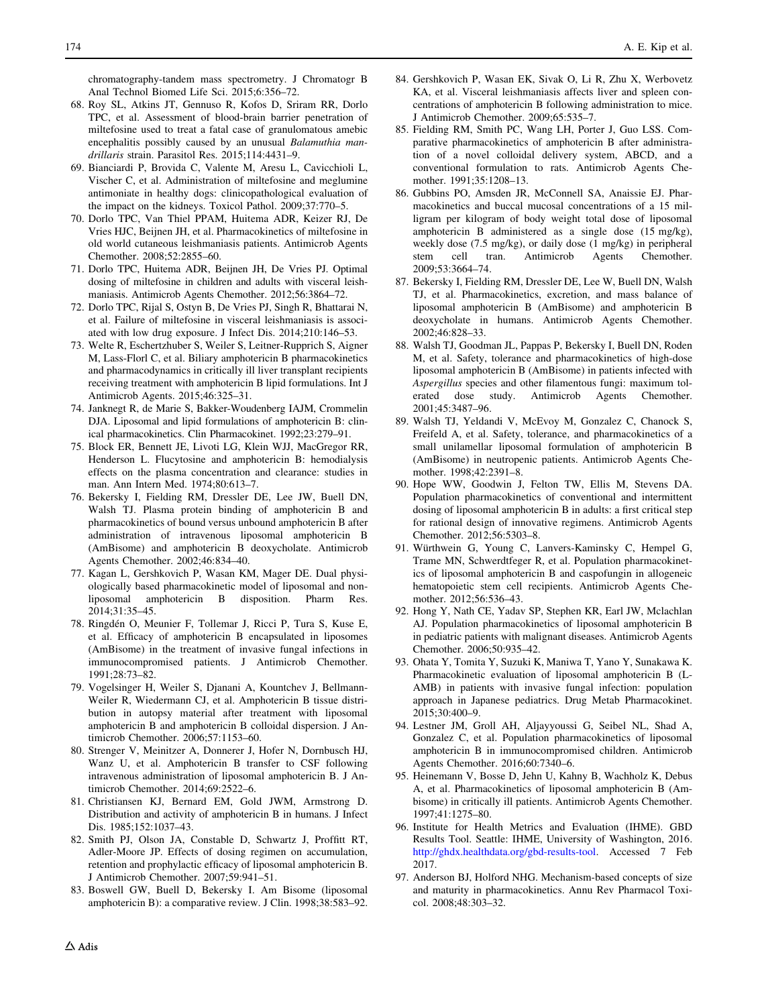<span id="page-23-0"></span>chromatography-tandem mass spectrometry. J Chromatogr B Anal Technol Biomed Life Sci. 2015;6:356–72.

- 68. Roy SL, Atkins JT, Gennuso R, Kofos D, Sriram RR, Dorlo TPC, et al. Assessment of blood-brain barrier penetration of miltefosine used to treat a fatal case of granulomatous amebic encephalitis possibly caused by an unusual Balamuthia mandrillaris strain. Parasitol Res. 2015;114:4431–9.
- 69. Bianciardi P, Brovida C, Valente M, Aresu L, Cavicchioli L, Vischer C, et al. Administration of miltefosine and meglumine antimoniate in healthy dogs: clinicopathological evaluation of the impact on the kidneys. Toxicol Pathol. 2009;37:770–5.
- 70. Dorlo TPC, Van Thiel PPAM, Huitema ADR, Keizer RJ, De Vries HJC, Beijnen JH, et al. Pharmacokinetics of miltefosine in old world cutaneous leishmaniasis patients. Antimicrob Agents Chemother. 2008;52:2855–60.
- 71. Dorlo TPC, Huitema ADR, Beijnen JH, De Vries PJ. Optimal dosing of miltefosine in children and adults with visceral leishmaniasis. Antimicrob Agents Chemother. 2012;56:3864–72.
- 72. Dorlo TPC, Rijal S, Ostyn B, De Vries PJ, Singh R, Bhattarai N, et al. Failure of miltefosine in visceral leishmaniasis is associated with low drug exposure. J Infect Dis. 2014;210:146–53.
- 73. Welte R, Eschertzhuber S, Weiler S, Leitner-Rupprich S, Aigner M, Lass-Florl C, et al. Biliary amphotericin B pharmacokinetics and pharmacodynamics in critically ill liver transplant recipients receiving treatment with amphotericin B lipid formulations. Int J Antimicrob Agents. 2015;46:325–31.
- 74. Janknegt R, de Marie S, Bakker-Woudenberg IAJM, Crommelin DJA. Liposomal and lipid formulations of amphotericin B: clinical pharmacokinetics. Clin Pharmacokinet. 1992;23:279–91.
- 75. Block ER, Bennett JE, Livoti LG, Klein WJJ, MacGregor RR, Henderson L. Flucytosine and amphotericin B: hemodialysis effects on the plasma concentration and clearance: studies in man. Ann Intern Med. 1974;80:613–7.
- 76. Bekersky I, Fielding RM, Dressler DE, Lee JW, Buell DN, Walsh TJ. Plasma protein binding of amphotericin B and pharmacokinetics of bound versus unbound amphotericin B after administration of intravenous liposomal amphotericin B (AmBisome) and amphotericin B deoxycholate. Antimicrob Agents Chemother. 2002;46:834–40.
- 77. Kagan L, Gershkovich P, Wasan KM, Mager DE. Dual physiologically based pharmacokinetic model of liposomal and nonliposomal amphotericin B disposition. Pharm Res. 2014;31:35–45.
- 78. Ringdén O, Meunier F, Tollemar J, Ricci P, Tura S, Kuse E, et al. Efficacy of amphotericin B encapsulated in liposomes (AmBisome) in the treatment of invasive fungal infections in immunocompromised patients. J Antimicrob Chemother. 1991;28:73–82.
- 79. Vogelsinger H, Weiler S, Djanani A, Kountchev J, Bellmann-Weiler R, Wiedermann CJ, et al. Amphotericin B tissue distribution in autopsy material after treatment with liposomal amphotericin B and amphotericin B colloidal dispersion. J Antimicrob Chemother. 2006;57:1153–60.
- 80. Strenger V, Meinitzer A, Donnerer J, Hofer N, Dornbusch HJ, Wanz U, et al. Amphotericin B transfer to CSF following intravenous administration of liposomal amphotericin B. J Antimicrob Chemother. 2014;69:2522–6.
- 81. Christiansen KJ, Bernard EM, Gold JWM, Armstrong D. Distribution and activity of amphotericin B in humans. J Infect Dis. 1985;152:1037–43.
- 82. Smith PJ, Olson JA, Constable D, Schwartz J, Proffitt RT, Adler-Moore JP. Effects of dosing regimen on accumulation, retention and prophylactic efficacy of liposomal amphotericin B. J Antimicrob Chemother. 2007;59:941–51.
- 83. Boswell GW, Buell D, Bekersky I. Am Bisome (liposomal amphotericin B): a comparative review. J Clin. 1998;38:583–92.
- 84. Gershkovich P, Wasan EK, Sivak O, Li R, Zhu X, Werbovetz KA, et al. Visceral leishmaniasis affects liver and spleen concentrations of amphotericin B following administration to mice. J Antimicrob Chemother. 2009;65:535–7.
- 85. Fielding RM, Smith PC, Wang LH, Porter J, Guo LSS. Comparative pharmacokinetics of amphotericin B after administration of a novel colloidal delivery system, ABCD, and a conventional formulation to rats. Antimicrob Agents Chemother. 1991;35:1208–13.
- 86. Gubbins PO, Amsden JR, McConnell SA, Anaissie EJ. Pharmacokinetics and buccal mucosal concentrations of a 15 milligram per kilogram of body weight total dose of liposomal amphotericin B administered as a single dose (15 mg/kg), weekly dose (7.5 mg/kg), or daily dose (1 mg/kg) in peripheral stem cell tran. Antimicrob Agents Chemother. 2009;53:3664–74.
- 87. Bekersky I, Fielding RM, Dressler DE, Lee W, Buell DN, Walsh TJ, et al. Pharmacokinetics, excretion, and mass balance of liposomal amphotericin B (AmBisome) and amphotericin B deoxycholate in humans. Antimicrob Agents Chemother. 2002;46:828–33.
- 88. Walsh TJ, Goodman JL, Pappas P, Bekersky I, Buell DN, Roden M, et al. Safety, tolerance and pharmacokinetics of high-dose liposomal amphotericin B (AmBisome) in patients infected with Aspergillus species and other filamentous fungi: maximum tolerated dose study. Antimicrob Agents Chemother. 2001;45:3487–96.
- 89. Walsh TJ, Yeldandi V, McEvoy M, Gonzalez C, Chanock S, Freifeld A, et al. Safety, tolerance, and pharmacokinetics of a small unilamellar liposomal formulation of amphotericin B (AmBisome) in neutropenic patients. Antimicrob Agents Chemother. 1998;42:2391–8.
- 90. Hope WW, Goodwin J, Felton TW, Ellis M, Stevens DA. Population pharmacokinetics of conventional and intermittent dosing of liposomal amphotericin B in adults: a first critical step for rational design of innovative regimens. Antimicrob Agents Chemother. 2012;56:5303–8.
- 91. Würthwein G, Young C, Lanvers-Kaminsky C, Hempel G, Trame MN, Schwerdtfeger R, et al. Population pharmacokinetics of liposomal amphotericin B and caspofungin in allogeneic hematopoietic stem cell recipients. Antimicrob Agents Chemother. 2012;56:536–43.
- 92. Hong Y, Nath CE, Yadav SP, Stephen KR, Earl JW, Mclachlan AJ. Population pharmacokinetics of liposomal amphotericin B in pediatric patients with malignant diseases. Antimicrob Agents Chemother. 2006;50:935–42.
- 93. Ohata Y, Tomita Y, Suzuki K, Maniwa T, Yano Y, Sunakawa K. Pharmacokinetic evaluation of liposomal amphotericin B (L-AMB) in patients with invasive fungal infection: population approach in Japanese pediatrics. Drug Metab Pharmacokinet. 2015;30:400–9.
- 94. Lestner JM, Groll AH, Aljayyoussi G, Seibel NL, Shad A, Gonzalez C, et al. Population pharmacokinetics of liposomal amphotericin B in immunocompromised children. Antimicrob Agents Chemother. 2016;60:7340–6.
- 95. Heinemann V, Bosse D, Jehn U, Kahny B, Wachholz K, Debus A, et al. Pharmacokinetics of liposomal amphotericin B (Ambisome) in critically ill patients. Antimicrob Agents Chemother. 1997;41:1275–80.
- 96. Institute for Health Metrics and Evaluation (IHME). GBD Results Tool. Seattle: IHME, University of Washington, 2016. [http://ghdx.healthdata.org/gbd-results-tool.](http://ghdx.healthdata.org/gbd-results-tool) Accessed 7 Feb 2017.
- 97. Anderson BJ, Holford NHG. Mechanism-based concepts of size and maturity in pharmacokinetics. Annu Rev Pharmacol Toxicol. 2008;48:303–32.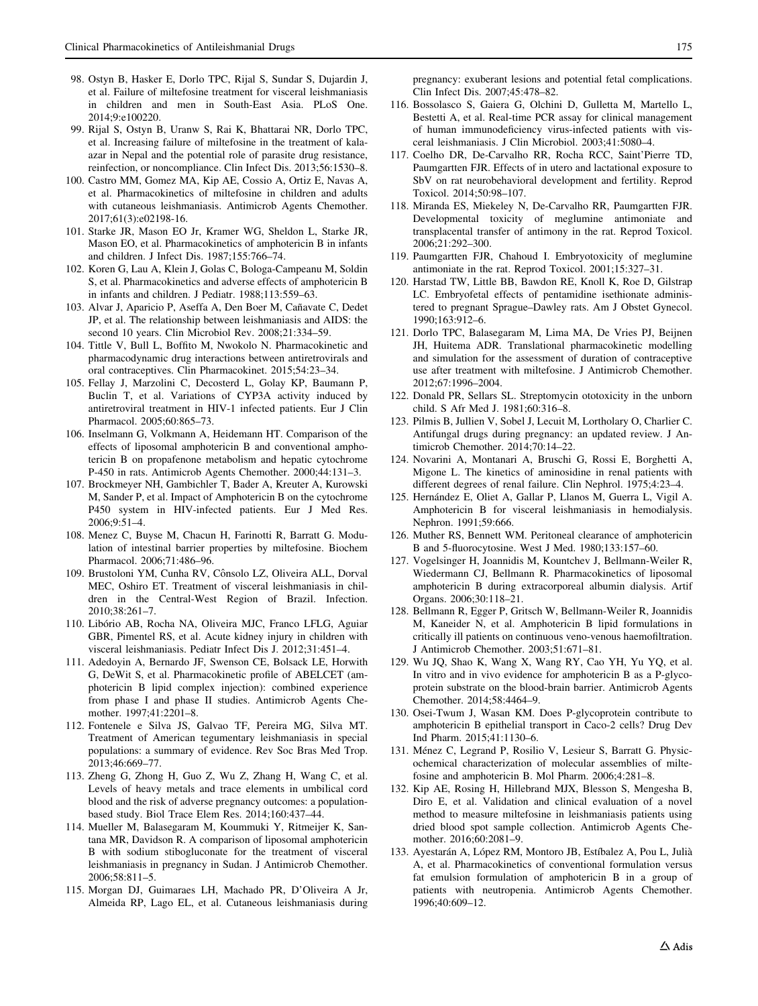- <span id="page-24-0"></span>98. Ostyn B, Hasker E, Dorlo TPC, Rijal S, Sundar S, Dujardin J, et al. Failure of miltefosine treatment for visceral leishmaniasis in children and men in South-East Asia. PLoS One. 2014;9:e100220.
- 99. Rijal S, Ostyn B, Uranw S, Rai K, Bhattarai NR, Dorlo TPC, et al. Increasing failure of miltefosine in the treatment of kalaazar in Nepal and the potential role of parasite drug resistance, reinfection, or noncompliance. Clin Infect Dis. 2013;56:1530–8.
- 100. Castro MM, Gomez MA, Kip AE, Cossio A, Ortiz E, Navas A, et al. Pharmacokinetics of miltefosine in children and adults with cutaneous leishmaniasis. Antimicrob Agents Chemother. 2017;61(3):e02198-16.
- 101. Starke JR, Mason EO Jr, Kramer WG, Sheldon L, Starke JR, Mason EO, et al. Pharmacokinetics of amphotericin B in infants and children. J Infect Dis. 1987;155:766–74.
- 102. Koren G, Lau A, Klein J, Golas C, Bologa-Campeanu M, Soldin S, et al. Pharmacokinetics and adverse effects of amphotericin B in infants and children. J Pediatr. 1988;113:559–63.
- 103. Alvar J, Aparicio P, Aseffa A, Den Boer M, Cañavate C, Dedet JP, et al. The relationship between leishmaniasis and AIDS: the second 10 years. Clin Microbiol Rev. 2008;21:334–59.
- 104. Tittle V, Bull L, Boffito M, Nwokolo N. Pharmacokinetic and pharmacodynamic drug interactions between antiretrovirals and oral contraceptives. Clin Pharmacokinet. 2015;54:23–34.
- 105. Fellay J, Marzolini C, Decosterd L, Golay KP, Baumann P, Buclin T, et al. Variations of CYP3A activity induced by antiretroviral treatment in HIV-1 infected patients. Eur J Clin Pharmacol. 2005;60:865–73.
- 106. Inselmann G, Volkmann A, Heidemann HT. Comparison of the effects of liposomal amphotericin B and conventional amphotericin B on propafenone metabolism and hepatic cytochrome P-450 in rats. Antimicrob Agents Chemother. 2000;44:131–3.
- 107. Brockmeyer NH, Gambichler T, Bader A, Kreuter A, Kurowski M, Sander P, et al. Impact of Amphotericin B on the cytochrome P450 system in HIV-infected patients. Eur J Med Res. 2006;9:51–4.
- 108. Menez C, Buyse M, Chacun H, Farinotti R, Barratt G. Modulation of intestinal barrier properties by miltefosine. Biochem Pharmacol. 2006;71:486–96.
- 109. Brustoloni YM, Cunha RV, Cônsolo LZ, Oliveira ALL, Dorval MEC, Oshiro ET. Treatment of visceral leishmaniasis in children in the Central-West Region of Brazil. Infection. 2010;38:261–7.
- 110. Libório AB, Rocha NA, Oliveira MJC, Franco LFLG, Aguiar GBR, Pimentel RS, et al. Acute kidney injury in children with visceral leishmaniasis. Pediatr Infect Dis J. 2012;31:451–4.
- 111. Adedoyin A, Bernardo JF, Swenson CE, Bolsack LE, Horwith G, DeWit S, et al. Pharmacokinetic profile of ABELCET (amphotericin B lipid complex injection): combined experience from phase I and phase II studies. Antimicrob Agents Chemother. 1997;41:2201–8.
- 112. Fontenele e Silva JS, Galvao TF, Pereira MG, Silva MT. Treatment of American tegumentary leishmaniasis in special populations: a summary of evidence. Rev Soc Bras Med Trop. 2013;46:669–77.
- 113. Zheng G, Zhong H, Guo Z, Wu Z, Zhang H, Wang C, et al. Levels of heavy metals and trace elements in umbilical cord blood and the risk of adverse pregnancy outcomes: a populationbased study. Biol Trace Elem Res. 2014;160:437–44.
- 114. Mueller M, Balasegaram M, Koummuki Y, Ritmeijer K, Santana MR, Davidson R. A comparison of liposomal amphotericin B with sodium stibogluconate for the treatment of visceral leishmaniasis in pregnancy in Sudan. J Antimicrob Chemother. 2006;58:811–5.
- 115. Morgan DJ, Guimaraes LH, Machado PR, D'Oliveira A Jr, Almeida RP, Lago EL, et al. Cutaneous leishmaniasis during

pregnancy: exuberant lesions and potential fetal complications. Clin Infect Dis. 2007;45:478–82.

- 116. Bossolasco S, Gaiera G, Olchini D, Gulletta M, Martello L, Bestetti A, et al. Real-time PCR assay for clinical management of human immunodeficiency virus-infected patients with visceral leishmaniasis. J Clin Microbiol. 2003;41:5080–4.
- 117. Coelho DR, De-Carvalho RR, Rocha RCC, Saint'Pierre TD, Paumgartten FJR. Effects of in utero and lactational exposure to SbV on rat neurobehavioral development and fertility. Reprod Toxicol. 2014;50:98–107.
- 118. Miranda ES, Miekeley N, De-Carvalho RR, Paumgartten FJR. Developmental toxicity of meglumine antimoniate and transplacental transfer of antimony in the rat. Reprod Toxicol. 2006;21:292–300.
- 119. Paumgartten FJR, Chahoud I. Embryotoxicity of meglumine antimoniate in the rat. Reprod Toxicol. 2001;15:327–31.
- 120. Harstad TW, Little BB, Bawdon RE, Knoll K, Roe D, Gilstrap LC. Embryofetal effects of pentamidine isethionate administered to pregnant Sprague–Dawley rats. Am J Obstet Gynecol. 1990;163:912–6.
- 121. Dorlo TPC, Balasegaram M, Lima MA, De Vries PJ, Beijnen JH, Huitema ADR. Translational pharmacokinetic modelling and simulation for the assessment of duration of contraceptive use after treatment with miltefosine. J Antimicrob Chemother. 2012;67:1996–2004.
- 122. Donald PR, Sellars SL. Streptomycin ototoxicity in the unborn child. S Afr Med J. 1981;60:316–8.
- 123. Pilmis B, Jullien V, Sobel J, Lecuit M, Lortholary O, Charlier C. Antifungal drugs during pregnancy: an updated review. J Antimicrob Chemother. 2014;70:14–22.
- 124. Novarini A, Montanari A, Bruschi G, Rossi E, Borghetti A, Migone L. The kinetics of aminosidine in renal patients with different degrees of renal failure. Clin Nephrol. 1975;4:23–4.
- 125. Hernández E, Oliet A, Gallar P, Llanos M, Guerra L, Vigil A. Amphotericin B for visceral leishmaniasis in hemodialysis. Nephron. 1991;59:666.
- 126. Muther RS, Bennett WM. Peritoneal clearance of amphotericin B and 5-fluorocytosine. West J Med. 1980;133:157–60.
- 127. Vogelsinger H, Joannidis M, Kountchev J, Bellmann-Weiler R, Wiedermann CJ, Bellmann R. Pharmacokinetics of liposomal amphotericin B during extracorporeal albumin dialysis. Artif Organs. 2006;30:118–21.
- 128. Bellmann R, Egger P, Gritsch W, Bellmann-Weiler R, Joannidis M, Kaneider N, et al. Amphotericin B lipid formulations in critically ill patients on continuous veno-venous haemofiltration. J Antimicrob Chemother. 2003;51:671–81.
- 129. Wu JQ, Shao K, Wang X, Wang RY, Cao YH, Yu YQ, et al. In vitro and in vivo evidence for amphotericin B as a P-glycoprotein substrate on the blood-brain barrier. Antimicrob Agents Chemother. 2014;58:4464–9.
- 130. Osei-Twum J, Wasan KM. Does P-glycoprotein contribute to amphotericin B epithelial transport in Caco-2 cells? Drug Dev Ind Pharm. 2015;41:1130–6.
- 131. Ménez C, Legrand P, Rosilio V, Lesieur S, Barratt G. Physicochemical characterization of molecular assemblies of miltefosine and amphotericin B. Mol Pharm. 2006;4:281–8.
- 132. Kip AE, Rosing H, Hillebrand MJX, Blesson S, Mengesha B, Diro E, et al. Validation and clinical evaluation of a novel method to measure miltefosine in leishmaniasis patients using dried blood spot sample collection. Antimicrob Agents Chemother. 2016;60:2081–9.
- 133. Ayestarán A, López RM, Montoro JB, Estíbalez A, Pou L, Julià A, et al. Pharmacokinetics of conventional formulation versus fat emulsion formulation of amphotericin B in a group of patients with neutropenia. Antimicrob Agents Chemother. 1996;40:609–12.